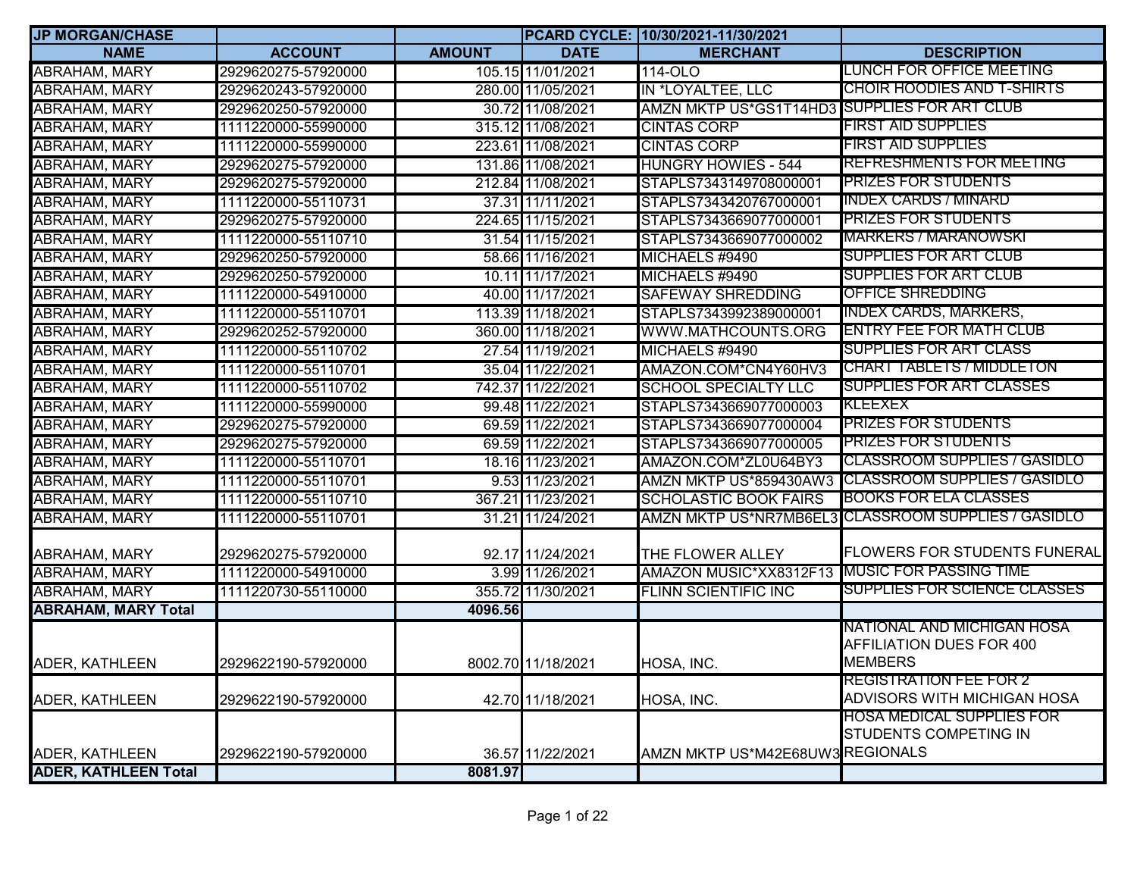| <b>JP MORGAN/CHASE</b>      |                     |               |                    | PCARD CYCLE: 10/30/2021-11/30/2021           |                                     |
|-----------------------------|---------------------|---------------|--------------------|----------------------------------------------|-------------------------------------|
| <b>NAME</b>                 | <b>ACCOUNT</b>      | <b>AMOUNT</b> | <b>DATE</b>        | <b>MERCHANT</b>                              | <b>DESCRIPTION</b>                  |
| <b>ABRAHAM, MARY</b>        | 2929620275-57920000 |               | 105.15 11/01/2021  | 114-OLO                                      | LUNCH FOR OFFICE MEETING            |
| <b>ABRAHAM, MARY</b>        | 2929620243-57920000 |               | 280.00 11/05/2021  | IN *LOYALTEE, LLC                            | <b>CHOIR HOODIES AND T-SHIRTS</b>   |
| <b>ABRAHAM, MARY</b>        | 2929620250-57920000 |               | 30.72 11/08/2021   | AMZN MKTP US*GS1T14HD3 SUPPLIES FOR ART CLUB |                                     |
| ABRAHAM, MARY               | 1111220000-55990000 |               | 315.12 11/08/2021  | <b>CINTAS CORP</b>                           | <b>FIRST AID SUPPLIES</b>           |
| ABRAHAM, MARY               | 1111220000-55990000 |               | 223.61 11/08/2021  | <b>CINTAS CORP</b>                           | <b>FIRST AID SUPPLIES</b>           |
| ABRAHAM, MARY               | 2929620275-57920000 |               | 131.86 11/08/2021  | <b>HUNGRY HOWIES - 544</b>                   | <b>REFRESHMENTS FOR MEETING</b>     |
| <b>ABRAHAM, MARY</b>        | 2929620275-57920000 |               | 212.84 11/08/2021  | STAPLS7343149708000001                       | <b>PRIZES FOR STUDENTS</b>          |
| <b>ABRAHAM, MARY</b>        | 1111220000-55110731 |               | 37.31 11/11/2021   | STAPLS7343420767000001                       | <b>INDEX CARDS / MINARD</b>         |
| ABRAHAM, MARY               | 2929620275-57920000 |               | 224.65 11/15/2021  | STAPLS7343669077000001                       | <b>PRIZES FOR STUDENTS</b>          |
| <b>ABRAHAM, MARY</b>        | 1111220000-55110710 |               | 31.54 11/15/2021   | STAPLS7343669077000002                       | <b>MARKERS / MARANOWSKI</b>         |
| ABRAHAM, MARY               | 2929620250-57920000 |               | 58.66 11/16/2021   | MICHAELS #9490                               | SUPPLIES FOR ART CLUB               |
| <b>ABRAHAM, MARY</b>        | 2929620250-57920000 |               | 10.11 11/17/2021   | MICHAELS #9490                               | <b>SUPPLIES FOR ART CLUB</b>        |
| <b>ABRAHAM, MARY</b>        | 1111220000-54910000 |               | 40.00 11/17/2021   | <b>SAFEWAY SHREDDING</b>                     | OFFICE SHREDDING                    |
| <b>ABRAHAM, MARY</b>        | 1111220000-55110701 |               | 113.39 11/18/2021  | STAPLS7343992389000001                       | <b>INDEX CARDS, MARKERS,</b>        |
| ABRAHAM, MARY               | 2929620252-57920000 |               | 360.00 11/18/2021  | WWW.MATHCOUNTS.ORG                           | <b>ENTRY FEE FOR MATH CLUB</b>      |
| ABRAHAM, MARY               | 1111220000-55110702 |               | 27.54 11/19/2021   | MICHAELS #9490                               | <b>SUPPLIES FOR ART CLASS</b>       |
| <b>ABRAHAM, MARY</b>        | 1111220000-55110701 |               | 35.04 11/22/2021   | AMAZON.COM*CN4Y60HV3                         | <b>CHART TABLETS / MIDDLETON</b>    |
| ABRAHAM, MARY               | 1111220000-55110702 |               | 742.37 11/22/2021  | <b>SCHOOL SPECIALTY LLC</b>                  | <b>SUPPLIES FOR ART CLASSES</b>     |
| <b>ABRAHAM, MARY</b>        | 1111220000-55990000 |               | 99.48 11/22/2021   | STAPLS7343669077000003                       | KLEEXEX                             |
| ABRAHAM, MARY               | 2929620275-57920000 |               | 69.59 11/22/2021   | STAPLS7343669077000004                       | <b>PRIZES FOR STUDENTS</b>          |
| <b>ABRAHAM, MARY</b>        | 2929620275-57920000 |               | 69.59 11/22/2021   | STAPLS7343669077000005                       | <b>PRIZES FOR STUDENTS</b>          |
| ABRAHAM, MARY               | 1111220000-55110701 |               | 18.16 11/23/2021   | AMAZON.COM*ZL0U64BY3                         | <b>CLASSROOM SUPPLIES / GASIDLO</b> |
| ABRAHAM, MARY               | 1111220000-55110701 |               | 9.53 11/23/2021    | AMZN MKTP US*859430AW3                       | <b>CLASSROOM SUPPLIES / GASIDLO</b> |
| ABRAHAM, MARY               | 1111220000-55110710 |               | 367.21 11/23/2021  | <b>SCHOLASTIC BOOK FAIRS</b>                 | <b>BOOKS FOR ELA CLASSES</b>        |
| <b>ABRAHAM, MARY</b>        | 1111220000-55110701 |               | 31.21 11/24/2021   | <b>AMZN MKTP US*NR7MB6EL3</b>                | <b>CLASSROOM SUPPLIES / GASIDLO</b> |
| ABRAHAM, MARY               | 2929620275-57920000 |               | 92.17 11/24/2021   | THE FLOWER ALLEY                             | <b>FLOWERS FOR STUDENTS FUNERAL</b> |
| <b>ABRAHAM, MARY</b>        | 1111220000-54910000 |               | 3.99 11/26/2021    | AMAZON MUSIC*XX8312F13                       | <b>MUSIC FOR PASSING TIME</b>       |
| ABRAHAM, MARY               | 1111220730-55110000 |               | 355.72 11/30/2021  | <b>FLINN SCIENTIFIC INC</b>                  | <b>SUPPLIES FOR SCIENCE CLASSES</b> |
| <b>ABRAHAM, MARY Total</b>  |                     | 4096.56       |                    |                                              |                                     |
|                             |                     |               |                    |                                              | NATIONAL AND MICHIGAN HOSA          |
|                             |                     |               |                    |                                              | AFFILIATION DUES FOR 400            |
| ADER, KATHLEEN              | 2929622190-57920000 |               | 8002.70 11/18/2021 | HOSA, INC.                                   | <b>MEMBERS</b>                      |
|                             |                     |               |                    |                                              | <b>REGISTRATION FEE FOR 2</b>       |
| ADER, KATHLEEN              | 2929622190-57920000 |               | 42.70 11/18/2021   | HOSA, INC.                                   | ADVISORS WITH MICHIGAN HOSA         |
|                             |                     |               |                    |                                              | <b>HOSA MEDICAL SUPPLIES FOR</b>    |
|                             |                     |               |                    |                                              | STUDENTS COMPETING IN               |
| ADER, KATHLEEN              | 2929622190-57920000 |               | 36.57 11/22/2021   | AMZN MKTP US*M42E68UW3REGIONALS              |                                     |
| <b>ADER, KATHLEEN Total</b> |                     | 8081.97       |                    |                                              |                                     |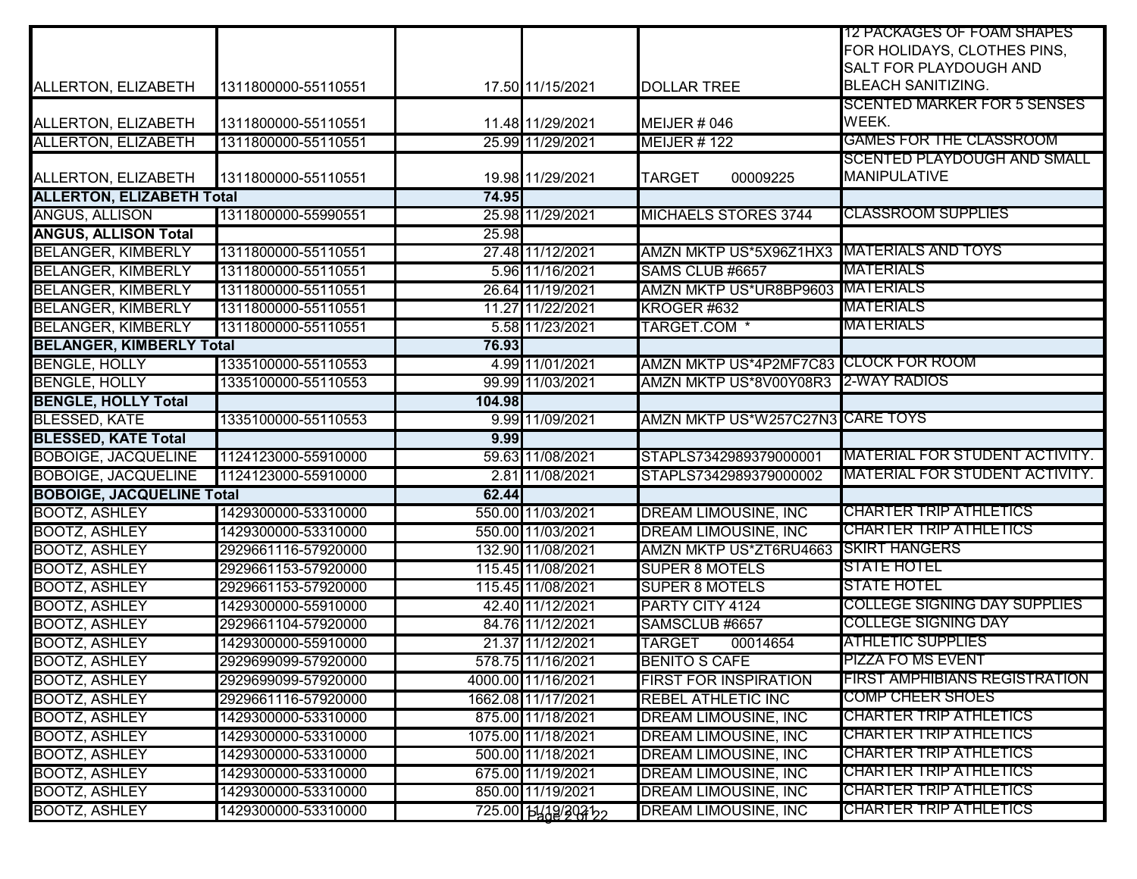|                                  |                     |        |                     |                                           | <b>12 PACKAGES OF FOAM SHAPES</b><br>FOR HOLIDAYS, CLOTHES PINS,<br><b>SALT FOR PLAYDOUGH AND</b> |
|----------------------------------|---------------------|--------|---------------------|-------------------------------------------|---------------------------------------------------------------------------------------------------|
| ALLERTON, ELIZABETH              | 1311800000-55110551 |        | 17.50 11/15/2021    | <b>DOLLAR TREE</b>                        | <b>BLEACH SANITIZING.</b>                                                                         |
| ALLERTON, ELIZABETH              | 1311800000-55110551 |        | 11.48 11/29/2021    | <b>MEIJER # 046</b>                       | <b>SCENTED MARKER FOR 5 SENSES</b><br>WEEK.                                                       |
| <b>ALLERTON, ELIZABETH</b>       | 1311800000-55110551 |        | 25.99 11/29/2021    | <b>MEIJER #122</b>                        | <b>GAMES FOR THE CLASSROOM</b>                                                                    |
| ALLERTON, ELIZABETH              | 1311800000-55110551 |        | 19.98 11/29/2021    | <b>TARGET</b><br>00009225                 | <b>SCENTED PLAYDOUGH AND SMALL</b><br><b>MANIPULATIVE</b>                                         |
| <b>ALLERTON, ELIZABETH Total</b> |                     | 74.95  |                     |                                           |                                                                                                   |
| <b>ANGUS, ALLISON</b>            | 1311800000-55990551 |        | 25.98 11/29/2021    | <b>MICHAELS STORES 3744</b>               | <b>CLASSROOM SUPPLIES</b>                                                                         |
| <b>ANGUS, ALLISON Total</b>      |                     | 25.98  |                     |                                           |                                                                                                   |
| <b>BELANGER, KIMBERLY</b>        | 1311800000-55110551 |        | 27.48 11/12/2021    | AMZN MKTP US*5X96Z1HX3 MATERIALS AND TOYS |                                                                                                   |
| <b>BELANGER, KIMBERLY</b>        | 1311800000-55110551 |        | 5.96 11/16/2021     | SAMS CLUB #6657                           | MATERIALS                                                                                         |
| <b>BELANGER, KIMBERLY</b>        | 1311800000-55110551 |        | 26.64 11/19/2021    | AMZN MKTP US*UR8BP9603 MATERIALS          |                                                                                                   |
| <b>BELANGER, KIMBERLY</b>        | 1311800000-55110551 |        | 11.27 11/22/2021    | KROGER #632                               | <b>MATERIALS</b>                                                                                  |
| <b>BELANGER, KIMBERLY</b>        | 1311800000-55110551 |        | 5.58 11/23/2021     | <b>TARGET.COM *</b>                       | <b>MATERIALS</b>                                                                                  |
| <b>BELANGER, KIMBERLY Total</b>  |                     | 76.93  |                     |                                           |                                                                                                   |
| <b>BENGLE, HOLLY</b>             | 1335100000-55110553 |        | 4.99 11/01/2021     | AMZN MKTP US*4P2MF7C83 CLOCK FOR ROOM     |                                                                                                   |
| <b>BENGLE, HOLLY</b>             | 1335100000-55110553 |        | 99.99 11/03/2021    | AMZN MKTP US*8V00Y08R3 2-WAY RADIOS       |                                                                                                   |
| <b>BENGLE, HOLLY Total</b>       |                     | 104.98 |                     |                                           |                                                                                                   |
| <b>BLESSED, KATE</b>             | 1335100000-55110553 |        | 9.99 11/09/2021     | AMZN MKTP US*W257C27N3 CARE TOYS          |                                                                                                   |
| <b>BLESSED, KATE Total</b>       |                     | 9.99   |                     |                                           |                                                                                                   |
| <b>BOBOIGE, JACQUELINE</b>       | 1124123000-55910000 |        | 59.63 11/08/2021    | STAPLS7342989379000001                    | MATERIAL FOR STUDENT ACTIVITY.                                                                    |
| <b>BOBOIGE, JACQUELINE</b>       | 1124123000-55910000 |        | 2.81 11/08/2021     | STAPLS7342989379000002                    | <u>MATERIAL FOR STUDENT ACTIVITY.</u>                                                             |
| <b>BOBOIGE, JACQUELINE Total</b> |                     | 62.44  |                     |                                           |                                                                                                   |
| <b>BOOTZ, ASHLEY</b>             | 1429300000-53310000 |        | 550.00 11/03/2021   | <b>DREAM LIMOUSINE, INC</b>               | <b>CHARTER TRIP ATHLETICS</b>                                                                     |
| <b>BOOTZ, ASHLEY</b>             | 1429300000-53310000 |        | 550.00 11/03/2021   | <b>DREAM LIMOUSINE, INC</b>               | <b>CHARTER TRIP ATHLETICS</b>                                                                     |
| <b>BOOTZ, ASHLEY</b>             | 2929661116-57920000 |        | 132.90 11/08/2021   | AMZN MKTP US*ZT6RU4663 SKIRT HANGERS      |                                                                                                   |
| <b>BOOTZ, ASHLEY</b>             | 2929661153-57920000 |        | 115.45 11/08/2021   | <b>SUPER 8 MOTELS</b>                     | <b>STATE HOTEL</b>                                                                                |
| <b>BOOTZ, ASHLEY</b>             | 2929661153-57920000 |        | 115.45 11/08/2021   | <b>SUPER 8 MOTELS</b>                     | <b>STATE HOTEL</b>                                                                                |
| <b>BOOTZ, ASHLEY</b>             | 1429300000-55910000 |        | 42.40 11/12/2021    | PARTY CITY 4124                           | <b>COLLEGE SIGNING DAY SUPPLIES</b>                                                               |
| <b>BOOTZ, ASHLEY</b>             | 2929661104-57920000 |        | 84.76 11/12/2021    | SAMSCLUB #6657                            | <b>COLLEGE SIGNING DAY</b>                                                                        |
| BOOTZ, ASHLEY                    | 1429300000-55910000 |        | 21.37 11/12/2021    | 00014654<br><b>TARGET</b>                 | <b>ATHLETIC SUPPLIES</b>                                                                          |
| <b>BOOTZ, ASHLEY</b>             | 2929699099-57920000 |        | 578.75 11/16/2021   | <b>BENITO S CAFE</b>                      | <b>PIZZA FO MS EVENT</b>                                                                          |
| <b>BOOTZ, ASHLEY</b>             | 2929699099-57920000 |        | 4000.00 11/16/2021  | <b>FIRST FOR INSPIRATION</b>              | <b>FIRST AMPHIBIANS REGISTRATION</b>                                                              |
| <b>BOOTZ, ASHLEY</b>             | 2929661116-57920000 |        | 1662.08 11/17/2021  | <b>REBEL ATHLETIC INC</b>                 | <b>COMP CHEER SHOES</b>                                                                           |
| <b>BOOTZ, ASHLEY</b>             | 1429300000-53310000 |        | 875.00 11/18/2021   | DREAM LIMOUSINE, INC                      | <b>CHARTER TRIP ATHLETICS</b>                                                                     |
| <b>BOOTZ, ASHLEY</b>             | 1429300000-53310000 |        | 1075.00 11/18/2021  | <b>DREAM LIMOUSINE, INC</b>               | <b>CHARTER TRIP ATHLETICS</b>                                                                     |
| <b>BOOTZ, ASHLEY</b>             | 1429300000-53310000 |        | 500.00 11/18/2021   | <b>DREAM LIMOUSINE, INC</b>               | <b>CHARTER TRIP ATHLETICS</b>                                                                     |
| <b>BOOTZ, ASHLEY</b>             | 1429300000-53310000 |        | 675.00 11/19/2021   | DREAM LIMOUSINE, INC                      | <b>CHARTER TRIP ATHLETICS</b>                                                                     |
| <b>BOOTZ, ASHLEY</b>             | 1429300000-53310000 |        | 850.00 11/19/2021   | <b>DREAM LIMOUSINE, INC</b>               | <b>CHARTER TRIP ATHLETICS</b>                                                                     |
| <b>BOOTZ, ASHLEY</b>             | 1429300000-53310000 |        | 725.00 14/19/202122 | DREAM LIMOUSINE, INC                      | <b>CHARTER TRIP ATHLETICS</b>                                                                     |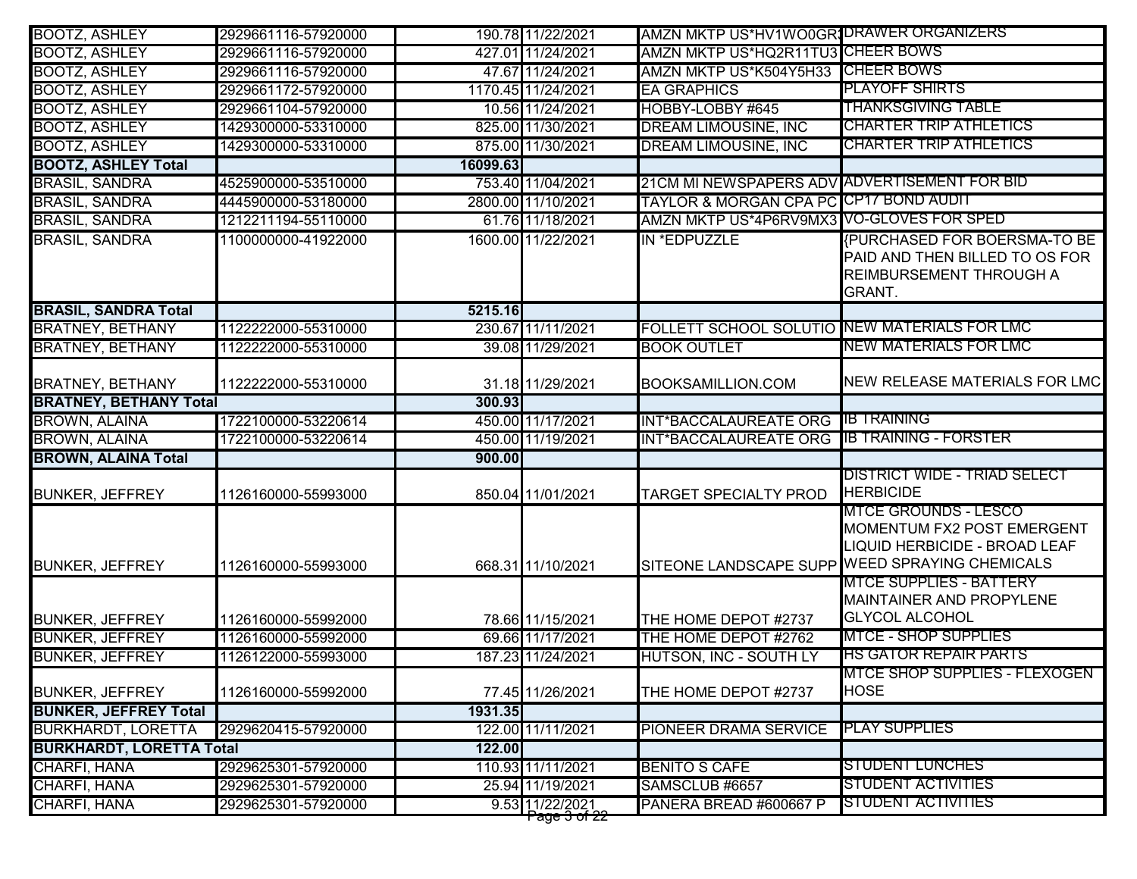| <b>BOOTZ, ASHLEY</b>            | 2929661116-57920000 |          | 190.78 11/22/2021                           | AMZN MKTP US*HV1WO0GR1DRAWER ORGANIZERS      |                                                                                                                                              |
|---------------------------------|---------------------|----------|---------------------------------------------|----------------------------------------------|----------------------------------------------------------------------------------------------------------------------------------------------|
| <b>BOOTZ, ASHLEY</b>            | 2929661116-57920000 |          | 427.01 11/24/2021                           | AMZN MKTP US*HQ2R11TU3 CHEER BOWS            |                                                                                                                                              |
| <b>BOOTZ, ASHLEY</b>            | 2929661116-57920000 |          | 47.67 11/24/2021                            | AMZN MKTP US*K504Y5H33                       | <b>CHEER BOWS</b>                                                                                                                            |
| <b>BOOTZ, ASHLEY</b>            | 2929661172-57920000 |          | 1170.45 11/24/2021                          | <b>EA GRAPHICS</b>                           | PLAYOFF SHIRTS                                                                                                                               |
| <b>BOOTZ, ASHLEY</b>            | 2929661104-57920000 |          | 10.56 11/24/2021                            | HOBBY-LOBBY #645                             | <b>THANKSGIVING TABLE</b>                                                                                                                    |
| <b>BOOTZ, ASHLEY</b>            | 1429300000-53310000 |          | 825.00 11/30/2021                           | <b>DREAM LIMOUSINE, INC</b>                  | <b>CHARTER TRIP ATHLETICS</b>                                                                                                                |
| <b>BOOTZ, ASHLEY</b>            | 1429300000-53310000 |          | 875.00 11/30/2021                           | <b>DREAM LIMOUSINE, INC</b>                  | <b>CHARTER TRIP ATHLETICS</b>                                                                                                                |
| <b>BOOTZ, ASHLEY Total</b>      |                     | 16099.63 |                                             |                                              |                                                                                                                                              |
| <b>BRASIL, SANDRA</b>           | 4525900000-53510000 |          | 753.40 11/04/2021                           | 21CM MI NEWSPAPERS ADV ADVERTISEMENT FOR BID |                                                                                                                                              |
| <b>BRASIL, SANDRA</b>           | 4445900000-53180000 |          | 2800.00 11/10/2021                          | TAYLOR & MORGAN CPA PC CP17 BOND AUDIT       |                                                                                                                                              |
| <b>BRASIL, SANDRA</b>           | 1212211194-55110000 |          | 61.76 11/18/2021                            | AMZN MKTP US*4P6RV9MX3 VO-GLOVES FOR SPED    |                                                                                                                                              |
| <b>BRASIL, SANDRA</b>           | 1100000000-41922000 |          | 1600.00 11/22/2021                          | IN *EDPUZZLE                                 | <b>{PURCHASED FOR BOERSMA-TO BE</b><br>PAID AND THEN BILLED TO OS FOR<br>REIMBURSEMENT THROUGH A<br><b>GRANT.</b>                            |
| <b>BRASIL, SANDRA Total</b>     |                     | 5215.16  |                                             |                                              |                                                                                                                                              |
| <b>BRATNEY, BETHANY</b>         | 1122222000-55310000 |          | 230.67 11/11/2021                           | FOLLETT SCHOOL SOLUTIO NEW MATERIALS FOR LMC |                                                                                                                                              |
| <b>BRATNEY, BETHANY</b>         | 1122222000-55310000 |          | 39.08 11/29/2021                            | <b>BOOK OUTLET</b>                           | NEW MATERIALS FOR LMC                                                                                                                        |
| <b>BRATNEY, BETHANY</b>         | 1122222000-55310000 |          | 31.18 11/29/2021                            | <b>BOOKSAMILLION.COM</b>                     | NEW RELEASE MATERIALS FOR LMC                                                                                                                |
| <b>BRATNEY, BETHANY Total</b>   |                     | 300.93   |                                             |                                              |                                                                                                                                              |
| <b>BROWN, ALAINA</b>            | 1722100000-53220614 |          | 450.00 11/17/2021                           | <b>INT*BACCALAUREATE ORG</b>                 | <b>IB TRAINING</b>                                                                                                                           |
| <b>BROWN, ALAINA</b>            | 1722100000-53220614 |          | 450.00 11/19/2021                           | <b>INT*BACCALAUREATE ORG</b>                 | <b>IB TRAINING - FORSTER</b>                                                                                                                 |
| <b>BROWN, ALAINA Total</b>      |                     | 900.00   |                                             |                                              |                                                                                                                                              |
| <b>BUNKER, JEFFREY</b>          | 1126160000-55993000 |          | 850.04 11/01/2021                           | <b>TARGET SPECIALTY PROD</b>                 | <u> DISTRICT WIDE - TRIAD SELECT</u><br><b>HERBICIDE</b>                                                                                     |
| <b>BUNKER, JEFFREY</b>          | 1126160000-55993000 |          | 668.31 11/10/2021                           |                                              | <b>MTCE GROUNDS - LESCO</b><br>MOMENTUM FX2 POST EMERGENT<br>LIQUID HERBICIDE - BROAD LEAF<br>SITEONE LANDSCAPE SUPP WEED SPRAYING CHEMICALS |
| <b>BUNKER, JEFFREY</b>          | 1126160000-55992000 |          | 78.66 11/15/2021                            | THE HOME DEPOT #2737                         | <b>MTCE SUPPLIES - BATTERY</b><br><b>MAINTAINER AND PROPYLENE</b><br><b>GLYCOL ALCOHOL</b>                                                   |
| <b>BUNKER, JEFFREY</b>          | 1126160000-55992000 |          | 69.66 11/17/2021                            | THE HOME DEPOT #2762                         | <b>MTCE - SHOP SUPPLIES</b>                                                                                                                  |
| <b>BUNKER, JEFFREY</b>          | 1126122000-55993000 |          | 187.23 11/24/2021                           | <b>HUTSON, INC - SOUTH LY</b>                | <b>HS GATOR REPAIR PARTS</b>                                                                                                                 |
| <b>BUNKER, JEFFREY</b>          | 1126160000-55992000 |          | 77.45 11/26/2021                            | THE HOME DEPOT #2737                         | MTCE SHOP SUPPLIES - FLEXOGEN<br><b>HOSE</b>                                                                                                 |
| <b>BUNKER, JEFFREY Total</b>    |                     | 1931.35  |                                             |                                              |                                                                                                                                              |
| <b>BURKHARDT, LORETTA</b>       | 2929620415-57920000 |          | 122.00 11/11/2021                           | PIONEER DRAMA SERVICE                        | <b>PLAY SUPPLIES</b>                                                                                                                         |
| <b>BURKHARDT, LORETTA Total</b> |                     | 122.00   |                                             |                                              |                                                                                                                                              |
| CHARFI, HANA                    | 2929625301-57920000 |          | 110.93 11/11/2021                           | <b>BENITO S CAFE</b>                         | <b>STUDENT LUNCHES</b>                                                                                                                       |
| CHARFI, HANA                    | 2929625301-57920000 |          | 25.94 11/19/2021                            | SAMSCLUB #6657                               | STUDENT ACTIVITIES                                                                                                                           |
| CHARFI, HANA                    | 2929625301-57920000 |          | 9.53 11/22/2021<br>r age <del>3 of 22</del> | PANERA BREAD #600667 P                       | <b>STUDENT ACTIVITIES</b>                                                                                                                    |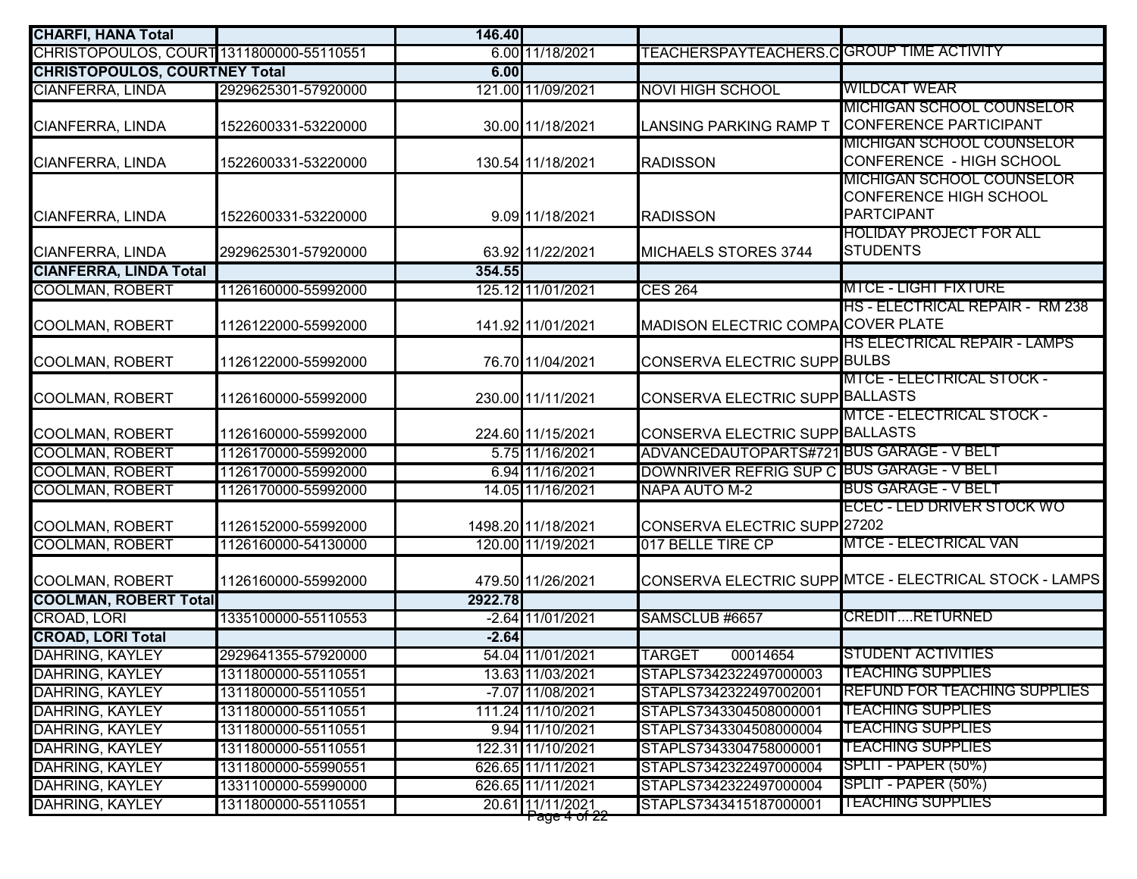| <b>CHARFI, HANA Total</b>                |                     | 146.40  |                                               |                                            |                                                                          |
|------------------------------------------|---------------------|---------|-----------------------------------------------|--------------------------------------------|--------------------------------------------------------------------------|
| CHRISTOPOULOS, COURT 1311800000-55110551 |                     |         | 6.00 11/18/2021                               | TEACHERSPAYTEACHERS.CIGROUP TIME ACTIVITY  |                                                                          |
| <b>CHRISTOPOULOS, COURTNEY Total</b>     |                     | 6.00    |                                               |                                            |                                                                          |
| <b>CIANFERRA, LINDA</b>                  | 2929625301-57920000 |         | 121.00 11/09/2021                             | <b>NOVI HIGH SCHOOL</b>                    | <b>WILDCAT WEAR</b>                                                      |
| CIANFERRA, LINDA                         | 1522600331-53220000 |         | 30.00 11/18/2021                              | LANSING PARKING RAMP T                     | <b>MICHIGAN SCHOOL COUNSELOR</b><br><b>CONFERENCE PARTICIPANT</b>        |
| CIANFERRA, LINDA                         | 1522600331-53220000 |         | 130.54 11/18/2021                             | <b>RADISSON</b>                            | <u>MICHIGAN SCHOOL COUNSELOR</u><br>CONFERENCE - HIGH SCHOOL             |
| CIANFERRA, LINDA                         | 1522600331-53220000 |         | 9.09 11/18/2021                               | <b>RADISSON</b>                            | MICHIGAN SCHOOL COUNSELOR<br>CONFERENCE HIGH SCHOOL<br><b>PARTCIPANT</b> |
| <b>CIANFERRA, LINDA</b>                  | 2929625301-57920000 |         | 63.92 11/22/2021                              | <b>MICHAELS STORES 3744</b>                | HOLIDAY PROJECT FOR ALL<br><b>STUDENTS</b>                               |
| <b>CIANFERRA, LINDA Total</b>            |                     | 354.55  |                                               |                                            |                                                                          |
| <b>COOLMAN, ROBERT</b>                   | 1126160000-55992000 |         | 125.12 11/01/2021                             | <b>CES 264</b>                             | MTCE - LIGHT FIXTURE                                                     |
| <b>COOLMAN, ROBERT</b>                   | 1126122000-55992000 |         | 141.92 11/01/2021                             | MADISON ELECTRIC COMPACOVER PLATE          | <b>HS - ELECTRICAL REPAIR - RM 238</b>                                   |
| <b>COOLMAN, ROBERT</b>                   | 1126122000-55992000 |         | 76.70 11/04/2021                              | CONSERVA ELECTRIC SUPP BULBS               | <b>HS ELECTRICAL REPAIR - LAMPS</b>                                      |
| <b>COOLMAN, ROBERT</b>                   | 1126160000-55992000 |         | 230.00 11/11/2021                             | CONSERVA ELECTRIC SUPP BALLASTS            | <b>MTCE - ELECTRICAL STOCK -</b>                                         |
|                                          |                     |         |                                               |                                            | <b>MTCE - ELECTRICAL STOCK -</b>                                         |
| <b>COOLMAN, ROBERT</b>                   | 1126160000-55992000 |         | 224.60 11/15/2021                             | CONSERVA ELECTRIC SUPP BALLASTS            |                                                                          |
| <b>COOLMAN, ROBERT</b>                   | 1126170000-55992000 |         | 5.75 11/16/2021                               | ADVANCEDAUTOPARTS#721BUS GARAGE - V BELT   |                                                                          |
| <b>COOLMAN, ROBERT</b>                   | 1126170000-55992000 |         | 6.94 11/16/2021                               | DOWNRIVER REFRIG SUP C BUS GARAGE - V BELT |                                                                          |
| <b>COOLMAN, ROBERT</b>                   | 1126170000-55992000 |         | 14.05 11/16/2021                              | <b>NAPA AUTO M-2</b>                       | BUS GARAGE - V BELT                                                      |
| <b>COOLMAN, ROBERT</b>                   | 1126152000-55992000 |         | 1498.20 11/18/2021                            | CONSERVA ELECTRIC SUPP <sup>27202</sup>    | ECEC - LED DRIVER STOCK WO                                               |
| <b>COOLMAN, ROBERT</b>                   | 1126160000-54130000 |         | 120.00 11/19/2021                             | 017 BELLE TIRE CP                          | <b>MTCE - ELECTRICAL VAN</b>                                             |
| <b>COOLMAN, ROBERT</b>                   | 1126160000-55992000 |         | 479.50 11/26/2021                             |                                            | CONSERVA ELECTRIC SUPPIMTCE - ELECTRICAL STOCK - LAMPS                   |
| <b>COOLMAN, ROBERT Total</b>             |                     | 2922.78 |                                               |                                            |                                                                          |
| CROAD, LORI                              | 1335100000-55110553 |         | -2.64 11/01/2021                              | SAMSCLUB #6657                             | <b>CREDITRETURNED</b>                                                    |
| <b>CROAD, LORI Total</b>                 |                     | $-2.64$ |                                               |                                            |                                                                          |
| <b>DAHRING, KAYLEY</b>                   | 2929641355-57920000 |         | 54.04 11/01/2021                              | <b>TARGET</b><br>00014654                  | <b>STUDENT ACTIVITIES</b>                                                |
| <b>DAHRING, KAYLEY</b>                   | 1311800000-55110551 |         | 13.63 11/03/2021                              | STAPLS7342322497000003                     | <b>TEACHING SUPPLIES</b>                                                 |
| DAHRING, KAYLEY                          | 1311800000-55110551 |         | $-7.07$ 11/08/2021                            | STAPLS7342322497002001                     | <b>REFUND FOR TEACHING SUPPLIES</b>                                      |
| <b>DAHRING, KAYLEY</b>                   | 1311800000-55110551 |         | 111.24 11/10/2021                             | STAPLS7343304508000001                     | <u>TEACHING SUPPLIES</u>                                                 |
| DAHRING, KAYLEY                          | 1311800000-55110551 |         | 9.94 11/10/2021                               | STAPLS7343304508000004                     | <u>TEACHING SUPPLIES</u>                                                 |
| <b>DAHRING, KAYLEY</b>                   | 1311800000-55110551 |         | 122.31 11/10/2021                             | STAPLS7343304758000001                     | <u>TEACHING SUPPLIES</u>                                                 |
| <b>DAHRING, KAYLEY</b>                   | 1311800000-55990551 |         | 626.65 11/11/2021                             | STAPLS7342322497000004                     | SPLIT - PAPER (50%)                                                      |
| <b>DAHRING, KAYLEY</b>                   | 1331100000-55990000 |         | 626.65 11/11/2021                             | STAPLS7342322497000004                     | SPLIT - PAPER (50%)                                                      |
| <b>DAHRING, KAYLEY</b>                   | 1311800000-55110551 |         | 20.61 11/11/2021<br>r ay <del>o 4 or zz</del> | STAPLS7343415187000001                     | <u>TEACHING SUPPLIES</u>                                                 |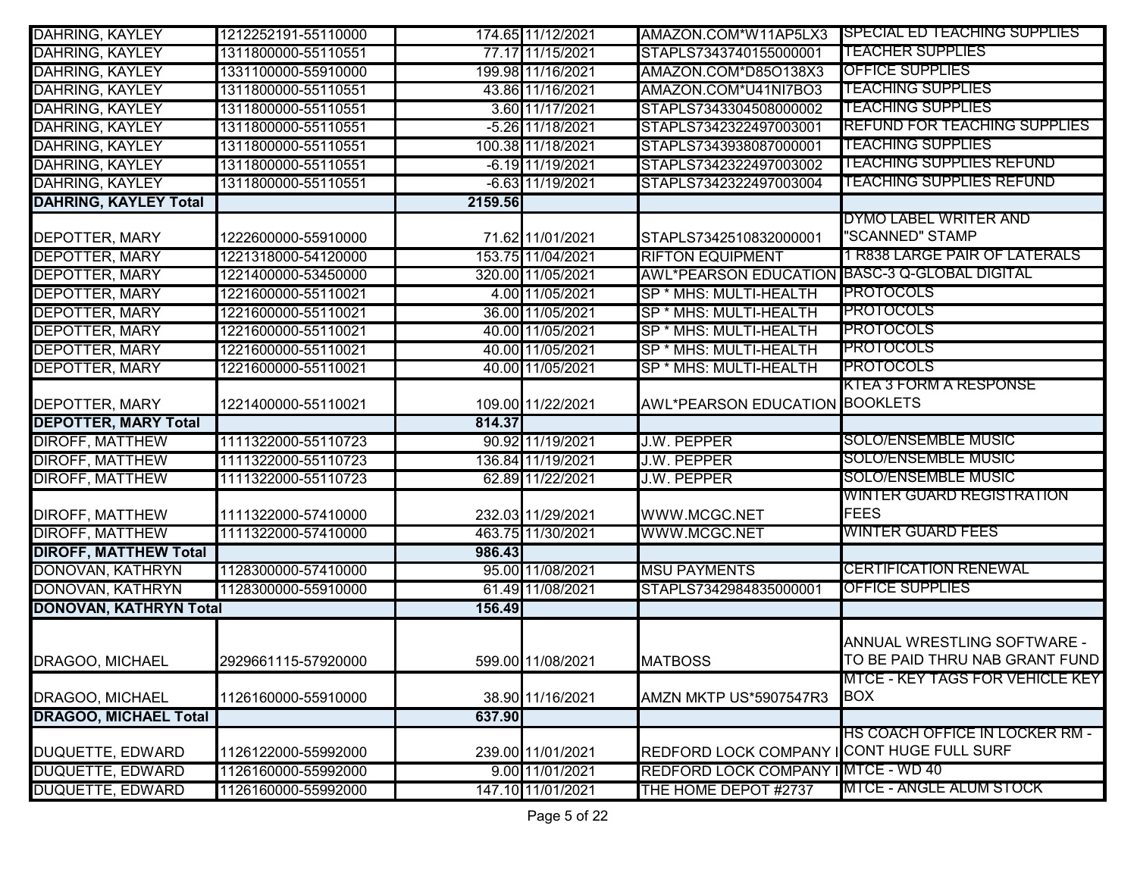| <b>DAHRING, KAYLEY</b>        | 1212252191-55110000 |         | 174.65 11/12/2021  | AMAZON.COM*W11AP5LX3                          | <b>SPECIAL ED TEACHING SUPPLIES</b>           |
|-------------------------------|---------------------|---------|--------------------|-----------------------------------------------|-----------------------------------------------|
| <b>DAHRING, KAYLEY</b>        | 1311800000-55110551 |         | 77.17 11/15/2021   | STAPLS7343740155000001                        | <b>TEACHER SUPPLIES</b>                       |
| <b>DAHRING, KAYLEY</b>        | 1331100000-55910000 |         | 199.98 11/16/2021  | AMAZON.COM*D85O138X3                          | <b>OFFICE SUPPLIES</b>                        |
| <b>DAHRING, KAYLEY</b>        | 1311800000-55110551 |         | 43.86 11/16/2021   | AMAZON.COM*U41NI7BO3                          | <b>TEACHING SUPPLIES</b>                      |
| <b>DAHRING, KAYLEY</b>        | 1311800000-55110551 |         | 3.60 11/17/2021    | STAPLS7343304508000002                        | <b>TEACHING SUPPLIES</b>                      |
| <b>DAHRING, KAYLEY</b>        | 1311800000-55110551 |         | -5.26 11/18/2021   | STAPLS7342322497003001                        | <b>REFUND FOR TEACHING SUPPLIES</b>           |
| <b>DAHRING, KAYLEY</b>        | 1311800000-55110551 |         | 100.38 11/18/2021  | STAPLS7343938087000001                        | <b>TEACHING SUPPLIES</b>                      |
| <b>DAHRING, KAYLEY</b>        | 1311800000-55110551 |         | $-6.19$ 11/19/2021 | STAPLS7342322497003002                        | <b>TEACHING SUPPLIES REFUND</b>               |
| <b>DAHRING, KAYLEY</b>        | 1311800000-55110551 |         | -6.63 11/19/2021   | STAPLS7342322497003004                        | <b>TEACHING SUPPLIES REFUND</b>               |
| <b>DAHRING, KAYLEY Total</b>  |                     | 2159.56 |                    |                                               |                                               |
| <b>DEPOTTER, MARY</b>         | 1222600000-55910000 |         | 71.62 11/01/2021   | STAPLS7342510832000001                        | DYMO LABEL WRITER AND<br>"SCANNED" STAMP      |
| DEPOTTER, MARY                | 1221318000-54120000 |         | 153.75 11/04/2021  | <b>RIFTON EQUIPMENT</b>                       | 1 R838 LARGE PAIR OF LATERALS                 |
| <b>DEPOTTER, MARY</b>         | 1221400000-53450000 |         | 320.00 11/05/2021  | AWL*PEARSON EDUCATION BASC-3 Q-GLOBAL DIGITAL |                                               |
| <b>DEPOTTER, MARY</b>         | 1221600000-55110021 |         | 4.00 11/05/2021    | SP * MHS: MULTI-HEALTH                        | <b>PROTOCOLS</b>                              |
| <b>DEPOTTER, MARY</b>         | 1221600000-55110021 |         | 36.00 11/05/2021   | SP * MHS: MULTI-HEALTH                        | <b>PROTOCOLS</b>                              |
| <b>DEPOTTER, MARY</b>         | 1221600000-55110021 |         | 40.00 11/05/2021   | SP * MHS: MULTI-HEALTH                        | <b>PROTOCOLS</b>                              |
| <b>DEPOTTER, MARY</b>         | 1221600000-55110021 |         | 40.00 11/05/2021   | SP * MHS: MULTI-HEALTH                        | <b>PROTOCOLS</b>                              |
| <b>DEPOTTER, MARY</b>         | 1221600000-55110021 |         | 40.00 11/05/2021   | SP * MHS: MULTI-HEALTH                        | <b>PROTOCOLS</b>                              |
|                               |                     |         |                    |                                               | KTEA 3 FORM A RESPONSE                        |
| <b>DEPOTTER, MARY</b>         | 1221400000-55110021 |         | 109.00 11/22/2021  | <b>AWL*PEARSON EDUCATION BOOKLETS</b>         |                                               |
| <b>DEPOTTER, MARY Total</b>   |                     | 814.37  |                    |                                               |                                               |
| <b>DIROFF, MATTHEW</b>        | 1111322000-55110723 |         | 90.92 11/19/2021   | <b>J.W. PEPPER</b>                            | <b>SOLO/ENSEMBLE MUSIC</b>                    |
| <b>DIROFF, MATTHEW</b>        | 1111322000-55110723 |         | 136.84 11/19/2021  | <b>J.W. PEPPER</b>                            | <b>SOLO/ENSEMBLE MUSIC</b>                    |
| <b>DIROFF, MATTHEW</b>        | 1111322000-55110723 |         | 62.89 11/22/2021   | <b>J.W. PEPPER</b>                            | <b>SOLO/ENSEMBLE MUSIC</b>                    |
| DIROFF, MATTHEW               | 1111322000-57410000 |         | 232.03 11/29/2021  | WWW.MCGC.NET                                  | WINTER GUARD REGISTRATION<br><b>FEES</b>      |
| <b>DIROFF, MATTHEW</b>        | 1111322000-57410000 |         | 463.75 11/30/2021  | WWW.MCGC.NET                                  | <b>WINTER GUARD FEES</b>                      |
| <b>DIROFF, MATTHEW Total</b>  |                     | 986.43  |                    |                                               |                                               |
| DONOVAN, KATHRYN              | 1128300000-57410000 |         | 95.00 11/08/2021   | <b>MSU PAYMENTS</b>                           | <b>CERTIFICATION RENEWAL</b>                  |
| DONOVAN, KATHRYN              | 1128300000-55910000 |         | 61.49 11/08/2021   | STAPLS7342984835000001                        | <b>OFFICE SUPPLIES</b>                        |
| <b>DONOVAN, KATHRYN Total</b> |                     | 156.49  |                    |                                               |                                               |
|                               |                     |         |                    |                                               | ANNUAL WRESTLING SOFTWARE -                   |
| DRAGOO, MICHAEL               | 2929661115-57920000 |         | 599.00 11/08/2021  | <b>MATBOSS</b>                                | TO BE PAID THRU NAB GRANT FUND                |
| DRAGOO, MICHAEL               | 1126160000-55910000 |         | 38.90 11/16/2021   | AMZN MKTP US*5907547R3                        | MTCE - KEY TAGS FOR VEHICLE KEY<br><b>BOX</b> |
| <b>DRAGOO, MICHAEL Total</b>  |                     | 637.90  |                    |                                               |                                               |
|                               |                     |         |                    |                                               | HS COACH OFFICE IN LOCKER RM -                |
| DUQUETTE, EDWARD              | 1126122000-55992000 |         | 239.00 11/01/2021  | REDFORD LOCK COMPANY ICONT HUGE FULL SURF     |                                               |
| <b>DUQUETTE, EDWARD</b>       | 1126160000-55992000 |         | 9.00 11/01/2021    | <b>REDFORD LOCK COMPANY</b>                   | IMTCE - WD 40                                 |
| <b>DUQUETTE, EDWARD</b>       | 1126160000-55992000 |         | 147.10 11/01/2021  | THE HOME DEPOT #2737                          | MTCE - ANGLE ALUM STOCK                       |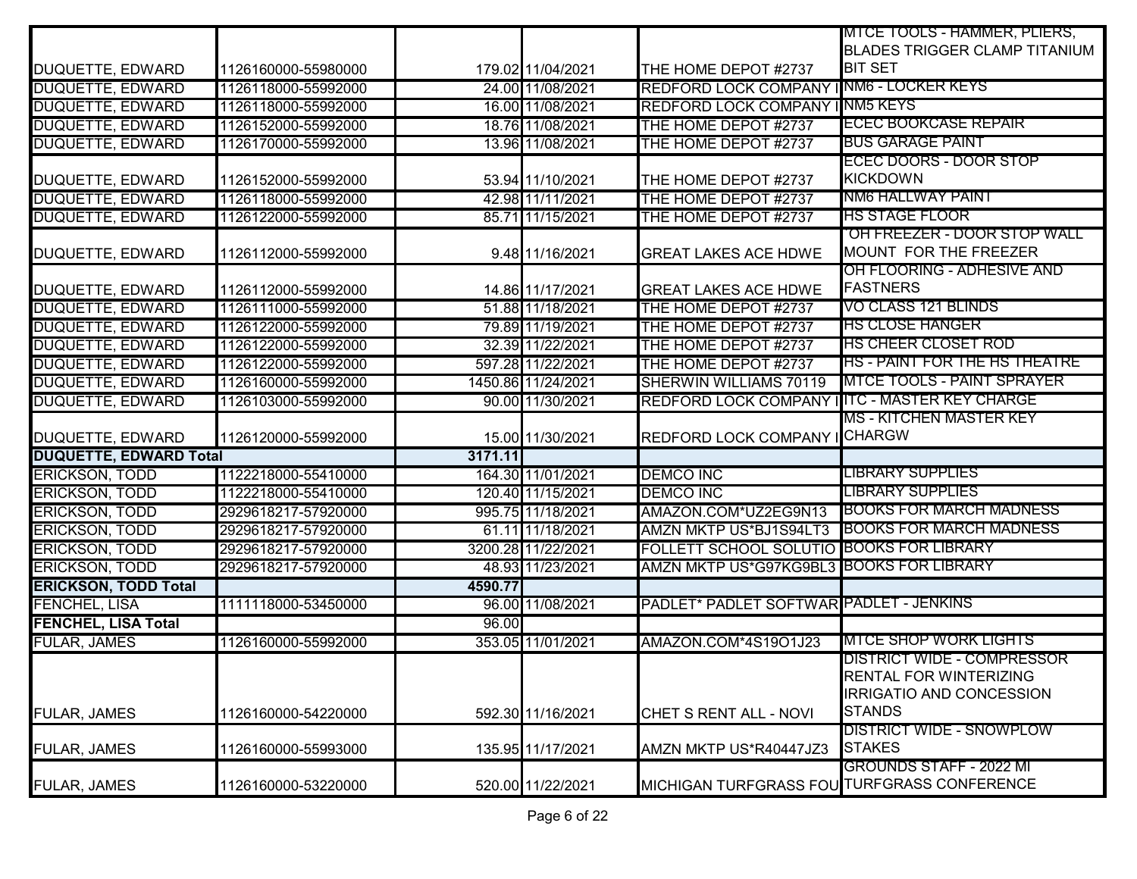|                               |                     |         |                    |                                               | MTCE TOOLS - HAMMER, PLIERS,         |
|-------------------------------|---------------------|---------|--------------------|-----------------------------------------------|--------------------------------------|
|                               |                     |         |                    |                                               | <b>BLADES TRIGGER CLAMP TITANIUM</b> |
| DUQUETTE, EDWARD              | 1126160000-55980000 |         | 179.02 11/04/2021  | THE HOME DEPOT #2737                          | <b>BIT SET</b>                       |
| <b>DUQUETTE, EDWARD</b>       | 1126118000-55992000 |         | 24.00 11/08/2021   | REDFORD LOCK COMPANY INM6 - LOCKER KEYS       |                                      |
| <b>DUQUETTE, EDWARD</b>       | 1126118000-55992000 |         | 16.00 11/08/2021   | REDFORD LOCK COMPANY INM5 KEYS                |                                      |
| <b>DUQUETTE, EDWARD</b>       | 1126152000-55992000 |         | 18.76 11/08/2021   | THE HOME DEPOT #2737                          | <b>ECEC BOOKCASE REPAIR</b>          |
| <b>DUQUETTE, EDWARD</b>       | 1126170000-55992000 |         | 13.96 11/08/2021   | THE HOME DEPOT #2737                          | <b>BUS GARAGE PAINT</b>              |
|                               |                     |         |                    |                                               | ECEC DOORS - DOOR STOP               |
| DUQUETTE, EDWARD              | 1126152000-55992000 |         | 53.94 11/10/2021   | THE HOME DEPOT #2737                          | <b>KICKDOWN</b>                      |
| <b>DUQUETTE, EDWARD</b>       | 1126118000-55992000 |         | 42.98 11/11/2021   | THE HOME DEPOT #2737                          | NM6 HALLWAY PAINT                    |
| DUQUETTE, EDWARD              | 1126122000-55992000 |         | 85.71 11/15/2021   | THE HOME DEPOT #2737                          | <b>HS STAGE FLOOR</b>                |
|                               |                     |         |                    |                                               | <u>'OH FREEZER - DOOR STOP WALL</u>  |
| DUQUETTE, EDWARD              | 1126112000-55992000 |         | 9.48 11/16/2021    | <b>GREAT LAKES ACE HDWE</b>                   | MOUNT FOR THE FREEZER                |
|                               |                     |         |                    |                                               | OH FLOORING - ADHESIVE AND           |
| DUQUETTE, EDWARD              | 1126112000-55992000 |         | 14.86 11/17/2021   | <b>GREAT LAKES ACE HDWE</b>                   | <b>FASTNERS</b>                      |
| <b>DUQUETTE, EDWARD</b>       | 1126111000-55992000 |         | 51.88 11/18/2021   | THE HOME DEPOT #2737                          | VO CLASS 121 BLINDS                  |
| <b>DUQUETTE, EDWARD</b>       | 1126122000-55992000 |         | 79.89 11/19/2021   | THE HOME DEPOT #2737                          | <b>HS CLOSE HANGER</b>               |
| <b>DUQUETTE, EDWARD</b>       | 1126122000-55992000 |         | 32.39 11/22/2021   | THE HOME DEPOT #2737                          | <b>HS CHEER CLOSET ROD</b>           |
| <b>DUQUETTE, EDWARD</b>       | 1126122000-55992000 |         | 597.28 11/22/2021  | THE HOME DEPOT #2737                          | HS - PAINT FOR THE HS THEATRE        |
| <b>DUQUETTE, EDWARD</b>       | 1126160000-55992000 |         | 1450.86 11/24/2021 | SHERWIN WILLIAMS 70119                        | <b>MTCE TOOLS - PAINT SPRAYER</b>    |
| <b>DUQUETTE, EDWARD</b>       | 1126103000-55992000 |         | 90.00 11/30/2021   | REDFORD LOCK COMPANY ITTC - MASTER KEY CHARGE |                                      |
|                               |                     |         |                    |                                               | <b>MS - KITCHEN MASTER KEY</b>       |
| DUQUETTE, EDWARD              | 1126120000-55992000 |         | 15.00 11/30/2021   | REDFORD LOCK COMPANY I CHARGW                 |                                      |
| <b>DUQUETTE, EDWARD Total</b> |                     | 3171.11 |                    |                                               |                                      |
| <b>ERICKSON, TODD</b>         | 1122218000-55410000 |         | 164.30 11/01/2021  | <b>DEMCO INC</b>                              | <b>LIBRARY SUPPLIES</b>              |
| <b>ERICKSON, TODD</b>         | 1122218000-55410000 |         | 120.40 11/15/2021  | <b>DEMCO INC</b>                              | <b>LIBRARY SUPPLIES</b>              |
| <b>ERICKSON, TODD</b>         | 2929618217-57920000 |         | 995.75 11/18/2021  | AMAZON.COM*UZ2EG9N13                          | <b>BOOKS FOR MARCH MADNESS</b>       |
| <b>ERICKSON, TODD</b>         | 2929618217-57920000 |         | 61.11 11/18/2021   | <b>AMZN MKTP US*BJ1S94LT3</b>                 | <b>BOOKS FOR MARCH MADNESS</b>       |
| <b>ERICKSON, TODD</b>         | 2929618217-57920000 |         | 3200.28 11/22/2021 | FOLLETT SCHOOL SOLUTIO BOOKS FOR LIBRARY      |                                      |
| <b>ERICKSON, TODD</b>         | 2929618217-57920000 |         | 48.93 11/23/2021   | AMZN MKTP US*G97KG9BL3 BOOKS FOR LIBRARY      |                                      |
| <b>ERICKSON, TODD Total</b>   |                     | 4590.77 |                    |                                               |                                      |
| FENCHEL, LISA                 | 1111118000-53450000 |         | 96.00 11/08/2021   | PADLET* PADLET SOFTWAR PADLET - JENKINS       |                                      |
| <b>FENCHEL, LISA Total</b>    |                     | 96.00   |                    |                                               |                                      |
| <b>FULAR, JAMES</b>           | 1126160000-55992000 |         | 353.05 11/01/2021  | AMAZON.COM*4S19O1J23                          | <b>MTCE SHOP WORK LIGHTS</b>         |
|                               |                     |         |                    |                                               | <b>DISTRICT WIDE - COMPRESSOR</b>    |
|                               |                     |         |                    |                                               | <b>RENTAL FOR WINTERIZING</b>        |
|                               |                     |         |                    |                                               | IRRIGATIO AND CONCESSION             |
| FULAR, JAMES                  | 1126160000-54220000 |         | 592.30 11/16/2021  | CHET S RENT ALL - NOVI                        | <b>STANDS</b>                        |
|                               |                     |         |                    |                                               | <b>DISTRICT WIDE - SNOWPLOW</b>      |
| <b>FULAR, JAMES</b>           | 1126160000-55993000 |         | 135.95 11/17/2021  | AMZN MKTP US*R40447JZ3                        | <b>STAKES</b>                        |
|                               |                     |         |                    |                                               | GROUNDS STAFF - 2022 MI              |
| <b>FULAR, JAMES</b>           | 1126160000-53220000 |         | 520.00 11/22/2021  | MICHIGAN TURFGRASS FOU TURFGRASS CONFERENCE   |                                      |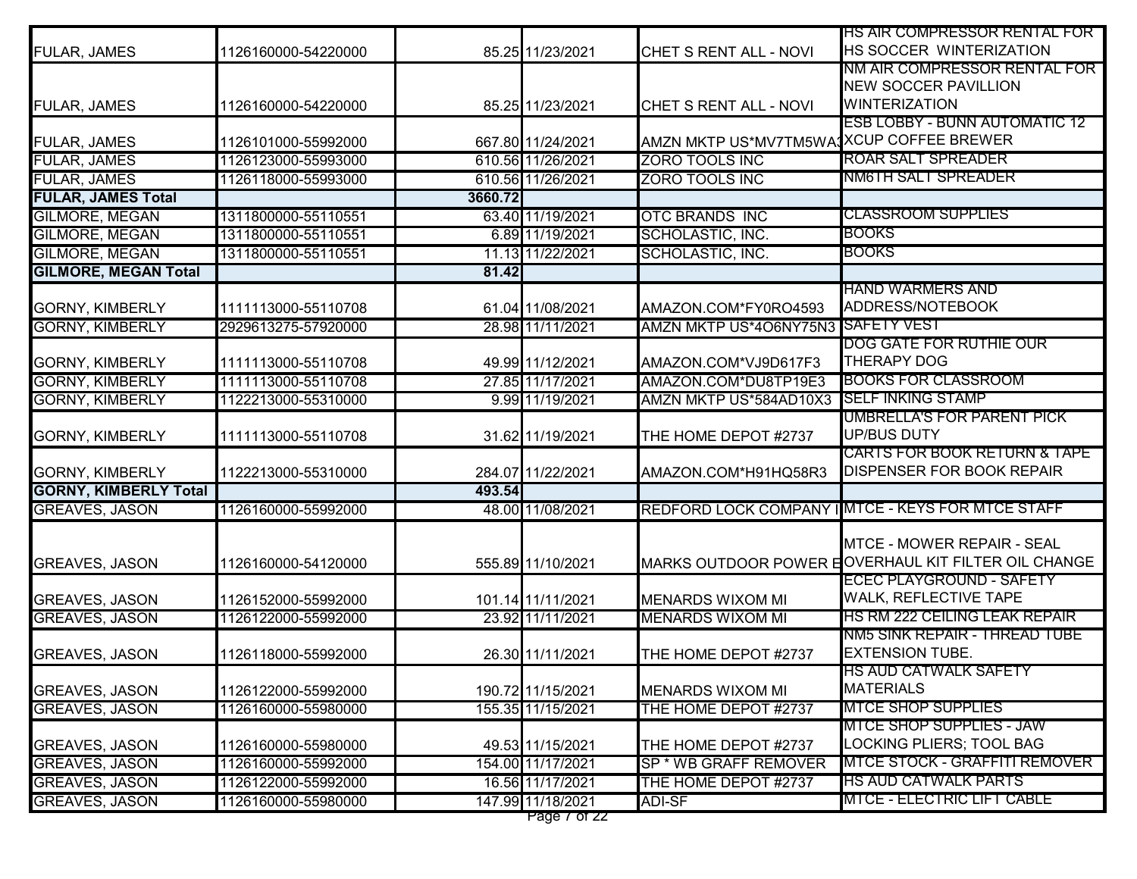|                                                |                     |         |                                        |                                               | HS AIR COMPRESSOR RENTAL FOR                                                           |
|------------------------------------------------|---------------------|---------|----------------------------------------|-----------------------------------------------|----------------------------------------------------------------------------------------|
| FULAR, JAMES                                   | 1126160000-54220000 |         | 85.25 11/23/2021                       | CHET S RENT ALL - NOVI                        | HS SOCCER WINTERIZATION                                                                |
|                                                |                     |         |                                        |                                               | NM AIR COMPRESSOR RENTAL FOR                                                           |
|                                                |                     |         |                                        |                                               | <b>NEW SOCCER PAVILLION</b>                                                            |
| <b>FULAR, JAMES</b>                            | 1126160000-54220000 |         | 85.25 11/23/2021                       | CHET S RENT ALL - NOVI                        | <b>WINTERIZATION</b>                                                                   |
|                                                |                     |         |                                        |                                               | <b>ESB LOBBY - BUNN AUTOMATIC 12</b>                                                   |
| FULAR, JAMES                                   | 1126101000-55992000 |         | 667.80 11/24/2021                      | AMZN MKTP US*MV7TM5WA1XCUP COFFEE BREWER      |                                                                                        |
| <b>FULAR, JAMES</b>                            | 1126123000-55993000 |         | 610.56 11/26/2021                      | ZORO TOOLS INC                                | <b>ROAR SALT SPREADER</b>                                                              |
| <b>FULAR, JAMES</b>                            | 1126118000-55993000 |         | 610.56 11/26/2021                      | <b>ZORO TOOLS INC</b>                         | NM6TH SALT SPREADER                                                                    |
| <b>FULAR, JAMES Total</b>                      |                     | 3660.72 |                                        |                                               |                                                                                        |
| <b>GILMORE, MEGAN</b>                          | 1311800000-55110551 |         | 63.40 11/19/2021                       | <b>OTC BRANDS INC</b>                         | <b>CLASSROOM SUPPLIES</b>                                                              |
| <b>GILMORE, MEGAN</b>                          | 1311800000-55110551 |         | 6.89 11/19/2021                        | SCHOLASTIC, INC.                              | <b>BOOKS</b>                                                                           |
| <b>GILMORE, MEGAN</b>                          | 1311800000-55110551 |         | 11.13 11/22/2021                       | SCHOLASTIC, INC.                              | <b>BOOKS</b>                                                                           |
| <b>GILMORE, MEGAN Total</b>                    |                     | 81.42   |                                        |                                               |                                                                                        |
|                                                |                     |         |                                        |                                               | <u>IHAND WARMERS AND</u>                                                               |
| <b>GORNY, KIMBERLY</b>                         | 1111113000-55110708 |         | 61.04 11/08/2021                       | AMAZON.COM*FY0RO4593                          | ADDRESS/NOTEBOOK                                                                       |
| <b>GORNY, KIMBERLY</b>                         | 2929613275-57920000 |         | 28.98 11/11/2021                       | AMZN MKTP US*4O6NY75N3 SAFETY VEST            |                                                                                        |
|                                                |                     |         |                                        |                                               | DOG GATE FOR RUTHIE OUR                                                                |
| <b>GORNY, KIMBERLY</b>                         | 1111113000-55110708 |         | 49.99 11/12/2021                       | AMAZON.COM*VJ9D617F3                          | <b>THERAPY DOG</b>                                                                     |
| <b>GORNY, KIMBERLY</b>                         | 1111113000-55110708 |         | 27.85 11/17/2021                       | AMAZON.COM*DU8TP19E3                          | <b>BOOKS FOR CLASSROOM</b>                                                             |
| <b>GORNY, KIMBERLY</b>                         | 1122213000-55310000 |         | 9.99 11/19/2021                        | AMZN MKTP US*584AD10X3                        | <b>SELF INKING STAMP</b>                                                               |
|                                                |                     |         |                                        |                                               | <b>UMBRELLA'S FOR PARENT PICK</b>                                                      |
| <b>GORNY, KIMBERLY</b>                         | 1111113000-55110708 |         | 31.62 11/19/2021                       | THE HOME DEPOT #2737                          | <b>UP/BUS DUTY</b>                                                                     |
|                                                |                     |         |                                        |                                               | <b>CARTS FOR BOOK RETURN &amp; TAPE</b>                                                |
| <b>GORNY, KIMBERLY</b>                         | 1122213000-55310000 |         | 284.07 11/22/2021                      | AMAZON.COM*H91HQ58R3                          | <b>DISPENSER FOR BOOK REPAIR</b>                                                       |
| <b>GORNY, KIMBERLY Total</b>                   |                     | 493.54  |                                        |                                               |                                                                                        |
| <b>GREAVES, JASON</b>                          | 1126160000-55992000 |         | 48.00 11/08/2021                       |                                               | REDFORD LOCK COMPANY IMTCE - KEYS FOR MTCE STAFF                                       |
|                                                |                     |         |                                        |                                               |                                                                                        |
|                                                |                     |         |                                        |                                               | <b>MTCE - MOWER REPAIR - SEAL</b>                                                      |
| <b>GREAVES, JASON</b>                          | 1126160000-54120000 |         | 555.89 11/10/2021                      |                                               | MARKS OUTDOOR POWER EOVERHAUL KIT FILTER OIL CHANGE<br><b>ECEC PLAYGROUND - SAFETY</b> |
|                                                |                     |         | 101.14 11/11/2021                      |                                               | <b>WALK, REFLECTIVE TAPE</b>                                                           |
| <b>GREAVES, JASON</b>                          | 1126152000-55992000 |         |                                        | <b>MENARDS WIXOM MI</b>                       | HS RM 222 CEILING LEAK REPAIR                                                          |
| <b>GREAVES, JASON</b>                          | 1126122000-55992000 |         | 23.92 11/11/2021                       | <b>MENARDS WIXOM MI</b>                       | <u>NM5 SINK REPAIR - THREAD TUBE</u>                                                   |
|                                                |                     |         |                                        |                                               | <b>EXTENSION TUBE.</b>                                                                 |
| <b>GREAVES, JASON</b>                          | 1126118000-55992000 |         | 26.30 11/11/2021                       | THE HOME DEPOT #2737                          |                                                                                        |
|                                                |                     |         |                                        |                                               | IHS AUD CATWALK SAFETY<br><b>MATERIALS</b>                                             |
| <b>GREAVES, JASON</b>                          | 1126122000-55992000 |         | 190.72 11/15/2021<br>155.35 11/15/2021 | MENARDS WIXOM MI<br>THE HOME DEPOT #2737      | <b>MTCE SHOP SUPPLIES</b>                                                              |
| <b>GREAVES, JASON</b>                          | 1126160000-55980000 |         |                                        |                                               | <b>MTCE SHOP SUPPLIES - JAW</b>                                                        |
|                                                | 1126160000-55980000 |         |                                        |                                               | LOCKING PLIERS; TOOL BAG                                                               |
| <b>GREAVES, JASON</b><br><b>GREAVES, JASON</b> | 1126160000-55992000 |         | 49.53 11/15/2021<br>154.00 11/17/2021  | THE HOME DEPOT #2737<br>SP * WB GRAFF REMOVER | MTCE STOCK - GRAFFITI REMOVER                                                          |
| <b>GREAVES, JASON</b>                          | 1126122000-55992000 |         | 16.56 11/17/2021                       |                                               | <b>HS AUD CATWALK PARTS</b>                                                            |
| <b>GREAVES, JASON</b>                          | 1126160000-55980000 |         | 147.99 11/18/2021                      | THE HOME DEPOT #2737<br><b>ADI-SF</b>         | <b>MTCE - ELECTRIC LIFT CABLE</b>                                                      |
|                                                |                     |         | Page / or 22                           |                                               |                                                                                        |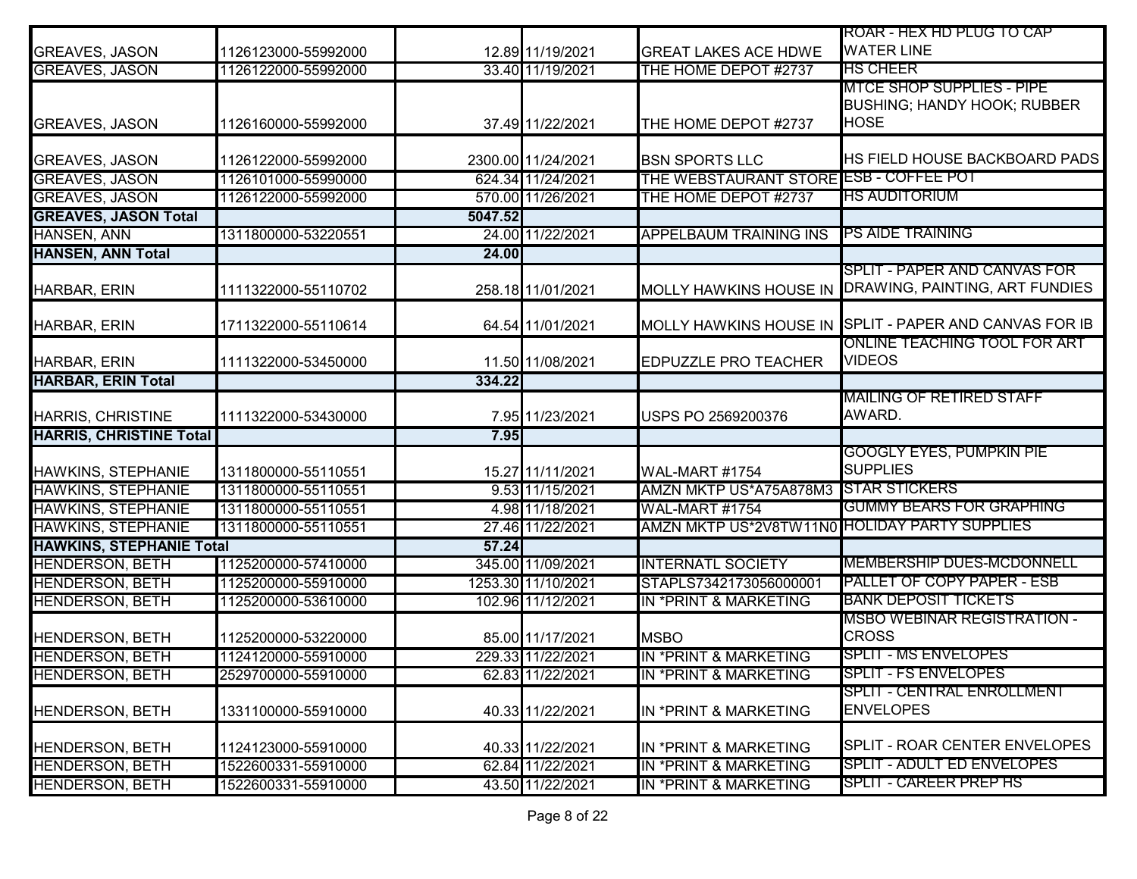|                                 |                     |         |                    |                                               | ROAR - HEX HD PLUG TO CAP                                                             |
|---------------------------------|---------------------|---------|--------------------|-----------------------------------------------|---------------------------------------------------------------------------------------|
| <b>GREAVES, JASON</b>           | 1126123000-55992000 |         | 12.89 11/19/2021   | <b>GREAT LAKES ACE HDWE</b>                   | <b>WATER LINE</b>                                                                     |
| <b>GREAVES, JASON</b>           | 1126122000-55992000 |         | 33.40 11/19/2021   | THE HOME DEPOT #2737                          | <b>IHS CHEER</b>                                                                      |
| <b>GREAVES, JASON</b>           | 1126160000-55992000 |         | 37.49 11/22/2021   | THE HOME DEPOT #2737                          | <b>MTCE SHOP SUPPLIES - PIPE</b><br><b>BUSHING; HANDY HOOK; RUBBER</b><br><b>HOSE</b> |
| <b>GREAVES, JASON</b>           | 1126122000-55992000 |         | 2300.00 11/24/2021 | <b>BSN SPORTS LLC</b>                         | HS FIELD HOUSE BACKBOARD PADS                                                         |
| <b>GREAVES, JASON</b>           | 1126101000-55990000 |         | 624.34 11/24/2021  | THE WEBSTAURANT STORE ESB - COFFEE POT        |                                                                                       |
| <b>GREAVES, JASON</b>           | 1126122000-55992000 |         | 570.00 11/26/2021  | THE HOME DEPOT #2737                          | <u>HS AUDITORIUM</u>                                                                  |
| <b>GREAVES, JASON Total</b>     |                     | 5047.52 |                    |                                               |                                                                                       |
| <b>HANSEN, ANN</b>              | 1311800000-53220551 |         | 24.00 11/22/2021   | <b>APPELBAUM TRAINING INS</b>                 | <b>PS AIDE TRAINING</b>                                                               |
| <b>HANSEN, ANN Total</b>        |                     | 24.00   |                    |                                               |                                                                                       |
| HARBAR, ERIN                    | 1111322000-55110702 |         | 258.18 11/01/2021  | <b>MOLLY HAWKINS HOUSE IN</b>                 | SPLIT - PAPER AND CANVAS FOR<br>DRAWING, PAINTING, ART FUNDIES                        |
| HARBAR, ERIN                    | 1711322000-55110614 |         | 64.54 11/01/2021   |                                               | MOLLY HAWKINS HOUSE IN SPLIT - PAPER AND CANVAS FOR IB                                |
| HARBAR, ERIN                    | 1111322000-53450000 |         | 11.50 11/08/2021   | <b>EDPUZZLE PRO TEACHER</b>                   | ONLINE TEACHING TOOL FOR ART<br><b>VIDEOS</b>                                         |
| <b>HARBAR, ERIN Total</b>       |                     | 334.22  |                    |                                               |                                                                                       |
| HARRIS, CHRISTINE               | 1111322000-53430000 |         | 7.95 11/23/2021    | USPS PO 2569200376                            | MAILING OF RETIRED STAFF<br>AWARD.                                                    |
| <b>HARRIS, CHRISTINE Total</b>  |                     | 7.95    |                    |                                               |                                                                                       |
| HAWKINS, STEPHANIE              | 1311800000-55110551 |         | 15.27 11/11/2021   | <b>WAL-MART #1754</b>                         | GOOGLY EYES, PUMPKIN PIE<br><b>SUPPLIES</b>                                           |
| <b>HAWKINS, STEPHANIE</b>       | 1311800000-55110551 |         | 9.53 11/15/2021    | AMZN MKTP US*A75A878M3 STAR STICKERS          |                                                                                       |
| <b>HAWKINS, STEPHANIE</b>       | 1311800000-55110551 |         | 4.98 11/18/2021    | <b>WAL-MART #1754</b>                         | <b>GUMMY BEARS FOR GRAPHING</b>                                                       |
| <b>HAWKINS, STEPHANIE</b>       | 1311800000-55110551 |         | 27.46 11/22/2021   | AMZN MKTP US*2V8TW11N0 HOLIDAY PARTY SUPPLIES |                                                                                       |
| <b>HAWKINS, STEPHANIE Total</b> |                     | 57.24   |                    |                                               |                                                                                       |
| <b>HENDERSON, BETH</b>          | 1125200000-57410000 |         | 345.00 11/09/2021  | <b>INTERNATL SOCIETY</b>                      | <b>MEMBERSHIP DUES-MCDONNELL</b>                                                      |
| <b>HENDERSON, BETH</b>          | 1125200000-55910000 |         | 1253.30 11/10/2021 | STAPLS7342173056000001                        | <b>PALLET OF COPY PAPER - ESB</b>                                                     |
| <b>HENDERSON, BETH</b>          | 1125200000-53610000 |         | 102.96 11/12/2021  | <b>IN *PRINT &amp; MARKETING</b>              | <b>BANK DEPOSIT TICKETS</b>                                                           |
| <b>HENDERSON, BETH</b>          | 1125200000-53220000 |         | 85.00 11/17/2021   | <b>MSBO</b>                                   | <b>MSBO WEBINAR REGISTRATION -</b><br><b>CROSS</b>                                    |
| <b>HENDERSON, BETH</b>          | 1124120000-55910000 |         | 229.33 11/22/2021  | <b>IN *PRINT &amp; MARKETING</b>              | <b>SPLIT - MS ENVELOPES</b>                                                           |
| HENDERSON, BETH                 | 2529700000-55910000 |         | 62.83 11/22/2021   | IN *PRINT & MARKETING                         | SPLIT - FS ENVELOPES                                                                  |
| <b>HENDERSON, BETH</b>          | 1331100000-55910000 |         | 40.33 11/22/2021   | IN *PRINT & MARKETING                         | SPLIT - CENTRAL ENROLLMENT<br><b>ENVELOPES</b>                                        |
| <b>HENDERSON, BETH</b>          | 1124123000-55910000 |         | 40.33 11/22/2021   | IN *PRINT & MARKETING                         | SPLIT - ROAR CENTER ENVELOPES                                                         |
| <b>HENDERSON, BETH</b>          | 1522600331-55910000 |         | 62.84 11/22/2021   | IN *PRINT & MARKETING                         | SPLIT - ADULT ED ENVELOPES                                                            |
| <b>HENDERSON, BETH</b>          | 1522600331-55910000 |         | 43.50 11/22/2021   | IN *PRINT & MARKETING                         | SPLIT - CAREER PREP HS                                                                |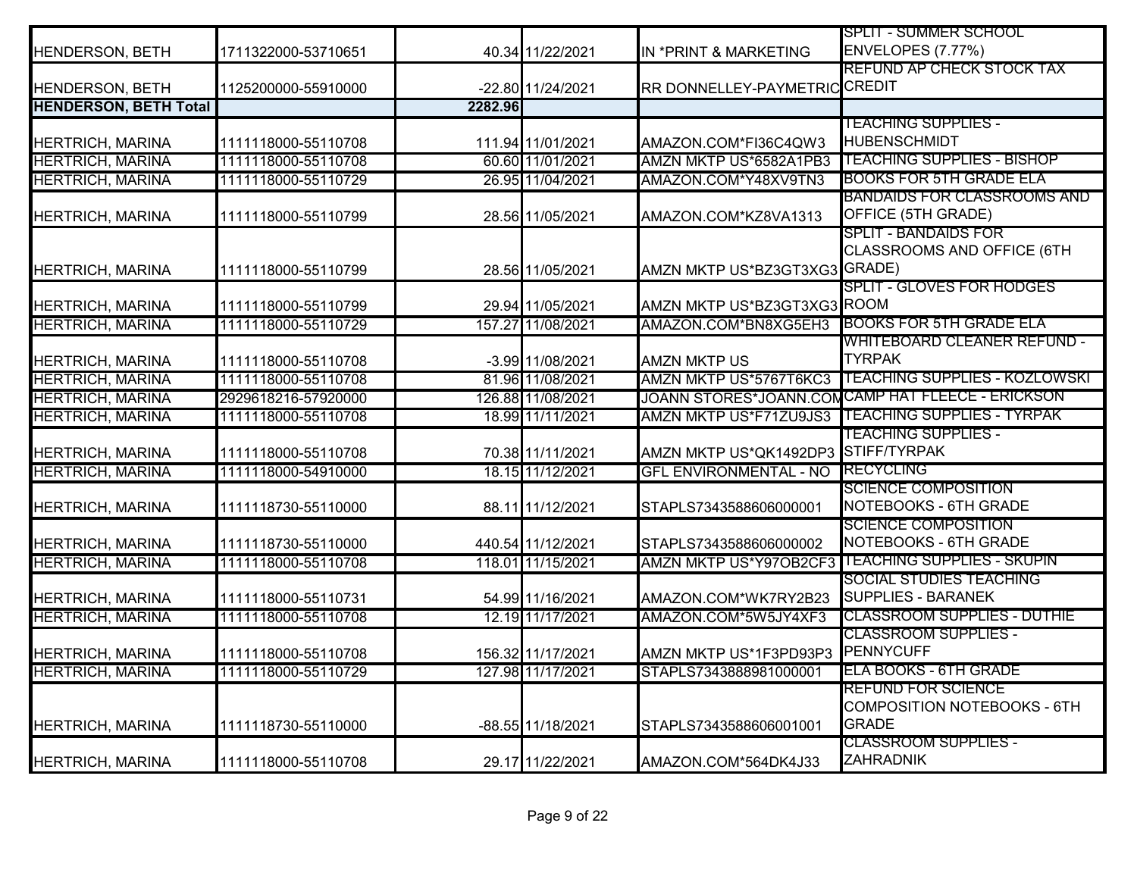|                              |                     |         |                   |                                     | <b>SPLIT - SUMMER SCHOOL</b>                                                    |
|------------------------------|---------------------|---------|-------------------|-------------------------------------|---------------------------------------------------------------------------------|
| HENDERSON, BETH              | 1711322000-53710651 |         | 40.34 11/22/2021  | IN *PRINT & MARKETING               | <b>ENVELOPES (7.77%)</b>                                                        |
|                              |                     |         |                   |                                     | <b>REFUND AP CHECK STOCK TAX</b>                                                |
| <b>HENDERSON, BETH</b>       | 1125200000-55910000 |         | -22.80 11/24/2021 | RR DONNELLEY-PAYMETRIC CREDIT       |                                                                                 |
| <b>HENDERSON, BETH Total</b> |                     | 2282.96 |                   |                                     |                                                                                 |
|                              |                     |         |                   |                                     | <b>TEACHING SUPPLIES -</b>                                                      |
| <b>HERTRICH, MARINA</b>      | 1111118000-55110708 |         | 111.94 11/01/2021 | AMAZON.COM*FI36C4QW3                | <b>HUBENSCHMIDT</b>                                                             |
| <b>HERTRICH, MARINA</b>      | 1111118000-55110708 |         | 60.60 11/01/2021  | AMZN MKTP US*6582A1PB3              | <b>TEACHING SUPPLIES - BISHOP</b>                                               |
| <b>HERTRICH, MARINA</b>      | 1111118000-55110729 |         | 26.95 11/04/2021  | AMAZON.COM*Y48XV9TN3                | <b>BOOKS FOR 5TH GRADE ELA</b>                                                  |
| HERTRICH, MARINA             | 1111118000-55110799 |         | 28.56 11/05/2021  | AMAZON.COM*KZ8VA1313                | BANDAIDS FOR CLASSROOMS AND<br>OFFICE (5TH GRADE)                               |
| <b>HERTRICH, MARINA</b>      | 1111118000-55110799 |         | 28.56 11/05/2021  | AMZN MKTP US*BZ3GT3XG3 GRADE)       | <b>SPLIT - BANDAIDS FOR</b><br>CLASSROOMS AND OFFICE (6TH                       |
| <b>HERTRICH, MARINA</b>      | 1111118000-55110799 |         | 29.94 11/05/2021  | AMZN MKTP US*BZ3GT3XG3 ROOM         | <b>SPLIT - GLOVES FOR HODGES</b>                                                |
| <b>HERTRICH, MARINA</b>      | 1111118000-55110729 |         | 157.27 11/08/2021 | AMAZON.COM*BN8XG5EH3                | <b>BOOKS FOR 5TH GRADE ELA</b>                                                  |
|                              |                     |         |                   |                                     | WHITEBOARD CLEANER REFUND -                                                     |
| <b>HERTRICH, MARINA</b>      | 1111118000-55110708 |         | -3.99 11/08/2021  | <b>AMZN MKTP US</b>                 | <b>TYRPAK</b>                                                                   |
| <b>HERTRICH, MARINA</b>      | 1111118000-55110708 |         | 81.96 11/08/2021  | AMZN MKTP US*5767T6KC3              | <b>TEACHING SUPPLIES - KOZLOWSKI</b>                                            |
| <b>HERTRICH, MARINA</b>      | 2929618216-57920000 |         | 126.88 11/08/2021 |                                     | JOANN STORES*JOANN.COMCAMP HAT FLEECE - ERICKSON                                |
| <b>HERTRICH, MARINA</b>      | 1111118000-55110708 |         | 18.99 11/11/2021  | AMZN MKTP US*F71ZU9JS3              | ITEACHING SUPPLIES - TYRPAK                                                     |
| <b>HERTRICH, MARINA</b>      | 1111118000-55110708 |         | 70.38 11/11/2021  | AMZN MKTP US*QK1492DP3 STIFF/TYRPAK | <b>TEACHING SUPPLIES -</b>                                                      |
| <b>HERTRICH, MARINA</b>      | 1111118000-54910000 |         | 18.15 11/12/2021  | <b>GFL ENVIRONMENTAL - NO</b>       | <b>RECYCLING</b>                                                                |
| <b>HERTRICH, MARINA</b>      | 1111118730-55110000 |         | 88.11 11/12/2021  | STAPLS7343588606000001              | <b>SCIENCE COMPOSITION</b><br>NOTEBOOKS - 6TH GRADE                             |
| <b>HERTRICH, MARINA</b>      | 1111118730-55110000 |         | 440.54 11/12/2021 | STAPLS7343588606000002              | <b>SCIENCE COMPOSITION</b><br>NOTEBOOKS - 6TH GRADE                             |
| <b>HERTRICH, MARINA</b>      | 1111118000-55110708 |         | 118.01 11/15/2021 |                                     | AMZN MKTP US*Y97OB2CF3 ITEACHING SUPPLIES - SKUPIN                              |
| HERTRICH, MARINA             | 1111118000-55110731 |         | 54.99 11/16/2021  | AMAZON.COM*WK7RY2B23                | <b>SOCIAL STUDIES TEACHING</b><br><b>SUPPLIES - BARANEK</b>                     |
| <b>HERTRICH, MARINA</b>      | 1111118000-55110708 |         | 12.19 11/17/2021  | AMAZON.COM*5W5JY4XF3                | <b>CLASSROOM SUPPLIES - DUTHIE</b>                                              |
| <b>HERTRICH, MARINA</b>      | 1111118000-55110708 |         | 156.32 11/17/2021 | AMZN MKTP US*1F3PD93P3              | <b>CLASSROOM SUPPLIES -</b><br>PENNYCUFF                                        |
| <b>HERTRICH, MARINA</b>      | 1111118000-55110729 |         | 127.98 11/17/2021 | STAPLS7343888981000001              | <b>ELA BOOKS - 6TH GRADE</b>                                                    |
| HERTRICH, MARINA             | 1111118730-55110000 |         | -88.55 11/18/2021 | STAPLS7343588606001001              | <b>REFUND FOR SCIENCE</b><br><b>COMPOSITION NOTEBOOKS - 6TH</b><br><b>GRADE</b> |
| <b>HERTRICH, MARINA</b>      | 1111118000-55110708 |         | 29.17 11/22/2021  | AMAZON.COM*564DK4J33                | <u> CLASSROOM SUPPLIES -</u><br><b>IZAHRADNIK</b>                               |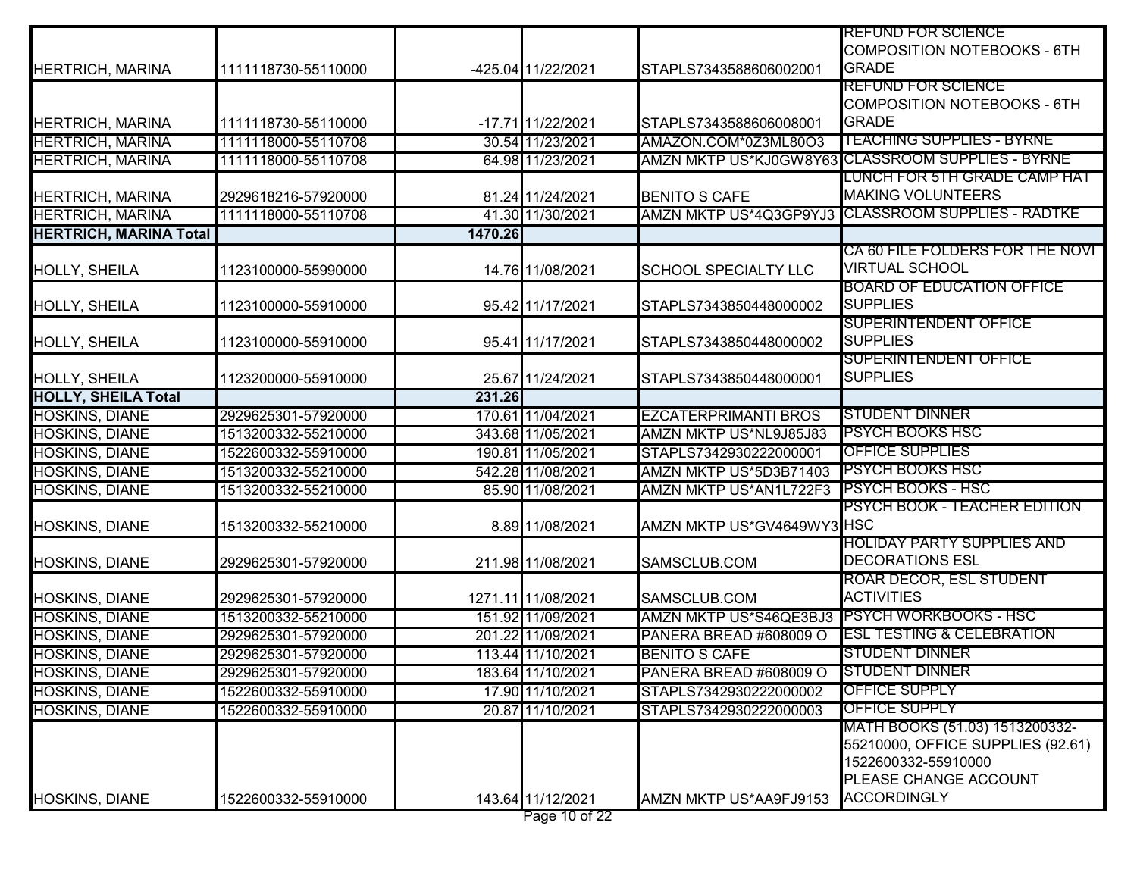|                               |                     |         |                    |                             | <b>REFUND FOR SCIENCE</b><br><b>COMPOSITION NOTEBOOKS - 6TH</b>                                                                           |
|-------------------------------|---------------------|---------|--------------------|-----------------------------|-------------------------------------------------------------------------------------------------------------------------------------------|
| HERTRICH, MARINA              | 1111118730-55110000 |         | -425.04 11/22/2021 | STAPLS7343588606002001      | <b>GRADE</b><br><b>REFUND FOR SCIENCE</b>                                                                                                 |
| <b>HERTRICH, MARINA</b>       | 1111118730-55110000 |         | -17.71 11/22/2021  | STAPLS7343588606008001      | <b>COMPOSITION NOTEBOOKS - 6TH</b><br><b>GRADE</b>                                                                                        |
| <b>HERTRICH, MARINA</b>       | 1111118000-55110708 |         | 30.54 11/23/2021   | AMAZON.COM*0Z3ML80O3        | <b>TEACHING SUPPLIES - BYRNE</b>                                                                                                          |
| <b>HERTRICH, MARINA</b>       | 1111118000-55110708 |         | 64.98 11/23/2021   |                             | AMZN MKTP US*KJ0GW8Y63 CLASSROOM SUPPLIES - BYRNE                                                                                         |
| HERTRICH, MARINA              | 2929618216-57920000 |         | 81.24 11/24/2021   | <b>BENITO S CAFE</b>        | LUNCH FOR 5TH GRADE CAMP HAT<br><b>MAKING VOLUNTEERS</b>                                                                                  |
| <b>HERTRICH, MARINA</b>       | 1111118000-55110708 |         | 41.30 11/30/2021   |                             | AMZN MKTP US*4Q3GP9YJ3 CLASSROOM SUPPLIES - RADTKE                                                                                        |
| <b>HERTRICH, MARINA Total</b> |                     | 1470.26 |                    |                             |                                                                                                                                           |
| HOLLY, SHEILA                 | 1123100000-55990000 |         | 14.76 11/08/2021   | <b>SCHOOL SPECIALTY LLC</b> | CA 60 FILE FOLDERS FOR THE NOVI<br><b>VIRTUAL SCHOOL</b>                                                                                  |
| HOLLY, SHEILA                 | 1123100000-55910000 |         | 95.42 11/17/2021   | STAPLS7343850448000002      | <b>BOARD OF EDUCATION OFFICE</b><br><b>SUPPLIES</b>                                                                                       |
| HOLLY, SHEILA                 | 1123100000-55910000 |         | 95.41 11/17/2021   | STAPLS7343850448000002      | <b>SUPERINTENDENT OFFICE</b><br><b>SUPPLIES</b>                                                                                           |
| HOLLY, SHEILA                 | 1123200000-55910000 |         | 25.67 11/24/2021   | STAPLS7343850448000001      | <b>SUPERINTENDENT OFFICE</b><br><b>SUPPLIES</b>                                                                                           |
| <b>HOLLY, SHEILA Total</b>    |                     | 231.26  |                    |                             |                                                                                                                                           |
| HOSKINS, DIANE                | 2929625301-57920000 |         | 170.61 11/04/2021  | <b>EZCATERPRIMANTI BROS</b> | <b>STUDENT DINNER</b>                                                                                                                     |
| <b>HOSKINS, DIANE</b>         | 1513200332-55210000 |         | 343.68 11/05/2021  | AMZN MKTP US*NL9J85J83      | PSYCH BOOKS HSC                                                                                                                           |
| HOSKINS, DIANE                | 1522600332-55910000 |         | 190.81 11/05/2021  | STAPLS7342930222000001      | OFFICE SUPPLIES                                                                                                                           |
| <b>HOSKINS, DIANE</b>         | 1513200332-55210000 |         | 542.28 11/08/2021  | AMZN MKTP US*5D3B71403      | <b>PSYCH BOOKS HSC</b>                                                                                                                    |
| HOSKINS, DIANE                | 1513200332-55210000 |         | 85.90 11/08/2021   | AMZN MKTP US*AN1L722F3      | <b>PSYCH BOOKS - HSC</b>                                                                                                                  |
| HOSKINS, DIANE                | 1513200332-55210000 |         | 8.89 11/08/2021    | AMZN MKTP US*GV4649WY3 HSC  | PSYCH BOOK - TEACHER EDITION                                                                                                              |
| HOSKINS, DIANE                | 2929625301-57920000 |         | 211.98 11/08/2021  | SAMSCLUB.COM                | HOLIDAY PARTY SUPPLIES AND<br><b>DECORATIONS ESL</b>                                                                                      |
| HOSKINS, DIANE                | 2929625301-57920000 |         | 1271.11 11/08/2021 | SAMSCLUB.COM                | ROAR DECOR, ESL STUDENT<br><b>ACTIVITIES</b>                                                                                              |
| HOSKINS, DIANE                | 1513200332-55210000 |         | 151.92 11/09/2021  | AMZN MKTP US*S46QE3BJ3      | <b>PSYCH WORKBOOKS - HSC</b>                                                                                                              |
| HOSKINS, DIANE                | 2929625301-57920000 |         | 201.22 11/09/2021  | PANERA BREAD #608009 O      | <b>ESL TESTING &amp; CELEBRATION</b>                                                                                                      |
| HOSKINS, DIANE                | 2929625301-57920000 |         | 113.44 11/10/2021  | <b>BENITO S CAFE</b>        | <b>STUDENT DINNER</b>                                                                                                                     |
| HOSKINS, DIANE                | 2929625301-57920000 |         | 183.64 11/10/2021  | PANERA BREAD #608009 O      | <b>STUDENT DINNER</b>                                                                                                                     |
| <b>HOSKINS, DIANE</b>         | 1522600332-55910000 |         | 17.90 11/10/2021   | STAPLS7342930222000002      | <b>OFFICE SUPPLY</b>                                                                                                                      |
| HOSKINS, DIANE                | 1522600332-55910000 |         | 20.87 11/10/2021   | STAPLS7342930222000003      | OFFICE SUPPLY                                                                                                                             |
| HOSKINS, DIANE                | 1522600332-55910000 |         | 143.64 11/12/2021  | AMZN MKTP US*AA9FJ9153      | MATH BOOKS (51.03) 1513200332-<br>55210000, OFFICE SUPPLIES (92.61)<br>1522600332-55910000<br>PLEASE CHANGE ACCOUNT<br><b>ACCORDINGLY</b> |
|                               |                     |         | Page 10 of 22      |                             |                                                                                                                                           |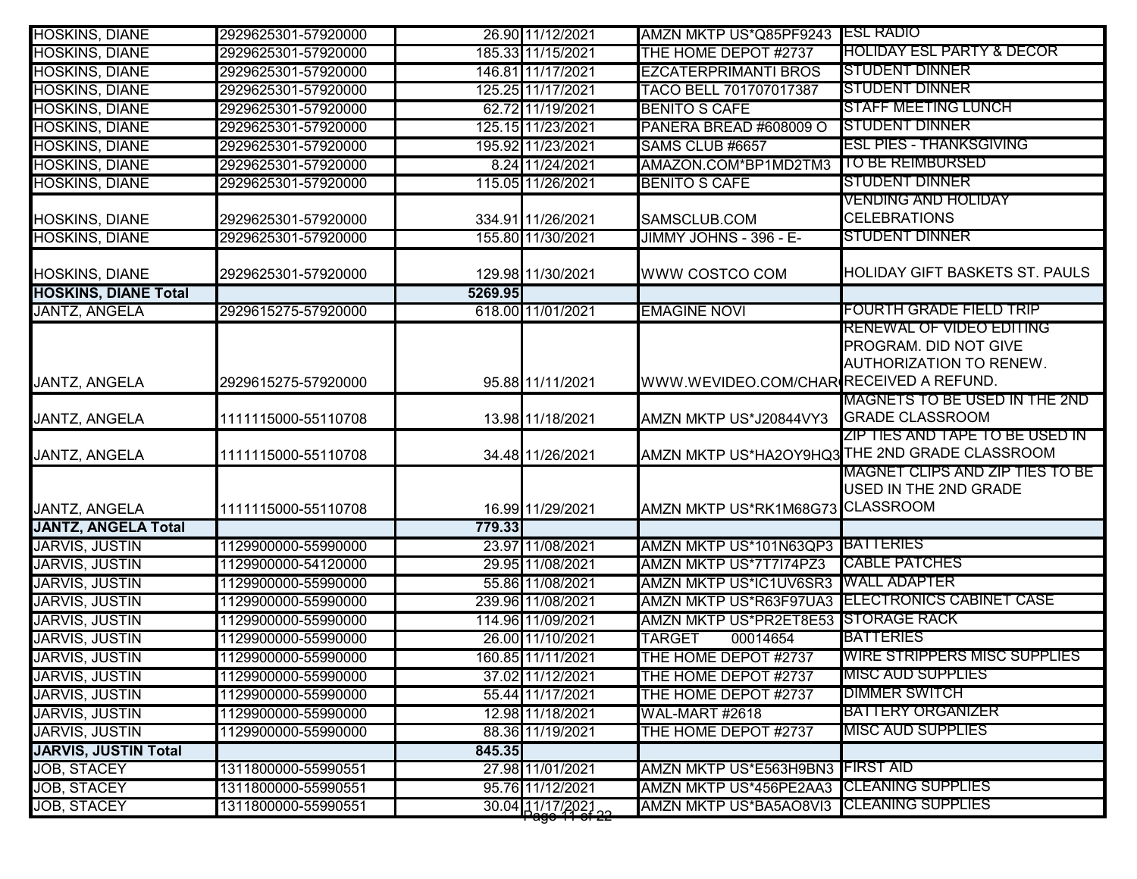| <b>HOSKINS, DIANE</b>       | 2929625301-57920000 |         | 26.90 11/12/2021                   | AMZN MKTP US*Q85PF9243 ESL RADIO         |                                                                                  |
|-----------------------------|---------------------|---------|------------------------------------|------------------------------------------|----------------------------------------------------------------------------------|
| <b>HOSKINS, DIANE</b>       | 2929625301-57920000 |         | 185.33 11/15/2021                  | THE HOME DEPOT #2737                     | <b>HOLIDAY ESL PARTY &amp; DECOR</b>                                             |
| <b>HOSKINS, DIANE</b>       | 2929625301-57920000 |         | 146.81 11/17/2021                  | <b>EZCATERPRIMANTI BROS</b>              | <b>STUDENT DINNER</b>                                                            |
| <b>HOSKINS, DIANE</b>       | 2929625301-57920000 |         | 125.25 11/17/2021                  | <b>TACO BELL 701707017387</b>            | <b>STUDENT DINNER</b>                                                            |
| <b>HOSKINS, DIANE</b>       | 2929625301-57920000 |         | 62.72 11/19/2021                   | <b>BENITO S CAFE</b>                     | <b>STAFF MEETING LUNCH</b>                                                       |
| <b>HOSKINS, DIANE</b>       | 2929625301-57920000 |         | 125.15 11/23/2021                  | PANERA BREAD #608009 O                   | <b>STUDENT DINNER</b>                                                            |
| <b>HOSKINS, DIANE</b>       | 2929625301-57920000 |         | 195.92 11/23/2021                  | SAMS CLUB #6657                          | <b>ESL PIES - THANKSGIVING</b>                                                   |
| <b>HOSKINS, DIANE</b>       | 2929625301-57920000 |         | 8.24 11/24/2021                    | AMAZON.COM*BP1MD2TM3                     | TO BE REIMBURSED                                                                 |
| <b>HOSKINS, DIANE</b>       | 2929625301-57920000 |         | 115.05 11/26/2021                  | <b>BENITO S CAFE</b>                     | <b>STUDENT DINNER</b>                                                            |
|                             |                     |         |                                    |                                          | <b>VENDING AND HOLIDAY</b>                                                       |
| <b>HOSKINS, DIANE</b>       | 2929625301-57920000 |         | 334.91 11/26/2021                  | SAMSCLUB.COM                             | <b>CELEBRATIONS</b>                                                              |
| <b>HOSKINS, DIANE</b>       | 2929625301-57920000 |         | 155.80 11/30/2021                  | JIMMY JOHNS - 396 - E-                   | <b>STUDENT DINNER</b>                                                            |
| HOSKINS, DIANE              | 2929625301-57920000 |         | 129.98 11/30/2021                  | WWW COSTCO COM                           | <b>HOLIDAY GIFT BASKETS ST. PAULS</b>                                            |
| <b>HOSKINS, DIANE Total</b> |                     | 5269.95 |                                    |                                          |                                                                                  |
| <b>JANTZ, ANGELA</b>        | 2929615275-57920000 |         | 618.00 11/01/2021                  | <b>EMAGINE NOVI</b>                      | FOURTH GRADE FIELD TRIP                                                          |
| <b>JANTZ, ANGELA</b>        | 2929615275-57920000 |         | 95.88 11/11/2021                   | WWW.WEVIDEO.COM/CHAR RECEIVED A REFUND.  | RENEWAL OF VIDEO EDITING<br>PROGRAM. DID NOT GIVE<br>AUTHORIZATION TO RENEW.     |
| <b>JANTZ, ANGELA</b>        | 1111115000-55110708 |         | 13.98 11/18/2021                   | AMZN MKTP US*J20844VY3                   | MAGNETS TO BE USED IN THE 2ND<br><b>GRADE CLASSROOM</b>                          |
| JANTZ, ANGELA               | 1111115000-55110708 |         | 34.48 11/26/2021                   |                                          | ZIP TIES AND TAPE TO BE USED IN<br>AMZN MKTP US*HA2OY9HQ3THE 2ND GRADE CLASSROOM |
| JANTZ, ANGELA               | 1111115000-55110708 |         | 16.99 11/29/2021                   | AMZN MKTP US*RK1M68G73 CLASSROOM         | MAGNET CLIPS AND ZIP TIES TO BE<br>USED IN THE 2ND GRADE                         |
| <b>JANTZ, ANGELA Total</b>  |                     | 779.33  |                                    |                                          |                                                                                  |
| <b>JARVIS, JUSTIN</b>       | 1129900000-55990000 |         | 23.97 11/08/2021                   | AMZN MKTP US*101N63QP3 BATTERIES         |                                                                                  |
| <b>JARVIS, JUSTIN</b>       | 1129900000-54120000 |         | 29.95 11/08/2021                   | AMZN MKTP US*7T7I74PZ3                   | <b>CABLE PATCHES</b>                                                             |
| <b>JARVIS, JUSTIN</b>       | 1129900000-55990000 |         | 55.86 11/08/2021                   | <b>AMZN MKTP US*IC1UV6SR3</b>            | <b>WALL ADAPTER</b>                                                              |
| <b>JARVIS, JUSTIN</b>       | 1129900000-55990000 |         | 239.96 11/08/2021                  |                                          | AMZN MKTP US*R63F97UA3 ELECTRONICS CABINET CASE                                  |
| <b>JARVIS, JUSTIN</b>       | 1129900000-55990000 |         | 114.96 11/09/2021                  | AMZN MKTP US*PR2ET8E53 STORAGE RACK      |                                                                                  |
| <b>JARVIS, JUSTIN</b>       | 1129900000-55990000 |         | 26.00 11/10/2021                   | <b>TARGET</b><br>00014654                | <b>BATTERIES</b>                                                                 |
| <b>JARVIS, JUSTIN</b>       | 1129900000-55990000 |         | 160.85 11/11/2021                  | THE HOME DEPOT #2737                     | <b>WIRE STRIPPERS MISC SUPPLIES</b>                                              |
| JARVIS, JUSTIN              | 1129900000-55990000 |         | 37.02 11/12/2021                   | THE HOME DEPOT #2737                     | <b>IMISC AUD SUPPLIES</b>                                                        |
| <b>JARVIS, JUSTIN</b>       | 1129900000-55990000 |         | 55.44 11/17/2021                   | THE HOME DEPOT #2737                     | <b>DIMMER SWITCH</b>                                                             |
| <b>JARVIS, JUSTIN</b>       | 1129900000-55990000 |         | 12.98 11/18/2021                   | <b>WAL-MART #2618</b>                    | <b>BATTERY ORGANIZER</b>                                                         |
| <b>JARVIS, JUSTIN</b>       | 1129900000-55990000 |         | 88.36 11/19/2021                   | THE HOME DEPOT #2737                     | <b>MISC AUD SUPPLIES</b>                                                         |
| <b>JARVIS, JUSTIN Total</b> |                     | 845.35  |                                    |                                          |                                                                                  |
| JOB, STACEY                 | 1311800000-55990551 |         | 27.98 11/01/2021                   | AMZN MKTP US*E563H9BN3 FIRST AID         |                                                                                  |
| <b>JOB, STACEY</b>          | 1311800000-55990551 |         | 95.76 11/12/2021                   | <b>AMZN MKTP US*456PE2AA3</b>            | <b>ICLEANING SUPPLIES</b>                                                        |
| <b>JOB, STACEY</b>          | 1311800000-55990551 |         | $30.04$ $11/17/2021$ <sub>22</sub> | AMZN MKTP US*BA5AO8VI3 CLEANING SUPPLIES |                                                                                  |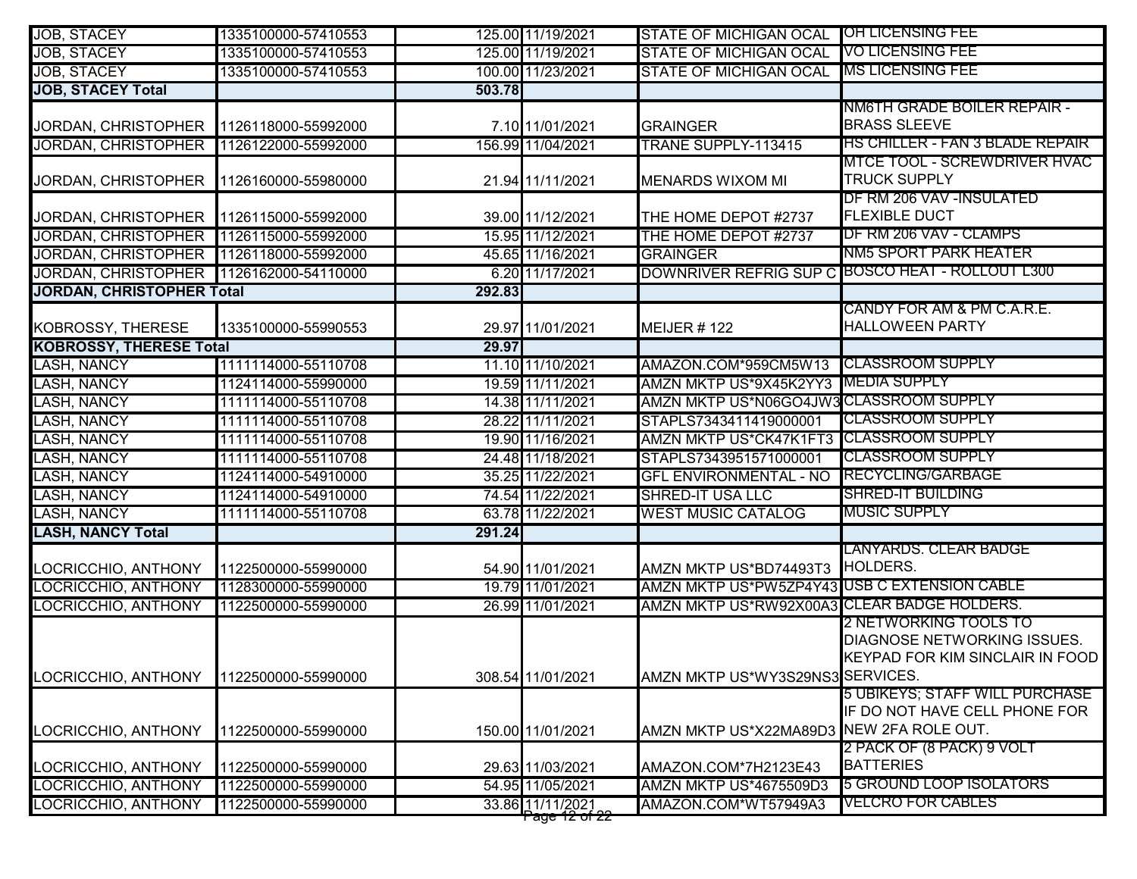| <b>JOB, STACEY</b>               | 1335100000-57410553 |        | 125.00 11/19/2021                             | <b>STATE OF MICHIGAN OCAL</b>                | <b>OH LICENSING FEE</b>                                                                                      |
|----------------------------------|---------------------|--------|-----------------------------------------------|----------------------------------------------|--------------------------------------------------------------------------------------------------------------|
| <b>JOB, STACEY</b>               | 1335100000-57410553 |        | 125.00 11/19/2021                             | <b>STATE OF MICHIGAN OCAL</b>                | <b>VO LICENSING FEE</b>                                                                                      |
| <b>JOB, STACEY</b>               | 1335100000-57410553 |        | 100.00 11/23/2021                             | <b>STATE OF MICHIGAN OCAL</b>                | <b>IMS LICENSING FEE</b>                                                                                     |
| <b>JOB, STACEY Total</b>         |                     | 503.78 |                                               |                                              |                                                                                                              |
| JORDAN, CHRISTOPHER              | 1126118000-55992000 |        | 7.10 11/01/2021                               | <b>GRAINGER</b>                              | NM6TH GRADE BOILER REPAIR -<br><b>BRASS SLEEVE</b>                                                           |
| <b>JORDAN, CHRISTOPHER</b>       | 1126122000-55992000 |        | 156.99 11/04/2021                             | <b>TRANE SUPPLY-113415</b>                   | <b>HS CHILLER - FAN 3 BLADE REPAIR</b>                                                                       |
| JORDAN, CHRISTOPHER              | 1126160000-55980000 |        | 21.94 11/11/2021                              | <b>MENARDS WIXOM MI</b>                      | <b>MTCE TOOL - SCREWDRIVER HVAC</b><br><b>TRUCK SUPPLY</b>                                                   |
| JORDAN, CHRISTOPHER              | 1126115000-55992000 |        | 39.00 11/12/2021                              | THE HOME DEPOT #2737                         | DF RM 206 VAV - INSULATED<br><b>FLEXIBLE DUCT</b>                                                            |
| <b>JORDAN, CHRISTOPHER</b>       | 1126115000-55992000 |        | 15.95 11/12/2021                              | THE HOME DEPOT #2737                         | DF RM 206 VAV - CLAMPS                                                                                       |
| <b>JORDAN, CHRISTOPHER</b>       | 1126118000-55992000 |        | 45.65 11/16/2021                              | <b>GRAINGER</b>                              | NM5 SPORT PARK HEATER                                                                                        |
| <b>JORDAN, CHRISTOPHER</b>       | 1126162000-54110000 |        | 6.20 11/17/2021                               |                                              | DOWNRIVER REFRIG SUP C BOSCO HEAT - ROLLOUT L300                                                             |
| <b>JORDAN, CHRISTOPHER Total</b> |                     | 292.83 |                                               |                                              |                                                                                                              |
| <b>KOBROSSY, THERESE</b>         | 1335100000-55990553 |        | 29.97 11/01/2021                              | MEIJER #122                                  | CANDY FOR AM & PM C.A.R.E.<br><b>HALLOWEEN PARTY</b>                                                         |
| <b>KOBROSSY, THERESE Total</b>   |                     | 29.97  |                                               |                                              |                                                                                                              |
| LASH, NANCY                      | 1111114000-55110708 |        | 11.10 11/10/2021                              | AMAZON.COM*959CM5W13                         | <b>ICLASSROOM SUPPLY</b>                                                                                     |
| LASH, NANCY                      | 1124114000-55990000 |        | 19.59 11/11/2021                              | AMZN MKTP US*9X45K2YY3                       | <b>MEDIA SUPPLY</b>                                                                                          |
| LASH, NANCY                      | 1111114000-55110708 |        | 14.38 11/11/2021                              | AMZN MKTP US*N06GO4JW3 CLASSROOM SUPPLY      |                                                                                                              |
| <b>LASH, NANCY</b>               | 1111114000-55110708 |        | 28.22 11/11/2021                              | STAPLS7343411419000001                       | <b>CLASSROOM SUPPLY</b>                                                                                      |
| LASH, NANCY                      | 1111114000-55110708 |        | 19.90 11/16/2021                              | AMZN MKTP US*CK47K1FT3 CLASSROOM SUPPLY      |                                                                                                              |
| <b>LASH, NANCY</b>               | 1111114000-55110708 |        | 24.48 11/18/2021                              | STAPLS7343951571000001                       | <b>ICLASSROOM SUPPLY</b>                                                                                     |
| LASH, NANCY                      | 1124114000-54910000 |        | 35.25 11/22/2021                              | <b>GFL ENVIRONMENTAL - NO</b>                | <b>RECYCLING/GARBAGE</b>                                                                                     |
| <b>LASH, NANCY</b>               | 1124114000-54910000 |        | 74.54 11/22/2021                              | <b>SHRED-IT USA LLC</b>                      | <b>SHRED-IT BUILDING</b>                                                                                     |
| LASH, NANCY                      | 1111114000-55110708 |        | 63.78 11/22/2021                              | <b>WEST MUSIC CATALOG</b>                    | <b>MUSIC SUPPLY</b>                                                                                          |
| <b>LASH, NANCY Total</b>         |                     | 291.24 |                                               |                                              |                                                                                                              |
| LOCRICCHIO, ANTHONY              | 1122500000-55990000 |        | 54.90 11/01/2021                              | AMZN MKTP US*BD74493T3                       | LANYARDS. CLEAR BADGE<br>HOLDERS.                                                                            |
| LOCRICCHIO, ANTHONY              | 1128300000-55990000 |        | 19.79 11/01/2021                              | AMZN MKTP US*PW5ZP4Y43 USB C EXTENSION CABLE |                                                                                                              |
| <b>LOCRICCHIO, ANTHONY</b>       | 1122500000-55990000 |        | 26.99 11/01/2021                              | AMZN MKTP US*RW92X00A3 CLEAR BADGE HOLDERS.  |                                                                                                              |
| LOCRICCHIO, ANTHONY              | 1122500000-55990000 |        | 308.54 11/01/2021                             | AMZN MKTP US*WY3S29NS3 SERVICES.             | <u>2 NETWORKING TOOLS TO</u><br><b>DIAGNOSE NETWORKING ISSUES.</b><br><b>KEYPAD FOR KIM SINCLAIR IN FOOD</b> |
| LOCRICCHIO, ANTHONY              | 1122500000-55990000 |        | 150.00 11/01/2021                             | AMZN MKTP US*X22MA89D3 NEW 2FA ROLE OUT.     | 5 UBIKEYS; STAFF WILL PURCHASE<br>IF DO NOT HAVE CELL PHONE FOR                                              |
| LOCRICCHIO, ANTHONY              | 1122500000-55990000 |        | 29.63 11/03/2021                              | AMAZON.COM*7H2123E43                         | 2 PACK OF (8 PACK) 9 VOLT<br><b>BATTERIES</b>                                                                |
| LOCRICCHIO, ANTHONY              | 1122500000-55990000 |        | 54.95 11/05/2021                              | AMZN MKTP US*4675509D3                       | 5 GROUND LOOP ISOLATORS                                                                                      |
| LOCRICCHIO, ANTHONY              | 1122500000-55990000 |        | 33.86 11/11/2021<br><del>r'age 12 of 22</del> | AMAZON.COM*WT57949A3                         | <b>VELCRO FOR CABLES</b>                                                                                     |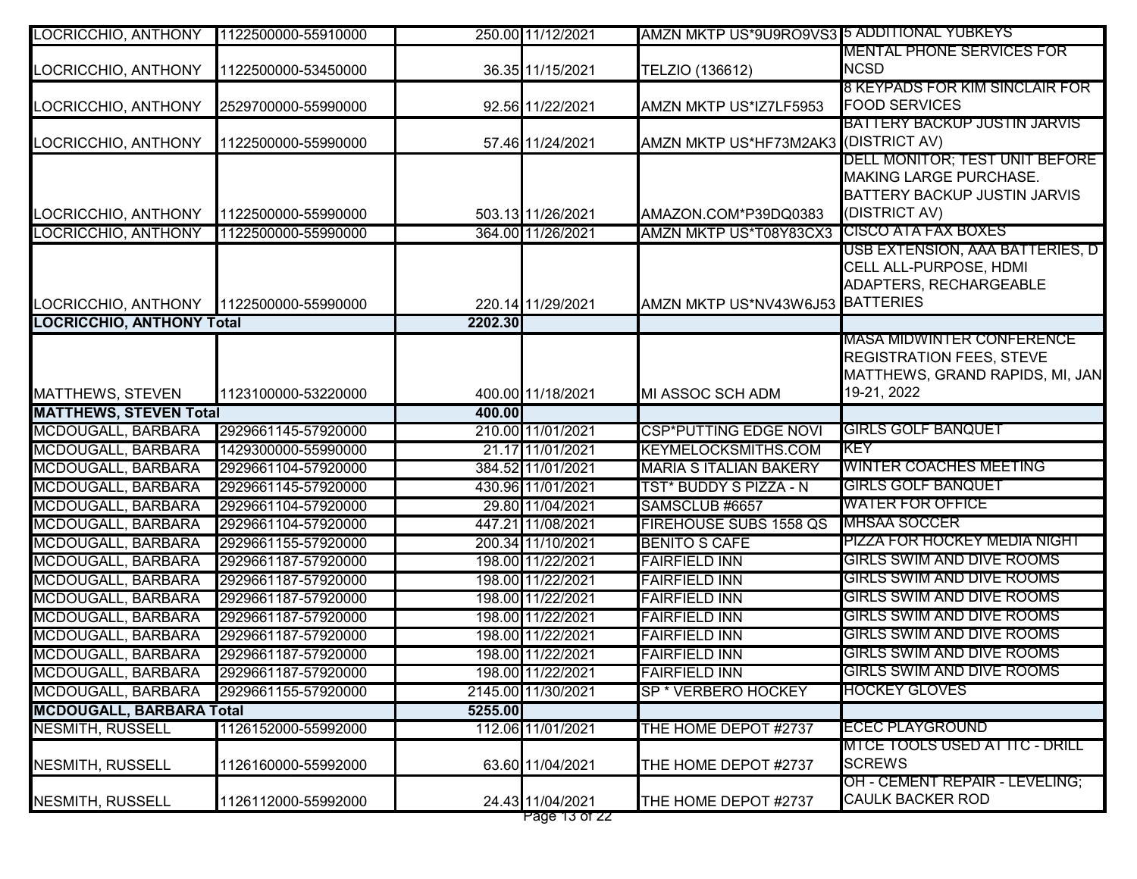| LOCRICCHIO, ANTHONY              | 1122500000-55910000 |         | 250.00 11/12/2021                 | AMZN MKTP US*9U9RO9VS3 5 ADDITIONAL YUBKEYS |                                                           |
|----------------------------------|---------------------|---------|-----------------------------------|---------------------------------------------|-----------------------------------------------------------|
|                                  |                     |         |                                   |                                             | <b>MENTAL PHONE SERVICES FOR</b>                          |
| LOCRICCHIO, ANTHONY              | 1122500000-53450000 |         | 36.35 11/15/2021                  | TELZIO (136612)                             | <b>NCSD</b>                                               |
|                                  |                     |         |                                   |                                             | 8 KEYPADS FOR KIM SINCLAIR FOR                            |
| LOCRICCHIO, ANTHONY              | 2529700000-55990000 |         | 92.56 11/22/2021                  | AMZN MKTP US*IZ7LF5953                      | <b>FOOD SERVICES</b>                                      |
|                                  |                     |         |                                   |                                             | <b>BATTERY BACKUP JUSTIN JARVIS</b>                       |
| LOCRICCHIO, ANTHONY              | 1122500000-55990000 |         | 57.46 11/24/2021                  | AMZN MKTP US*HF73M2AK3 (DISTRICT AV)        | DELL MONITOR; TEST UNIT BEFORE                            |
|                                  |                     |         |                                   |                                             | <b>MAKING LARGE PURCHASE.</b>                             |
|                                  |                     |         |                                   |                                             | <b>BATTERY BACKUP JUSTIN JARVIS</b>                       |
| LOCRICCHIO, ANTHONY              | 1122500000-55990000 |         | 503.13 11/26/2021                 | AMAZON.COM*P39DQ0383                        | (DISTRICT AV)                                             |
| LOCRICCHIO, ANTHONY              | 1122500000-55990000 |         | 364.00 11/26/2021                 | AMZN MKTP US*T08Y83CX3 CISCO ATA FAX BOXES  |                                                           |
|                                  |                     |         |                                   |                                             | USB EXTENSION, AAA BATTERIES, D                           |
|                                  |                     |         |                                   |                                             | CELL ALL-PURPOSE, HDMI                                    |
|                                  |                     |         |                                   |                                             | ADAPTERS, RECHARGEABLE                                    |
| LOCRICCHIO, ANTHONY              | 1122500000-55990000 |         | 220.14 11/29/2021                 | AMZN MKTP US*NV43W6J53 BATTERIES            |                                                           |
| <b>LOCRICCHIO, ANTHONY Total</b> |                     | 2202.30 |                                   |                                             |                                                           |
|                                  |                     |         |                                   |                                             | <b>MASA MIDWINTER CONFERENCE</b>                          |
|                                  |                     |         |                                   |                                             | <b>REGISTRATION FEES, STEVE</b>                           |
|                                  |                     |         |                                   |                                             | MATTHEWS, GRAND RAPIDS, MI, JAN                           |
| MATTHEWS, STEVEN                 | 1123100000-53220000 |         | 400.00 11/18/2021                 | MI ASSOC SCH ADM                            | 19-21, 2022                                               |
| <b>MATTHEWS, STEVEN Total</b>    |                     | 400.00  |                                   |                                             |                                                           |
| MCDOUGALL, BARBARA               | 2929661145-57920000 |         | 210.00 11/01/2021                 | <b>CSP*PUTTING EDGE NOVI</b>                | <b>GIRLS GOLF BANQUET</b>                                 |
| MCDOUGALL, BARBARA               | 1429300000-55990000 |         | 21.17 11/01/2021                  | <b>KEYMELOCKSMITHS.COM</b>                  | IKEY                                                      |
| MCDOUGALL, BARBARA               | 2929661104-57920000 |         | 384.52 11/01/2021                 | <b>MARIA S ITALIAN BAKERY</b>               | <b>WINTER COACHES MEETING</b>                             |
| MCDOUGALL, BARBARA               | 2929661145-57920000 |         | 430.96 11/01/2021                 | TST* BUDDY S PIZZA - N                      | <b>GIRLS GOLF BANQUET</b>                                 |
| MCDOUGALL, BARBARA               | 2929661104-57920000 |         | 29.80 11/04/2021                  | SAMSCLUB #6657                              | <b>WATER FOR OFFICE</b>                                   |
| <b>MCDOUGALL, BARBARA</b>        | 2929661104-57920000 |         | 447.21 11/08/2021                 | FIREHOUSE SUBS 1558 QS                      | <b>IMHSAA SOCCER</b>                                      |
| <b>MCDOUGALL, BARBARA</b>        | 2929661155-57920000 |         | 200.34 11/10/2021                 | <b>BENITO S CAFE</b>                        | PIZZA FOR HOCKEY MEDIA NIGHT                              |
| MCDOUGALL, BARBARA               | 2929661187-57920000 |         | 198.00 11/22/2021                 | <b>FAIRFIELD INN</b>                        | <b>GIRLS SWIM AND DIVE ROOMS</b>                          |
| <b>MCDOUGALL, BARBARA</b>        | 2929661187-57920000 |         | 198.00 11/22/2021                 | <b>FAIRFIELD INN</b>                        | <b>GIRLS SWIM AND DIVE ROOMS</b>                          |
| MCDOUGALL, BARBARA               | 2929661187-57920000 |         | 198.00 11/22/2021                 | <b>FAIRFIELD INN</b>                        | <b>GIRLS SWIM AND DIVE ROOMS</b>                          |
| MCDOUGALL, BARBARA               | 2929661187-57920000 |         | 198.00 11/22/2021                 | <b>FAIRFIELD INN</b>                        | <b>GIRLS SWIM AND DIVE ROOMS</b>                          |
| MCDOUGALL, BARBARA               | 2929661187-57920000 |         | 198.00 11/22/2021                 | <b>FAIRFIELD INN</b>                        | <b>GIRLS SWIM AND DIVE ROOMS</b>                          |
| MCDOUGALL, BARBARA               | 2929661187-57920000 |         | 198.00 11/22/2021                 | <b>FAIRFIELD INN</b>                        | <b>GIRLS SWIM AND DIVE ROOMS</b>                          |
| MCDOUGALL, BARBARA               | 2929661187-57920000 |         | 198.00 11/22/2021                 | <b>FAIRFIELD INN</b>                        | <b>GIRLS SWIM AND DIVE ROOMS</b>                          |
| MCDOUGALL, BARBARA               | 2929661155-57920000 |         | 2145.00 11/30/2021                | SP * VERBERO HOCKEY                         | <b>HOCKEY GLOVES</b>                                      |
| <b>MCDOUGALL, BARBARA Total</b>  |                     | 5255.00 |                                   |                                             |                                                           |
| NESMITH, RUSSELL                 | 1126152000-55992000 |         | 112.06 11/01/2021                 | THE HOME DEPOT #2737                        | <b>ECEC PLAYGROUND</b>                                    |
|                                  |                     |         |                                   |                                             | MTCE TOOLS USED AT ITC - DRILL                            |
| NESMITH, RUSSELL                 | 1126160000-55992000 |         | 63.60 11/04/2021                  | THE HOME DEPOT #2737                        | <b>SCREWS</b>                                             |
|                                  |                     |         |                                   |                                             | OH - CEMENT REPAIR - LEVELING;<br><b>CAULK BACKER ROD</b> |
| <b>NESMITH, RUSSELL</b>          | 1126112000-55992000 |         | 24.43 11/04/2021<br>Page 13 of 22 | THE HOME DEPOT #2737                        |                                                           |
|                                  |                     |         |                                   |                                             |                                                           |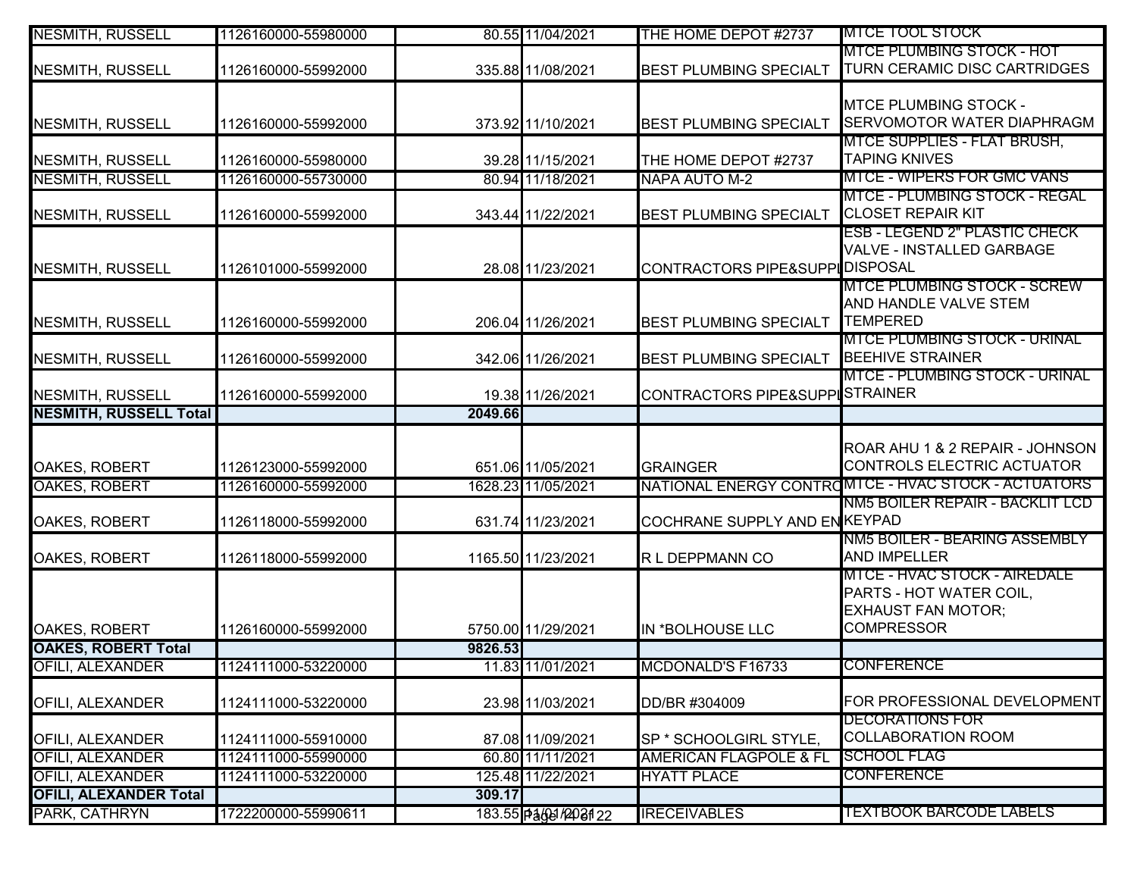| <b>NESMITH, RUSSELL</b>                        | 1126160000-55980000 |         | 80.55 11/04/2021      | THE HOME DEPOT #2737                    | <b>MTCE TOOL STOCK</b>                                                                                           |
|------------------------------------------------|---------------------|---------|-----------------------|-----------------------------------------|------------------------------------------------------------------------------------------------------------------|
| <b>NESMITH, RUSSELL</b>                        | 1126160000-55992000 |         | 335.88 11/08/2021     | <b>BEST PLUMBING SPECIALT</b>           | MTCE PLUMBING STOCK - HOT<br>TURN CERAMIC DISC CARTRIDGES                                                        |
| <b>NESMITH, RUSSELL</b>                        | 1126160000-55992000 |         | 373.92 11/10/2021     | <b>BEST PLUMBING SPECIALT</b>           | <b>MTCE PLUMBING STOCK -</b><br><b>SERVOMOTOR WATER DIAPHRAGM</b>                                                |
| <b>NESMITH, RUSSELL</b>                        | 1126160000-55980000 |         | 39.28 11/15/2021      | THE HOME DEPOT #2737                    | <b>MTCE SUPPLIES - FLAT BRUSH,</b><br><b>TAPING KNIVES</b>                                                       |
| <b>NESMITH, RUSSELL</b>                        | 1126160000-55730000 |         | 80.94 11/18/2021      | NAPA AUTO M-2                           | <b>MTCE - WIPERS FOR GMC VANS</b>                                                                                |
| <b>NESMITH, RUSSELL</b>                        | 1126160000-55992000 |         | 343.44 11/22/2021     | BEST PLUMBING SPECIALT                  | <b>MTCE - PLUMBING STOCK - REGAL</b><br><b>CLOSET REPAIR KIT</b>                                                 |
| <b>NESMITH, RUSSELL</b>                        | 1126101000-55992000 |         | 28.08 11/23/2021      | CONTRACTORS PIPE&SUPPIOISPOSAL          | <b>ESB - LEGEND 2" PLASTIC CHECK</b><br>VALVE - INSTALLED GARBAGE                                                |
| <b>NESMITH, RUSSELL</b>                        | 1126160000-55992000 |         | 206.04 11/26/2021     | <b>BEST PLUMBING SPECIALT</b>           | <b>MTCE PLUMBING STOCK - SCREW</b><br>AND HANDLE VALVE STEM<br><b>TEMPERED</b>                                   |
| <b>NESMITH, RUSSELL</b>                        | 1126160000-55992000 |         | 342.06 11/26/2021     | BEST PLUMBING SPECIALT BEEHIVE STRAINER | <b>IMTCE PLUMBING STOCK - URINAL</b>                                                                             |
| <b>NESMITH, RUSSELL</b>                        | 1126160000-55992000 |         | 19.38 11/26/2021      | CONTRACTORS PIPE&SUPPISTRAINER          | <b>MTCE - PLUMBING STOCK - URINAL</b>                                                                            |
| <b>NESMITH, RUSSELL Total</b>                  |                     | 2049.66 |                       |                                         |                                                                                                                  |
| OAKES, ROBERT                                  | 1126123000-55992000 |         | 651.06 11/05/2021     | <b>GRAINGER</b>                         | ROAR AHU 1 & 2 REPAIR - JOHNSON<br>CONTROLS ELECTRIC ACTUATOR                                                    |
| <b>OAKES, ROBERT</b>                           | 1126160000-55992000 |         | 1628.23 11/05/2021    |                                         | NATIONAL ENERGY CONTROMTCE - HVAC STOCK - ACTUATORS                                                              |
| OAKES, ROBERT                                  | 1126118000-55992000 |         | 631.74 11/23/2021     | COCHRANE SUPPLY AND ENKEYPAD            | NM5 BOILER REPAIR - BACKLIT LCD                                                                                  |
| OAKES, ROBERT                                  | 1126118000-55992000 |         | 1165.50 11/23/2021    | R L DEPPMANN CO                         | NM5 BOILER - BEARING ASSEMBLY<br><b>AND IMPELLER</b>                                                             |
| OAKES, ROBERT                                  | 1126160000-55992000 |         | 5750.00 11/29/2021    | IN *BOLHOUSE LLC                        | <b>MTCE - HVAC STOCK - AIREDALE</b><br>PARTS - HOT WATER COIL,<br><b>EXHAUST FAN MOTOR;</b><br><b>COMPRESSOR</b> |
| <b>OAKES, ROBERT Total</b>                     |                     | 9826.53 |                       |                                         |                                                                                                                  |
| OFILI, ALEXANDER                               | 1124111000-53220000 |         | 11.83 11/01/2021      | MCDONALD'S F16733                       | <b>CONFERENCE</b>                                                                                                |
| OFILI, ALEXANDER                               | 1124111000-53220000 |         | 23.98 11/03/2021      | DD/BR #304009                           | FOR PROFESSIONAL DEVELOPMENT                                                                                     |
| OFILI, ALEXANDER                               | 1124111000-55910000 |         | 87.08 11/09/2021      | SP * SCHOOLGIRL STYLE,                  | <b>DECORATIONS FOR</b><br><b>COLLABORATION ROOM</b>                                                              |
| <b>OFILI, ALEXANDER</b>                        | 1124111000-55990000 |         | 60.80 11/11/2021      | <b>AMERICAN FLAGPOLE &amp; FL</b>       | <b>SCHOOL FLAG</b>                                                                                               |
| <b>OFILI, ALEXANDER</b>                        | 1124111000-53220000 |         | 125.48 11/22/2021     | <b>HYATT PLACE</b>                      | <b>CONFERENCE</b>                                                                                                |
| <b>OFILI, ALEXANDER Total</b><br>PARK, CATHRYN | 1722200000-55990611 | 309.17  | 183.55 PaGe / 2021 22 | <b>IRECEIVABLES</b>                     | <b>TEXTBOOK BARCODE LABELS</b>                                                                                   |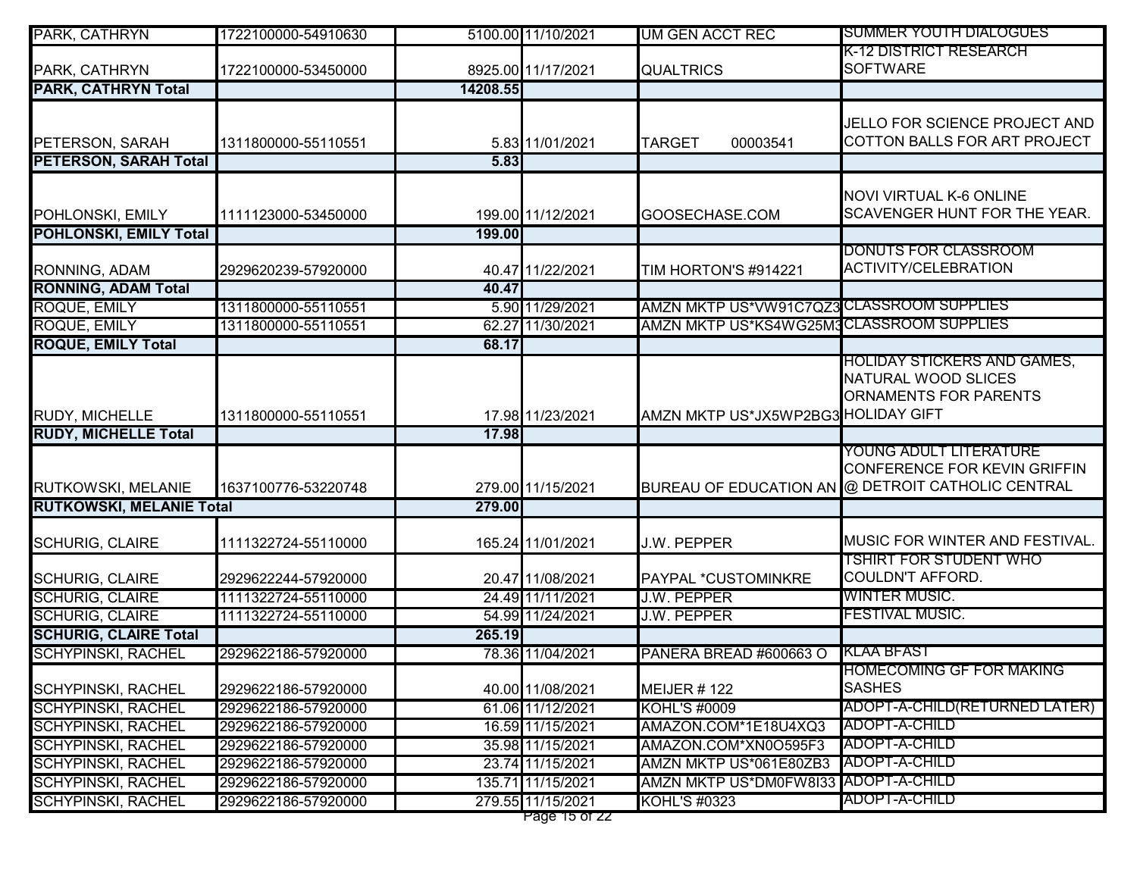| PARK, CATHRYN                                          | 1722100000-54910630                        |          | 5100.00 11/10/2021                   | <b>UM GEN ACCT REC</b>                       | SUMMER YOUTH DIALOGUES                                         |
|--------------------------------------------------------|--------------------------------------------|----------|--------------------------------------|----------------------------------------------|----------------------------------------------------------------|
|                                                        |                                            |          |                                      |                                              | K-12 DISTRICT RESEARCH                                         |
| PARK, CATHRYN                                          | 1722100000-53450000                        |          | 8925.00 11/17/2021                   | <b>QUALTRICS</b>                             | <b>SOFTWARE</b>                                                |
| <b>PARK, CATHRYN Total</b>                             |                                            | 14208.55 |                                      |                                              |                                                                |
|                                                        |                                            |          |                                      |                                              | JELLO FOR SCIENCE PROJECT AND                                  |
| PETERSON, SARAH                                        | 1311800000-55110551                        |          | 5.83 11/01/2021                      | 00003541<br><b>TARGET</b>                    | COTTON BALLS FOR ART PROJECT                                   |
| <b>PETERSON, SARAH Total</b>                           |                                            | 5.83     |                                      |                                              |                                                                |
|                                                        |                                            |          |                                      |                                              |                                                                |
| POHLONSKI, EMILY                                       | 1111123000-53450000                        |          | 199.00 11/12/2021                    | GOOSECHASE.COM                               | <b>NOVI VIRTUAL K-6 ONLINE</b><br>SCAVENGER HUNT FOR THE YEAR. |
| <b>POHLONSKI, EMILY Total</b>                          |                                            | 199.00   |                                      |                                              |                                                                |
|                                                        |                                            |          |                                      |                                              | DONUTS FOR CLASSROOM                                           |
| RONNING, ADAM                                          | 2929620239-57920000                        |          | 40.47 11/22/2021                     | TIM HORTON'S #914221                         | <b>ACTIVITY/CELEBRATION</b>                                    |
| <b>RONNING, ADAM Total</b>                             |                                            | 40.47    |                                      |                                              |                                                                |
| ROQUE, EMILY                                           | 1311800000-55110551                        |          | 5.90 11/29/2021                      | AMZN MKTP US*VW91C7QZ3 CLASSROOM SUPPLIES    |                                                                |
| <b>ROQUE, EMILY</b>                                    | 1311800000-55110551                        |          | 62.27 11/30/2021                     | AMZN MKTP US*KS4WG25M3CLASSROOM SUPPLIES     |                                                                |
| <b>ROQUE, EMILY Total</b>                              |                                            | 68.17    |                                      |                                              |                                                                |
|                                                        |                                            |          |                                      |                                              | HOLIDAY STICKERS AND GAMES,                                    |
|                                                        |                                            |          |                                      |                                              | NATURAL WOOD SLICES                                            |
|                                                        |                                            |          |                                      |                                              | ORNAMENTS FOR PARENTS                                          |
| RUDY, MICHELLE                                         | 1311800000-55110551                        |          | 17.98 11/23/2021                     | AMZN MKTP US*JX5WP2BG3 HOLIDAY GIFT          |                                                                |
| <b>RUDY, MICHELLE Total</b>                            |                                            | 17.98    |                                      |                                              |                                                                |
|                                                        |                                            |          |                                      |                                              | YOUNG ADULT LITERATURE<br>CONFERENCE FOR KEVIN GRIFFIN         |
| RUTKOWSKI, MELANIE                                     | 1637100776-53220748                        |          | 279.00 11/15/2021                    |                                              | BUREAU OF EDUCATION AN @ DETROIT CATHOLIC CENTRAL              |
| <b>RUTKOWSKI, MELANIE Total</b>                        |                                            | 279.00   |                                      |                                              |                                                                |
|                                                        |                                            |          |                                      |                                              |                                                                |
| <b>SCHURIG, CLAIRE</b>                                 | 1111322724-55110000                        |          | 165.24 11/01/2021                    | J.W. PEPPER                                  | MUSIC FOR WINTER AND FESTIVAL.                                 |
|                                                        |                                            |          |                                      |                                              | TSHIRT FOR STUDENT WHO                                         |
| <b>SCHURIG, CLAIRE</b>                                 | 2929622244-57920000                        |          | 20.47 11/08/2021                     | PAYPAL *CUSTOMINKRE                          | <b>COULDN'T AFFORD.</b>                                        |
| <b>SCHURIG, CLAIRE</b>                                 | 1111322724-55110000                        |          | 24.49 11/11/2021                     | <b>J.W. PEPPER</b>                           | <b>WINTER MUSIC.</b>                                           |
| <b>SCHURIG, CLAIRE</b>                                 | 1111322724-55110000                        |          | 54.99 11/24/2021                     | <b>J.W. PEPPER</b>                           | FESTIVAL MUSIC.                                                |
| <b>SCHURIG, CLAIRE Total</b>                           |                                            | 265.19   |                                      |                                              |                                                                |
| <b>SCHYPINSKI, RACHEL</b>                              | 2929622186-57920000                        |          | 78.36 11/04/2021                     | PANERA BREAD #600663 O                       | KLAA BFAST                                                     |
|                                                        |                                            |          |                                      |                                              | <b>HOMECOMING GF FOR MAKING</b><br><b>SASHES</b>               |
| <b>SCHYPINSKI, RACHEL</b>                              | 2929622186-57920000                        |          | 40.00 11/08/2021                     | <b>MEIJER #122</b>                           | ADOPT-A-CHILD(RETURNED LATER)                                  |
| <b>SCHYPINSKI, RACHEL</b>                              | 2929622186-57920000                        |          | 61.06 11/12/2021                     | <b>KOHL'S #0009</b>                          | <b>ADOPT-A-CHILD</b>                                           |
| <b>SCHYPINSKI, RACHEL</b><br><b>SCHYPINSKI, RACHEL</b> | 2929622186-57920000<br>2929622186-57920000 |          | 16.59 11/15/2021<br>35.98 11/15/2021 | AMAZON.COM*1E18U4XQ3<br>AMAZON.COM*XN0O595F3 | <b>ADOPT-A-CHILD</b>                                           |
| <b>SCHYPINSKI, RACHEL</b>                              | 2929622186-57920000                        |          | 23.74 11/15/2021                     | AMZN MKTP US*061E80ZB3                       | <b>ADOPT-A-CHILD</b>                                           |
| <b>SCHYPINSKI, RACHEL</b>                              | 2929622186-57920000                        |          | 135.71 11/15/2021                    | AMZN MKTP US*DM0FW8133 ADOPT-A-CHILD         |                                                                |
| <b>SCHYPINSKI, RACHEL</b>                              | 2929622186-57920000                        |          | 279.55 11/15/2021                    | KOHL'S #0323                                 | ADOPT-A-CHILD                                                  |
|                                                        |                                            |          | Page 15 of 22                        |                                              |                                                                |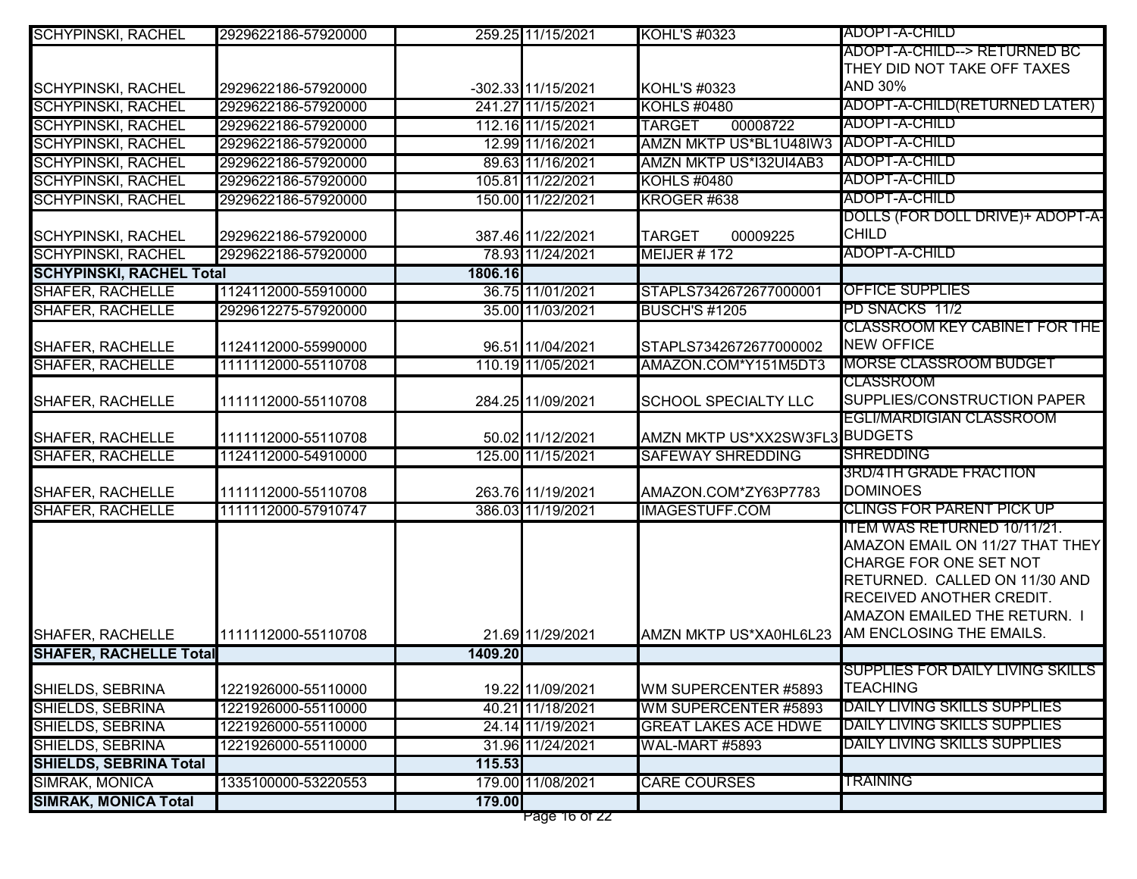| <b>SCHYPINSKI, RACHEL</b>       | 2929622186-57920000 |         | 259.25 11/15/2021  | <b>KOHL'S #0323</b>                  | ADOPT-A-CHILD                                                |
|---------------------------------|---------------------|---------|--------------------|--------------------------------------|--------------------------------------------------------------|
|                                 |                     |         |                    |                                      | ADOPT-A-CHILD--> RETURNED BC                                 |
|                                 |                     |         |                    |                                      | THEY DID NOT TAKE OFF TAXES                                  |
| <b>SCHYPINSKI, RACHEL</b>       | 2929622186-57920000 |         | -302.33 11/15/2021 | KOHL'S #0323                         | <b>AND 30%</b>                                               |
| <b>SCHYPINSKI, RACHEL</b>       | 2929622186-57920000 |         | 241.27 11/15/2021  | <b>KOHLS #0480</b>                   | ADOPT-A-CHILD(RETURNED LATER)                                |
| <b>SCHYPINSKI, RACHEL</b>       | 2929622186-57920000 |         | 112.16 11/15/2021  | 00008722<br><b>TARGET</b>            | ADOPT-A-CHILD                                                |
| <b>SCHYPINSKI, RACHEL</b>       | 2929622186-57920000 |         | 12.99 11/16/2021   | AMZN MKTP US*BL1U48IW3 ADOPT-A-CHILD |                                                              |
| <b>SCHYPINSKI, RACHEL</b>       | 2929622186-57920000 |         | 89.63 11/16/2021   | <b>AMZN MKTP US*I32UI4AB3</b>        | ADOPT-A-CHILD                                                |
| <b>SCHYPINSKI, RACHEL</b>       | 2929622186-57920000 |         | 105.81 11/22/2021  | <b>KOHLS #0480</b>                   | ADOPT-A-CHILD                                                |
| <b>SCHYPINSKI, RACHEL</b>       | 2929622186-57920000 |         | 150.00 11/22/2021  | KROGER <sub>#638</sub>               | ADOPT-A-CHILD                                                |
|                                 |                     |         |                    |                                      | DOLLS (FOR DOLL DRIVE)+ ADOPT-A-                             |
| <b>SCHYPINSKI, RACHEL</b>       | 2929622186-57920000 |         | 387.46 11/22/2021  | <b>TARGET</b><br>00009225            | <b>CHILD</b>                                                 |
| <b>SCHYPINSKI, RACHEL</b>       | 2929622186-57920000 |         | 78.93 11/24/2021   | <b>MEIJER #172</b>                   | ADOPT-A-CHILD                                                |
| <b>SCHYPINSKI, RACHEL Total</b> |                     | 1806.16 |                    |                                      |                                                              |
| <b>SHAFER, RACHELLE</b>         | 1124112000-55910000 |         | 36.75 11/01/2021   | STAPLS7342672677000001               | <b>OFFICE SUPPLIES</b>                                       |
| <b>SHAFER, RACHELLE</b>         | 2929612275-57920000 |         | 35.00 11/03/2021   | <b>BUSCH'S #1205</b>                 | PD SNACKS 11/2                                               |
|                                 |                     |         |                    |                                      | <b>CLASSROOM KEY CABINET FOR THE</b>                         |
| <b>SHAFER, RACHELLE</b>         | 1124112000-55990000 |         | 96.51 11/04/2021   | STAPLS7342672677000002               | <b>NEW OFFICE</b>                                            |
| <b>SHAFER, RACHELLE</b>         | 1111112000-55110708 |         | 110.19 11/05/2021  | AMAZON.COM*Y151M5DT3                 | <b>MORSE CLASSROOM BUDGET</b>                                |
|                                 |                     |         |                    |                                      | <b>CLASSROOM</b>                                             |
| <b>SHAFER, RACHELLE</b>         | 1111112000-55110708 |         | 284.25 11/09/2021  | <b>SCHOOL SPECIALTY LLC</b>          | SUPPLIES/CONSTRUCTION PAPER                                  |
|                                 |                     |         |                    |                                      | <b>EGLI/MARDIGIAN CLASSROOM</b>                              |
| <b>SHAFER, RACHELLE</b>         | 1111112000-55110708 |         | 50.02 11/12/2021   | AMZN MKTP US*XX2SW3FL3 BUDGETS       |                                                              |
| <b>SHAFER, RACHELLE</b>         | 1124112000-54910000 |         | 125.00 11/15/2021  | <b>SAFEWAY SHREDDING</b>             | <b>SHREDDING</b>                                             |
|                                 |                     |         |                    |                                      | <b>3RD/4TH GRADE FRACTION</b>                                |
| <b>SHAFER, RACHELLE</b>         | 1111112000-55110708 |         | 263.76 11/19/2021  | AMAZON.COM*ZY63P7783                 | <b>DOMINOES</b>                                              |
| <b>SHAFER, RACHELLE</b>         | 1111112000-57910747 |         | 386.03 11/19/2021  | <b>IMAGESTUFF.COM</b>                | <b>CLINGS FOR PARENT PICK UP</b>                             |
|                                 |                     |         |                    |                                      | ITEM WAS RETURNED 10/11/21.                                  |
|                                 |                     |         |                    |                                      | AMAZON EMAIL ON 11/27 THAT THEY                              |
|                                 |                     |         |                    |                                      | CHARGE FOR ONE SET NOT                                       |
|                                 |                     |         |                    |                                      | RETURNED. CALLED ON 11/30 AND                                |
|                                 |                     |         |                    |                                      | RECEIVED ANOTHER CREDIT.                                     |
|                                 |                     |         |                    |                                      | AMAZON EMAILED THE RETURN. I                                 |
| <b>SHAFER, RACHELLE</b>         | 1111112000-55110708 |         | 21.69 11/29/2021   | AMZN MKTP US*XA0HL6L23               | AM ENCLOSING THE EMAILS.                                     |
| <b>SHAFER, RACHELLE Total</b>   |                     | 1409.20 |                    |                                      |                                                              |
|                                 |                     |         |                    |                                      | SUPPLIES FOR DAILY LIVING SKILLS<br><b>TEACHING</b>          |
| SHIELDS, SEBRINA                | 1221926000-55110000 |         | 19.22 11/09/2021   | WM SUPERCENTER #5893                 | DAILY LIVING SKILLS SUPPLIES                                 |
| <b>SHIELDS, SEBRINA</b>         | 1221926000-55110000 |         | 40.21 11/18/2021   | WM SUPERCENTER #5893                 |                                                              |
| <b>SHIELDS, SEBRINA</b>         | 1221926000-55110000 |         | 24.14 11/19/2021   | <b>GREAT LAKES ACE HDWE</b>          | DAILY LIVING SKILLS SUPPLIES<br>DAILY LIVING SKILLS SUPPLIES |
| SHIELDS, SEBRINA                | 1221926000-55110000 |         | 31.96 11/24/2021   | <b>WAL-MART #5893</b>                |                                                              |
| <b>SHIELDS, SEBRINA Total</b>   |                     | 115.53  |                    |                                      |                                                              |
| <b>SIMRAK, MONICA</b>           | 1335100000-53220553 |         | 179.00 11/08/2021  | <b>CARE COURSES</b>                  | <b>TRAINING</b>                                              |
| <b>SIMRAK, MONICA Total</b>     |                     | 179.00  |                    |                                      |                                                              |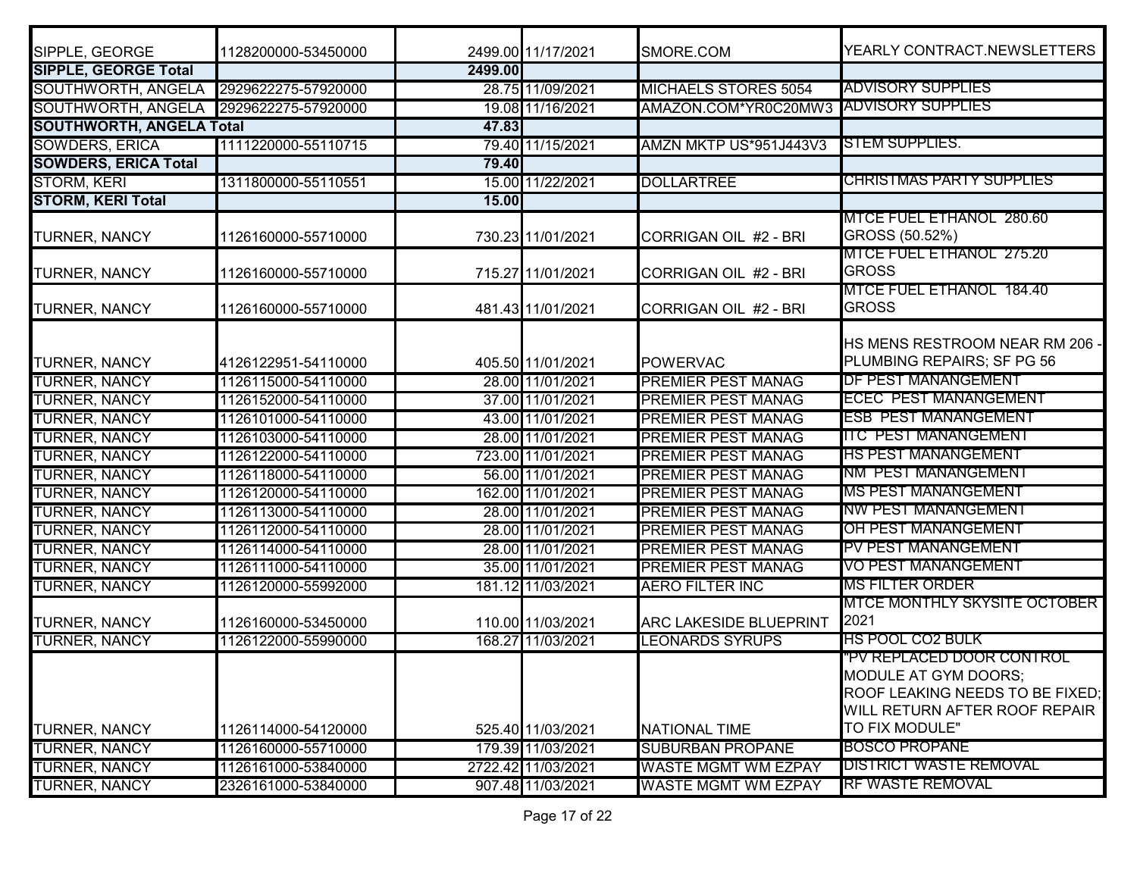| SIPPLE, GEORGE                  | 1128200000-53450000 |         | 2499.00 11/17/2021 | SMORE.COM                              | YEARLY CONTRACT.NEWSLETTERS                                                                                                             |
|---------------------------------|---------------------|---------|--------------------|----------------------------------------|-----------------------------------------------------------------------------------------------------------------------------------------|
| <b>SIPPLE, GEORGE Total</b>     |                     | 2499.00 |                    |                                        |                                                                                                                                         |
| SOUTHWORTH, ANGELA              | 2929622275-57920000 |         | 28.75 11/09/2021   | <b>MICHAELS STORES 5054</b>            | <b>ADVISORY SUPPLIES</b>                                                                                                                |
| SOUTHWORTH, ANGELA              | 2929622275-57920000 |         | 19.08 11/16/2021   | AMAZON.COM*YR0C20MW3 ADVISORY SUPPLIES |                                                                                                                                         |
| <b>SOUTHWORTH, ANGELA Total</b> |                     | 47.83   |                    |                                        |                                                                                                                                         |
| <b>SOWDERS, ERICA</b>           | 1111220000-55110715 |         | 79.40 11/15/2021   | AMZN MKTP US*951J443V3                 | <b>ISTEM SUPPLIES.</b>                                                                                                                  |
| <b>SOWDERS, ERICA Total</b>     |                     | 79.40   |                    |                                        |                                                                                                                                         |
| STORM, KERI                     | 1311800000-55110551 |         | 15.00 11/22/2021   | <b>DOLLARTREE</b>                      | <b>CHRISTMAS PARTY SUPPLIES</b>                                                                                                         |
| <b>STORM, KERI Total</b>        |                     | 15.00   |                    |                                        |                                                                                                                                         |
| TURNER, NANCY                   | 1126160000-55710000 |         | 730.23 11/01/2021  | CORRIGAN OIL #2 - BRI                  | MTCE FUEL ETHANOL 280.60<br>GROSS (50.52%)                                                                                              |
| TURNER, NANCY                   | 1126160000-55710000 |         | 715.27 11/01/2021  | CORRIGAN OIL #2 - BRI                  | <b>MTCE FUEL ETHANOL 275.20</b><br><b>GROSS</b>                                                                                         |
| <b>TURNER, NANCY</b>            | 1126160000-55710000 |         | 481.43 11/01/2021  | CORRIGAN OIL #2 - BRI                  | MTCE FUEL ETHANOL 184.40<br><b>GROSS</b>                                                                                                |
| TURNER, NANCY                   | 4126122951-54110000 |         | 405.50 11/01/2021  | <b>POWERVAC</b>                        | HS MENS RESTROOM NEAR RM 206 -<br>PLUMBING REPAIRS; SF PG 56                                                                            |
| <b>TURNER, NANCY</b>            | 1126115000-54110000 |         | 28.00 11/01/2021   | <b>PREMIER PEST MANAG</b>              | <b>IDF PEST MANANGEMENT</b>                                                                                                             |
| <b>TURNER, NANCY</b>            | 1126152000-54110000 |         | 37.00 11/01/2021   | <b>PREMIER PEST MANAG</b>              | <b>ECEC PEST MANANGEMENT</b>                                                                                                            |
| <b>TURNER, NANCY</b>            | 1126101000-54110000 |         | 43.00 11/01/2021   | <b>PREMIER PEST MANAG</b>              | <b>ESB PEST MANANGEMENT</b>                                                                                                             |
| <b>TURNER, NANCY</b>            | 1126103000-54110000 |         | 28.00 11/01/2021   | <b>PREMIER PEST MANAG</b>              | <b>ITC PEST MANANGEMENT</b>                                                                                                             |
| <b>TURNER, NANCY</b>            | 1126122000-54110000 |         | 723.00 11/01/2021  | <b>PREMIER PEST MANAG</b>              | <b>HS PEST MANANGEMENT</b>                                                                                                              |
| <b>TURNER, NANCY</b>            | 1126118000-54110000 |         | 56.00 11/01/2021   | <b>PREMIER PEST MANAG</b>              | <b>INM PEST MANANGEMENT</b>                                                                                                             |
| <b>TURNER, NANCY</b>            | 1126120000-54110000 |         | 162.00 11/01/2021  | <b>PREMIER PEST MANAG</b>              | IMS PEST MANANGEMENT                                                                                                                    |
| TURNER, NANCY                   | 1126113000-54110000 |         | 28.00 11/01/2021   | <b>PREMIER PEST MANAG</b>              | <b>INW PEST MANANGEMENT</b>                                                                                                             |
| <b>TURNER, NANCY</b>            | 1126112000-54110000 |         | 28.00 11/01/2021   | <b>PREMIER PEST MANAG</b>              | IOH PEST MANANGEMENT                                                                                                                    |
| <b>TURNER, NANCY</b>            | 1126114000-54110000 |         | 28.00 11/01/2021   | <b>PREMIER PEST MANAG</b>              | IPV PEST MANANGEMENT                                                                                                                    |
| <b>TURNER, NANCY</b>            | 1126111000-54110000 |         | 35.00 11/01/2021   | <b>PREMIER PEST MANAG</b>              | VO PEST MANANGEMENT                                                                                                                     |
| <b>TURNER, NANCY</b>            | 1126120000-55992000 |         | 181.12 11/03/2021  | <b>AERO FILTER INC</b>                 | <b>IMS FILTER ORDER</b>                                                                                                                 |
| TURNER, NANCY                   | 1126160000-53450000 |         | 110.00 11/03/2021  | <b>ARC LAKESIDE BLUEPRINT</b>          | <b>IMTCE MONTHLY SKYSITE OCTOBER</b><br>2021                                                                                            |
| TURNER, NANCY                   | 1126122000-55990000 |         | 168.27 11/03/2021  | <b>LEONARDS SYRUPS</b>                 | <b>HS POOL CO2 BULK</b>                                                                                                                 |
| TURNER, NANCY                   | 1126114000-54120000 |         | 525.40 11/03/2021  | <b>NATIONAL TIME</b>                   | 'PV REPLACED DOOR CONTROL<br>MODULE AT GYM DOORS;<br>ROOF LEAKING NEEDS TO BE FIXED;<br>WILL RETURN AFTER ROOF REPAIR<br>TO FIX MODULE" |
| <b>TURNER, NANCY</b>            | 1126160000-55710000 |         | 179.39 11/03/2021  | <b>SUBURBAN PROPANE</b>                | <b>BOSCO PROPANE</b>                                                                                                                    |
| <b>TURNER, NANCY</b>            | 1126161000-53840000 |         | 2722.42 11/03/2021 | <b>WASTE MGMT WM EZPAY</b>             | <b>DISTRICT WASTE REMOVAL</b>                                                                                                           |
| <b>TURNER, NANCY</b>            | 2326161000-53840000 |         | 907.48 11/03/2021  | <b>WASTE MGMT WM EZPAY</b>             | <b>RF WASTE REMOVAL</b>                                                                                                                 |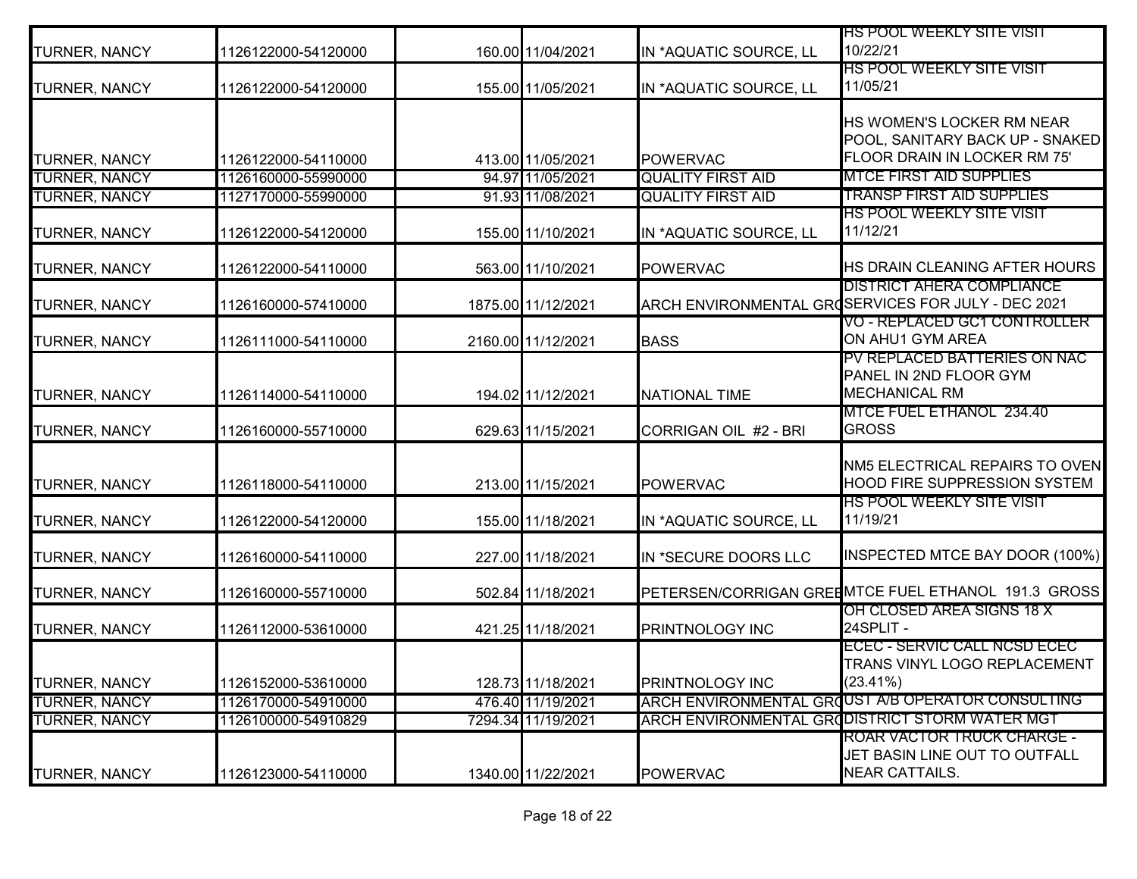| <b>TURNER, NANCY</b> | 1126122000-54120000 | 160.00 11/04/2021  | IN *AQUATIC SOURCE, LL   | <u>HS POOL WEEKLY SITE VISIT</u><br>10/22/21                                                |
|----------------------|---------------------|--------------------|--------------------------|---------------------------------------------------------------------------------------------|
| <b>TURNER, NANCY</b> | 1126122000-54120000 | 155.00 11/05/2021  | IN *AQUATIC SOURCE, LL   | <u>HS POOL WEEKLY SITE VISIT</u><br>11/05/21                                                |
|                      |                     |                    |                          | <b>HS WOMEN'S LOCKER RM NEAR</b><br>POOL, SANITARY BACK UP - SNAKED                         |
| <b>TURNER, NANCY</b> | 1126122000-54110000 | 413.00 11/05/2021  | <b>POWERVAC</b>          | FLOOR DRAIN IN LOCKER RM 75'                                                                |
| <b>TURNER, NANCY</b> | 1126160000-55990000 | 94.97 11/05/2021   | <b>QUALITY FIRST AID</b> | <b>MTCE FIRST AID SUPPLIES</b>                                                              |
| <b>TURNER, NANCY</b> | 1127170000-55990000 | 91.93 11/08/2021   | <b>QUALITY FIRST AID</b> | <b>TRANSP FIRST AID SUPPLIES</b>                                                            |
| <b>TURNER, NANCY</b> | 1126122000-54120000 | 155.00 11/10/2021  | IN *AQUATIC SOURCE, LL   | <u>HS POOL WEEKLY SITE VISIT</u><br>11/12/21                                                |
| <b>TURNER, NANCY</b> | 1126122000-54110000 | 563.00 11/10/2021  | <b>POWERVAC</b>          | HS DRAIN CLEANING AFTER HOURS                                                               |
| <b>TURNER, NANCY</b> | 1126160000-57410000 | 1875.00 11/12/2021 |                          | <b>DISTRICT AHERA COMPLIANCE</b><br>ARCH ENVIRONMENTAL GROSERVICES FOR JULY - DEC 2021      |
| <b>TURNER, NANCY</b> | 1126111000-54110000 | 2160.00 11/12/2021 | <b>BASS</b>              | <b>VO - REPLACED GC1 CONTROLLER</b><br>ON AHU1 GYM AREA                                     |
| <b>TURNER, NANCY</b> | 1126114000-54110000 | 194.02 11/12/2021  | <b>NATIONAL TIME</b>     | PV REPLACED BATTERIES ON NAC<br>PANEL IN 2ND FLOOR GYM<br><b>MECHANICAL RM</b>              |
| <b>TURNER, NANCY</b> | 1126160000-55710000 | 629.63 11/15/2021  | CORRIGAN OIL #2 - BRI    | MTCE FUEL ETHANOL 234.40<br><b>GROSS</b>                                                    |
| TURNER, NANCY        | 1126118000-54110000 | 213.00 11/15/2021  | <b>POWERVAC</b>          | NM5 ELECTRICAL REPAIRS TO OVEN<br><b>HOOD FIRE SUPPRESSION SYSTEM</b>                       |
| <b>TURNER, NANCY</b> | 1126122000-54120000 | 155.00 11/18/2021  | IN *AQUATIC SOURCE, LL   | <b>HS POOL WEEKLY SITE VISIT</b><br>11/19/21                                                |
| <b>TURNER, NANCY</b> | 1126160000-54110000 | 227.00 11/18/2021  | IN *SECURE DOORS LLC     | INSPECTED MTCE BAY DOOR (100%)                                                              |
| <b>TURNER, NANCY</b> | 1126160000-55710000 | 502.84 11/18/2021  |                          | PETERSEN/CORRIGAN GREEMTCE FUEL ETHANOL 191.3 GROSS                                         |
| <b>TURNER, NANCY</b> | 1126112000-53610000 | 421.25 11/18/2021  | <b>PRINTNOLOGY INC</b>   | OH CLOSED AREA SIGNS 18 X<br>24SPLIT -                                                      |
| <b>TURNER, NANCY</b> | 1126152000-53610000 | 128.73 11/18/2021  | PRINTNOLOGY INC          | ECEC - SERVIC CALL NCSD ECEC<br><b>I</b> TRANS VINYL LOGO REPLACEMENT<br>$(23.41\%)$        |
| <b>TURNER, NANCY</b> | 1126170000-54910000 | 476.40 11/19/2021  |                          | ARCH ENVIRONMENTAL GROUST A/B OPERATOR CONSULTING                                           |
| <b>TURNER, NANCY</b> | 1126100000-54910829 | 7294.34 11/19/2021 |                          | ARCH ENVIRONMENTAL GR(IDISTRICT STORM WATER MGT                                             |
| <b>TURNER, NANCY</b> | 1126123000-54110000 | 1340.00 11/22/2021 | <b>POWERVAC</b>          | <b>ROAR VACTOR TRUCK CHARGE -</b><br>JET BASIN LINE OUT TO OUTFALL<br><b>NEAR CATTAILS.</b> |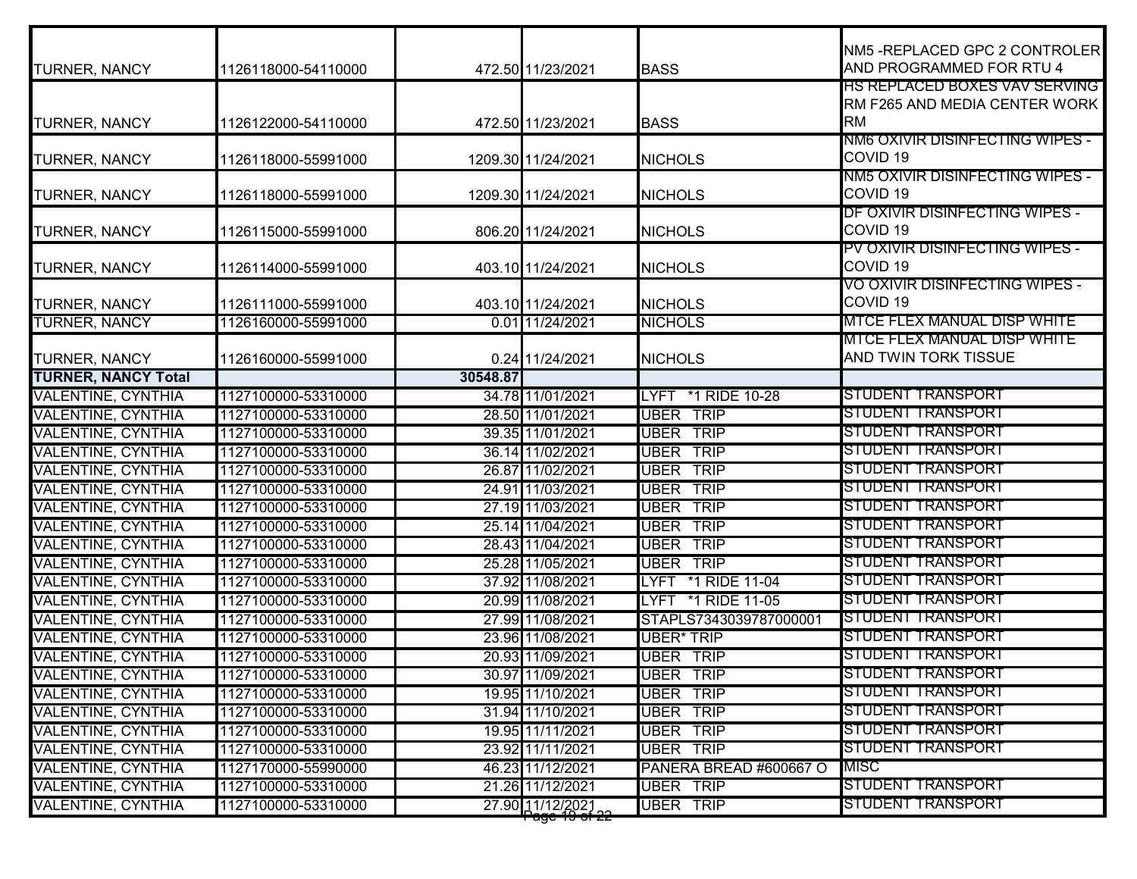| TURNER, NANCY              | 1126118000-54110000 |          | 472.50 11/23/2021                 | <b>BASS</b>                | NM5-REPLACED GPC 2 CONTROLER<br>AND PROGRAMMED FOR RTU 4                    |
|----------------------------|---------------------|----------|-----------------------------------|----------------------------|-----------------------------------------------------------------------------|
| TURNER, NANCY              | 1126122000-54110000 |          | 472.50 11/23/2021                 | <b>BASS</b>                | HS REPLACED BOXES VAV SERVING<br>RM F265 AND MEDIA CENTER WORK<br><b>RM</b> |
| TURNER, NANCY              | 1126118000-55991000 |          | 1209.30 11/24/2021                | <b>NICHOLS</b>             | NM6 OXIVIR DISINFECTING WIPES -<br>COVID <sub>19</sub>                      |
| TURNER, NANCY              | 1126118000-55991000 |          | 1209.30 11/24/2021                | <b>NICHOLS</b>             | NM5 OXIVIR DISINFECTING WIPES -<br>COVID <sub>19</sub>                      |
| TURNER, NANCY              | 1126115000-55991000 |          | 806.20 11/24/2021                 | <b>NICHOLS</b>             | DF OXIVIR DISINFECTING WIPES -<br>COVID <sub>19</sub>                       |
| TURNER, NANCY              | 1126114000-55991000 |          | 403.10 11/24/2021                 | <b>NICHOLS</b>             | PV OXIVIR DISINFECTING WIPES -<br>COVID <sub>19</sub>                       |
| TURNER, NANCY              | 1126111000-55991000 |          | 403.10 11/24/2021                 | <b>NICHOLS</b>             | <u>VO OXIVIR DISINFECTING WIPES -</u><br>COVID <sub>19</sub>                |
| <b>TURNER, NANCY</b>       | 1126160000-55991000 |          | 0.01 11/24/2021                   | <b>NICHOLS</b>             | MTCE FLEX MANUAL DISP WHITE                                                 |
| TURNER, NANCY              | 1126160000-55991000 |          | 0.24 11/24/2021                   | <b>NICHOLS</b>             | MTCE FLEX MANUAL DISP WHITE<br>AND TWIN TORK TISSUE                         |
| <b>TURNER, NANCY Total</b> |                     | 30548.87 |                                   |                            |                                                                             |
| VALENTINE, CYNTHIA         | 1127100000-53310000 |          | 34.78 11/01/2021                  | LYFT *1 RIDE 10-28         | STUDENT TRANSPORT                                                           |
| VALENTINE, CYNTHIA         | 1127100000-53310000 |          | 28.50 11/01/2021                  | <b>UBER TRIP</b>           | STUDENT TRANSPORT                                                           |
| VALENTINE, CYNTHIA         | 1127100000-53310000 |          | 39.35 11/01/2021                  | <b>UBER TRIP</b>           | STUDENT TRANSPORT                                                           |
| <b>VALENTINE, CYNTHIA</b>  | 1127100000-53310000 |          | 36.14 11/02/2021                  | UBER TRIP                  | STUDENT TRANSPORT                                                           |
| <b>VALENTINE, CYNTHIA</b>  | 1127100000-53310000 |          | 26.87 11/02/2021                  | <b>UBER TRIP</b>           | STUDENT TRANSPORT                                                           |
| VALENTINE, CYNTHIA         | 1127100000-53310000 |          | 24.91 11/03/2021                  | <b>UBER TRIP</b>           | STUDENT TRANSPORT                                                           |
| VALENTINE, CYNTHIA         | 1127100000-53310000 |          | 27.19 11/03/2021                  | <b>UBER TRIP</b>           | STUDENT TRANSPORT                                                           |
| VALENTINE, CYNTHIA         | 1127100000-53310000 |          | 25.14 11/04/2021                  | <b>UBER</b><br><b>TRIP</b> | STUDENT TRANSPORT                                                           |
| VALENTINE, CYNTHIA         | 1127100000-53310000 |          | 28.43 11/04/2021                  | <b>UBER TRIP</b>           | STUDENT TRANSPORT                                                           |
| <b>VALENTINE, CYNTHIA</b>  | 1127100000-53310000 |          | 25.28 11/05/2021                  | <b>UBER TRIP</b>           | STUDENT TRANSPORT                                                           |
| VALENTINE, CYNTHIA         | 1127100000-53310000 |          | 37.92 11/08/2021                  | LYFT *1 RIDE 11-04         | STUDENT TRANSPORT                                                           |
| VALENTINE, CYNTHIA         | 1127100000-53310000 |          | 20.99 11/08/2021                  | LYFT *1 RIDE 11-05         | STUDENT TRANSPORT                                                           |
| <b>VALENTINE, CYNTHIA</b>  | 1127100000-53310000 |          | 27.99 11/08/2021                  | STAPLS7343039787000001     | STUDENT TRANSPORT                                                           |
| VALENTINE, CYNTHIA         | 1127100000-53310000 |          | 23.96 11/08/2021                  | <b>UBER* TRIP</b>          | STUDENT TRANSPORT                                                           |
| VALENTINE, CYNTHIA         | 1127100000-53310000 |          | 20.93 11/09/2021                  | <b>UBER TRIP</b>           | STUDENT TRANSPORT                                                           |
| <b>VALENTINE, CYNTHIA</b>  | 1127100000-53310000 |          | 30.97 11/09/2021                  | UBER IRIP                  | <b>STUDENT TRANSPORT</b>                                                    |
| <b>VALENTINE, CYNTHIA</b>  | 1127100000-53310000 |          | 19.95 11/10/2021                  | <b>UBER TRIP</b>           | STUDENT TRANSPORT                                                           |
| <b>VALENTINE, CYNTHIA</b>  | 1127100000-53310000 |          | 31.94 11/10/2021                  | <b>UBER TRIP</b>           | STUDENT TRANSPORT                                                           |
| <b>VALENTINE, CYNTHIA</b>  | 1127100000-53310000 |          | 19.95 11/11/2021                  | <b>UBER TRIP</b>           | STUDENT TRANSPORT                                                           |
| <b>VALENTINE, CYNTHIA</b>  | 1127100000-53310000 |          | 23.92 11/11/2021                  | <b>UBER TRIP</b>           | STUDENT TRANSPORT                                                           |
| <b>VALENTINE, CYNTHIA</b>  | 1127170000-55990000 |          | 46.23 11/12/2021                  | PANERA BREAD #600667 O     | MISC                                                                        |
| <b>VALENTINE, CYNTHIA</b>  | 1127100000-53310000 |          | 21.26 11/12/2021                  | UBER TRIP                  | STUDENT TRANSPORT                                                           |
| VALENTINE, CYNTHIA         | 1127100000-53310000 |          | 27.90 11/12/2021<br>Page 19 of 22 | UBER TRIP                  | STUDENT TRANSPORT                                                           |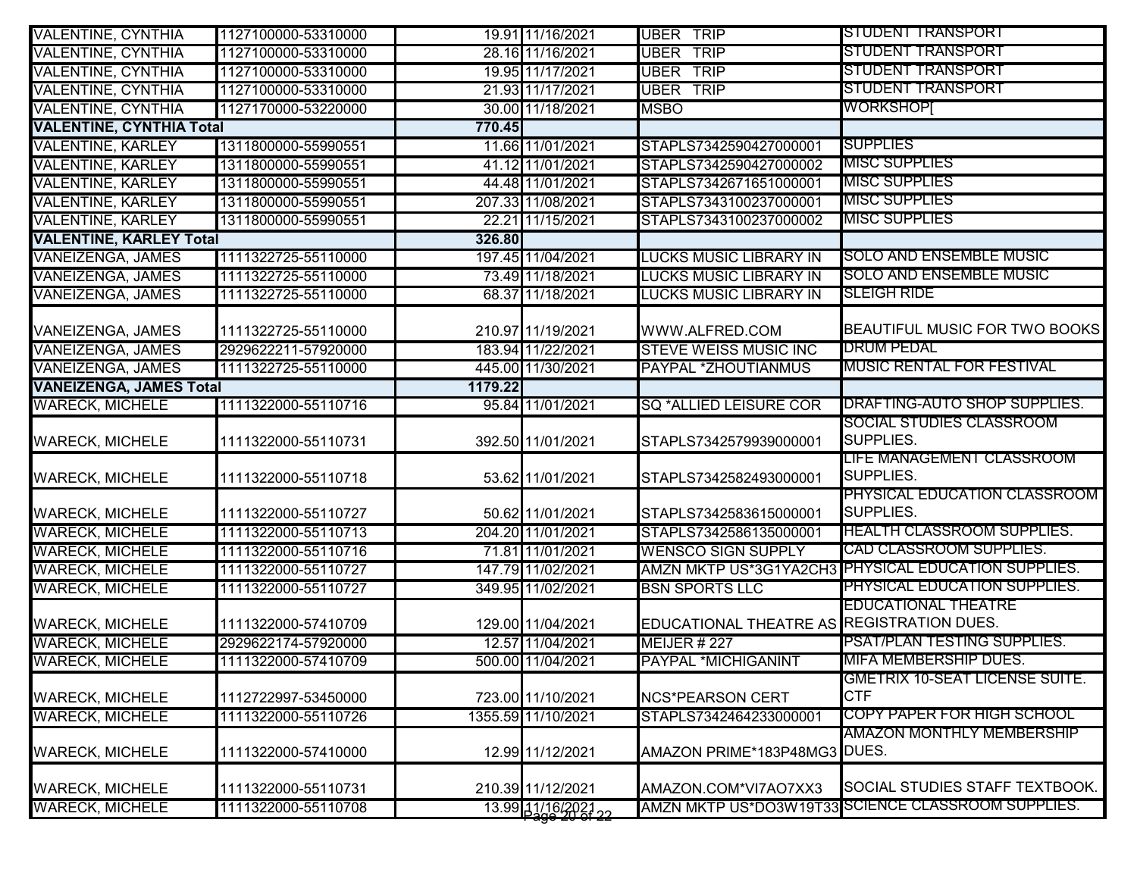| <b>VALENTINE, CYNTHIA</b>       | 1127100000-53310000 |         | 19.91 11/16/2021    | <b>UBER TRIP</b>                          | STUDENT TRANSPORT                                   |
|---------------------------------|---------------------|---------|---------------------|-------------------------------------------|-----------------------------------------------------|
| <b>VALENTINE, CYNTHIA</b>       | 1127100000-53310000 |         | 28.16 11/16/2021    | <b>UBER</b><br><b>TRIP</b>                | STUDENT TRANSPORT                                   |
| <b>VALENTINE, CYNTHIA</b>       | 1127100000-53310000 |         | 19.95 11/17/2021    | <b>UBER TRIP</b>                          | STUDENT TRANSPORT                                   |
| <b>VALENTINE, CYNTHIA</b>       | 1127100000-53310000 |         | 21.93 11/17/2021    | <b>UBER TRIP</b>                          | STUDENT TRANSPORT                                   |
| <b>VALENTINE, CYNTHIA</b>       | 1127170000-53220000 |         | 30.00 11/18/2021    | <b>MSBO</b>                               | <b>WORKSHOPI</b>                                    |
| <b>VALENTINE, CYNTHIA Total</b> |                     | 770.45  |                     |                                           |                                                     |
| <b>VALENTINE, KARLEY</b>        | 1311800000-55990551 |         | 11.66 11/01/2021    | STAPLS7342590427000001                    | <b>SUPPLIES</b>                                     |
| <b>VALENTINE, KARLEY</b>        | 1311800000-55990551 |         | 41.12 11/01/2021    | STAPLS7342590427000002                    | <b>MISC SUPPLIES</b>                                |
| <b>VALENTINE, KARLEY</b>        | 1311800000-55990551 |         | 44.48 11/01/2021    | STAPLS7342671651000001                    | <b>MISC SUPPLIES</b>                                |
| <b>VALENTINE, KARLEY</b>        | 1311800000-55990551 |         | 207.33 11/08/2021   | STAPLS7343100237000001                    | <b>MISC SUPPLIES</b>                                |
| <b>VALENTINE, KARLEY</b>        | 1311800000-55990551 |         | 22.21 11/15/2021    | STAPLS7343100237000002                    | <b>MISC SUPPLIES</b>                                |
| <b>VALENTINE, KARLEY Total</b>  |                     | 326.80  |                     |                                           |                                                     |
| <b>VANEIZENGA, JAMES</b>        | 1111322725-55110000 |         | 197.45 11/04/2021   | <b>LUCKS MUSIC LIBRARY IN</b>             | <b>SOLO AND ENSEMBLE MUSIC</b>                      |
| <b>VANEIZENGA, JAMES</b>        | 1111322725-55110000 |         | 73.49 11/18/2021    | <b>LUCKS MUSIC LIBRARY IN</b>             | <b>SOLO AND ENSEMBLE MUSIC</b>                      |
| <b>VANEIZENGA, JAMES</b>        | 1111322725-55110000 |         | 68.37 11/18/2021    | <b>LUCKS MUSIC LIBRARY IN</b>             | <b>SLEIGH RIDE</b>                                  |
|                                 |                     |         |                     |                                           |                                                     |
| <b>VANEIZENGA, JAMES</b>        | 1111322725-55110000 |         | 210.97 11/19/2021   | WWW.ALFRED.COM                            | <b>BEAUTIFUL MUSIC FOR TWO BOOKS</b>                |
| <b>VANEIZENGA, JAMES</b>        | 2929622211-57920000 |         | 183.94 11/22/2021   | <b>STEVE WEISS MUSIC INC</b>              | <b>DRUM PEDAL</b>                                   |
| <b>VANEIZENGA, JAMES</b>        | 1111322725-55110000 |         | 445.00 11/30/2021   | PAYPAL *ZHOUTIANMUS                       | MUSIC RENTAL FOR FESTIVAL                           |
| <b>VANEIZENGA, JAMES Total</b>  |                     | 1179.22 |                     |                                           |                                                     |
| <b>WARECK, MICHELE</b>          | 1111322000-55110716 |         | 95.84 11/01/2021    | <b>SQ *ALLIED LEISURE COR</b>             | DRAFTING-AUTO SHOP SUPPLIES.                        |
| <b>WARECK, MICHELE</b>          | 1111322000-55110731 |         | 392.50 11/01/2021   | STAPLS7342579939000001                    | SOCIAL STUDIES CLASSROOM<br>SUPPLIES.               |
|                                 |                     |         |                     |                                           | LIFE MANAGEMENT CLASSROOM                           |
| <b>WARECK, MICHELE</b>          | 1111322000-55110718 |         | 53.62 11/01/2021    | STAPLS7342582493000001                    | SUPPLIES.                                           |
|                                 |                     |         |                     |                                           | PHYSICAL EDUCATION CLASSROOM                        |
| <b>WARECK, MICHELE</b>          | 1111322000-55110727 |         | 50.62 11/01/2021    | STAPLS7342583615000001                    | <b>SUPPLIES.</b>                                    |
| <b>WARECK, MICHELE</b>          | 1111322000-55110713 |         | 204.20 11/01/2021   | STAPLS7342586135000001                    | <b>HEALTH CLASSROOM SUPPLIES.</b>                   |
| <b>WARECK, MICHELE</b>          | 1111322000-55110716 |         | 71.81 11/01/2021    | <b>WENSCO SIGN SUPPLY</b>                 | <b>CAD CLASSROOM SUPPLIES.</b>                      |
| <b>WARECK, MICHELE</b>          | 1111322000-55110727 |         | 147.79 11/02/2021   |                                           | AMZN MKTP US*3G1YA2CH3 PHYSICAL EDUCATION SUPPLIES. |
| <b>WARECK, MICHELE</b>          | 1111322000-55110727 |         | 349.95 11/02/2021   | <b>BSN SPORTS LLC</b>                     | PHYSICAL EDUCATION SUPPLIES.                        |
|                                 |                     |         |                     |                                           | <b>EDUCATIONAL THEATRE</b>                          |
| <b>WARECK, MICHELE</b>          | 1111322000-57410709 |         | 129.00 11/04/2021   | EDUCATIONAL THEATRE AS REGISTRATION DUES. |                                                     |
| <b>WARECK, MICHELE</b>          | 2929622174-57920000 |         | 12.57 11/04/2021    | <b>MEIJER # 227</b>                       | PSAT/PLAN TESTING SUPPLIES.                         |
| <b>WARECK, MICHELE</b>          | 1111322000-57410709 |         | 500.00 11/04/2021   | <b>PAYPAL *MICHIGANINT</b>                | <u>MIFA MEMBERSHIP DUES.</u>                        |
|                                 |                     |         |                     |                                           | GMETRIX 10-SEAT LICENSE SUITE.                      |
| <b>WARECK, MICHELE</b>          | 1112722997-53450000 |         | 723.00 11/10/2021   | <b>NCS*PEARSON CERT</b>                   | <b>CTF</b>                                          |
| <b>WARECK, MICHELE</b>          | 1111322000-55110726 |         | 1355.59 11/10/2021  | STAPLS7342464233000001                    | <b>COPY PAPER FOR HIGH SCHOOL</b>                   |
|                                 |                     |         |                     |                                           | AMAZON MONTHLY MEMBERSHIP                           |
| <b>WARECK, MICHELE</b>          | 1111322000-57410000 |         | 12.99 11/12/2021    | AMAZON PRIME*183P48MG3 DUES.              |                                                     |
| <b>WARECK, MICHELE</b>          | 1111322000-55110731 |         | 210.39 11/12/2021   | AMAZON.COM*VI7AO7XX3                      | SOCIAL STUDIES STAFF TEXTBOOK.                      |
| <b>WARECK, MICHELE</b>          | 1111322000-55110708 |         | 13.99 11/16/2021 22 |                                           | AMZN MKTP US*DO3W19T33 SCIENCE CLASSROOM SUPPLIES.  |
|                                 |                     |         |                     |                                           |                                                     |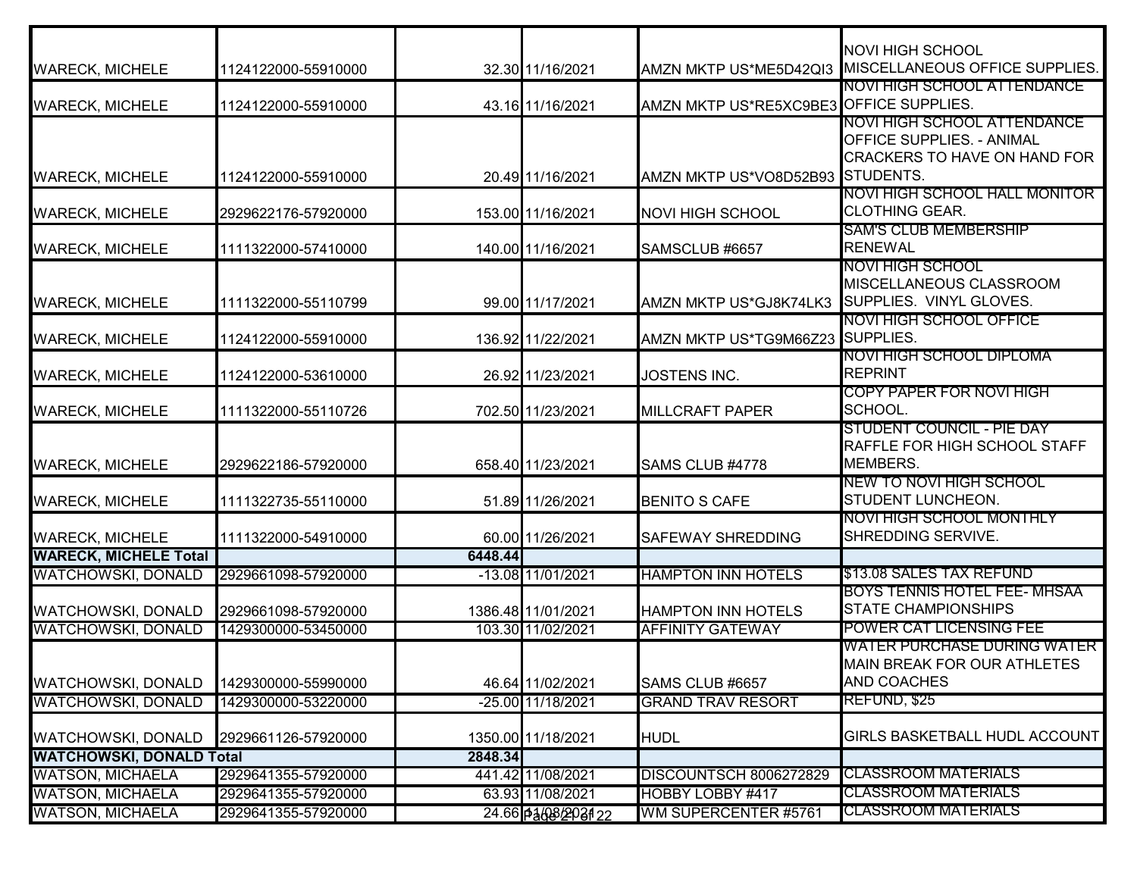|                                 |                     |         |                    |                                         | <b>NOVI HIGH SCHOOL</b>                                                                                  |
|---------------------------------|---------------------|---------|--------------------|-----------------------------------------|----------------------------------------------------------------------------------------------------------|
| <b>WARECK, MICHELE</b>          | 1124122000-55910000 |         | 32.30 11/16/2021   |                                         | AMZN MKTP US*ME5D42QI3 MISCELLANEOUS OFFICE SUPPLIES.                                                    |
| <b>WARECK, MICHELE</b>          | 1124122000-55910000 |         | 43.16 11/16/2021   | AMZN MKTP US*RE5XC9BE3 OFFICE SUPPLIES. | NOVI HIGH SCHOOL ATTENDANCE                                                                              |
| <b>WARECK, MICHELE</b>          | 1124122000-55910000 |         | 20.49 11/16/2021   | AMZN MKTP US*VO8D52B93 STUDENTS.        | NOVI HIGH SCHOOL ATTENDANCE<br><b>OFFICE SUPPLIES. - ANIMAL</b><br><b>CRACKERS TO HAVE ON HAND FOR</b>   |
| <b>WARECK, MICHELE</b>          | 2929622176-57920000 |         | 153.00 11/16/2021  | <b>NOVI HIGH SCHOOL</b>                 | NOVI HIGH SCHOOL HALL MONITOR<br><b>CLOTHING GEAR.</b>                                                   |
| <b>WARECK, MICHELE</b>          | 1111322000-57410000 |         | 140.00 11/16/2021  | SAMSCLUB #6657                          | <b>SAM'S CLUB MEMBERSHIP</b><br><b>RENEWAL</b>                                                           |
| <b>WARECK, MICHELE</b>          | 1111322000-55110799 |         | 99.00 11/17/2021   | AMZN MKTP US*GJ8K74LK3                  | <u>NOVI HIGH SCHOOL</u><br>MISCELLANEOUS CLASSROOM<br>SUPPLIES. VINYL GLOVES.<br>NOVI HIGH SCHOOL OFFICE |
| <b>WARECK, MICHELE</b>          | 1124122000-55910000 |         | 136.92 11/22/2021  | AMZN MKTP US*TG9M66Z23 SUPPLIES.        |                                                                                                          |
| <b>WARECK, MICHELE</b>          | 1124122000-53610000 |         | 26.92 11/23/2021   | <b>JOSTENS INC.</b>                     | NOVI HIGH SCHOOL DIPLOMA<br><b>REPRINT</b>                                                               |
| <b>WARECK, MICHELE</b>          | 1111322000-55110726 |         | 702.50 11/23/2021  | <b>MILLCRAFT PAPER</b>                  | COPY PAPER FOR NOVI HIGH<br>SCHOOL.                                                                      |
| <b>WARECK, MICHELE</b>          | 2929622186-57920000 |         | 658.40 11/23/2021  | SAMS CLUB #4778                         | <b>STUDENT COUNCIL - PIE DAY</b><br>RAFFLE FOR HIGH SCHOOL STAFF<br>MEMBERS.                             |
| <b>WARECK, MICHELE</b>          | 1111322735-55110000 |         | 51.89 11/26/2021   | <b>BENITO S CAFE</b>                    | NEW TO NOVI HIGH SCHOOL<br><b>STUDENT LUNCHEON.</b>                                                      |
| <b>WARECK, MICHELE</b>          | 1111322000-54910000 |         | 60.00 11/26/2021   | <b>SAFEWAY SHREDDING</b>                | <u>NOVI HIGH SCHOOL MONTHLY</u><br>SHREDDING SERVIVE.                                                    |
| <b>WARECK, MICHELE Total</b>    |                     | 6448.44 |                    |                                         |                                                                                                          |
| <b>WATCHOWSKI, DONALD</b>       | 2929661098-57920000 |         | -13.08 11/01/2021  | <b>HAMPTON INN HOTELS</b>               | \$13.08 SALES TAX REFUND<br>BOYS TENNIS HOTEL FEE- MHSAA                                                 |
| <b>WATCHOWSKI, DONALD</b>       | 2929661098-57920000 |         | 1386.48 11/01/2021 | <b>HAMPTON INN HOTELS</b>               | <b>STATE CHAMPIONSHIPS</b>                                                                               |
| <b>WATCHOWSKI, DONALD</b>       | 1429300000-53450000 |         | 103.30 11/02/2021  | <b>AFFINITY GATEWAY</b>                 | POWER CAT LICENSING FEE                                                                                  |
| <b>WATCHOWSKI, DONALD</b>       | 1429300000-55990000 |         | 46.64 11/02/2021   | SAMS CLUB #6657                         | <b>WATER PURCHASE DURING WATER</b><br>MAIN BREAK FOR OUR ATHLETES<br><b>AND COACHES</b>                  |
| <b>WATCHOWSKI, DONALD</b>       | 1429300000-53220000 |         | -25.00 11/18/2021  | <b>GRAND TRAV RESORT</b>                | REFUND, \$25                                                                                             |
|                                 |                     |         |                    |                                         |                                                                                                          |
| <b>WATCHOWSKI, DONALD</b>       | 2929661126-57920000 |         | 1350.00 11/18/2021 | <b>HUDL</b>                             | <b>GIRLS BASKETBALL HUDL ACCOUNT</b>                                                                     |
| <b>WATCHOWSKI, DONALD Total</b> |                     | 2848.34 |                    |                                         |                                                                                                          |
| <b>WATSON, MICHAELA</b>         | 2929641355-57920000 |         | 441.42 11/08/2021  | <b>DISCOUNTSCH 8006272829</b>           | <b>CLASSROOM MATERIALS</b>                                                                               |
| <b>WATSON, MICHAELA</b>         | 2929641355-57920000 |         | 63.93 11/08/2021   | <b>HOBBY LOBBY #417</b>                 | <b>CLASSROOM MATERIALS</b>                                                                               |
| <b>WATSON, MICHAELA</b>         | 2929641355-57920000 |         | 24.66 p368203122   | WM SUPERCENTER #5761                    | <b>CLASSROOM MATERIALS</b>                                                                               |